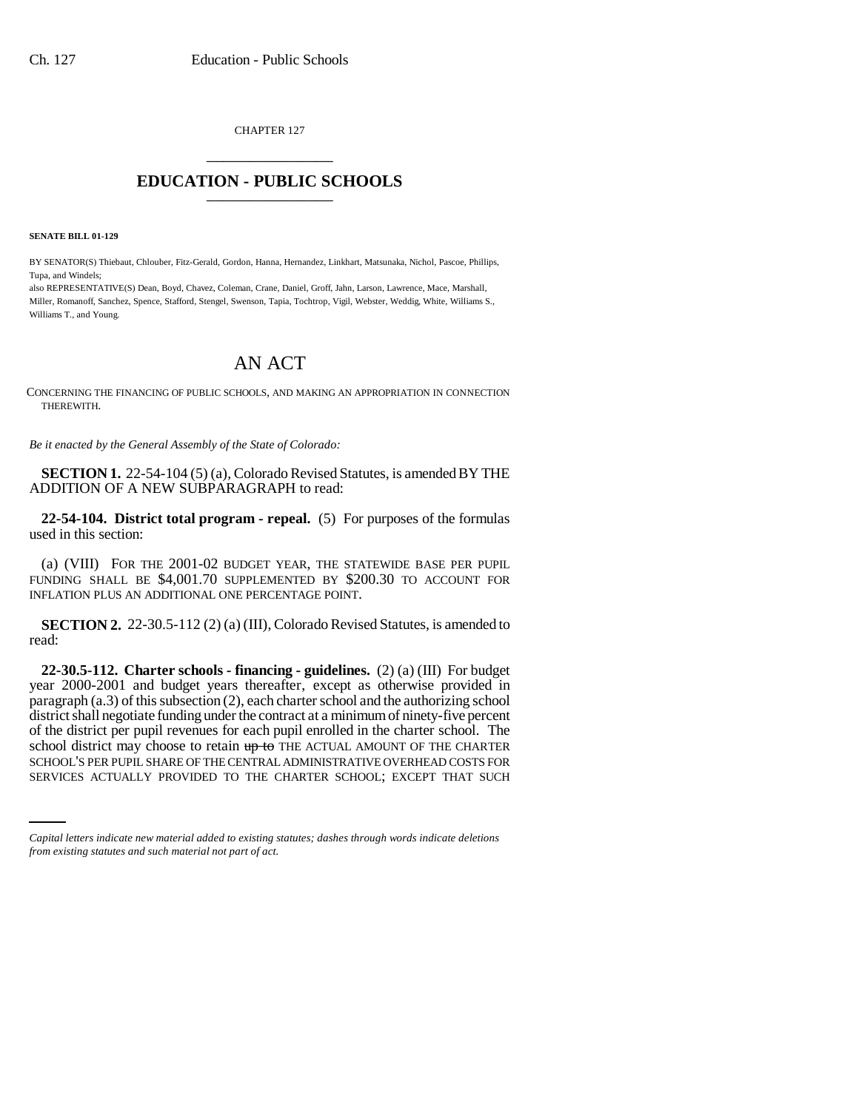CHAPTER 127 \_\_\_\_\_\_\_\_\_\_\_\_\_\_\_

# **EDUCATION - PUBLIC SCHOOLS** \_\_\_\_\_\_\_\_\_\_\_\_\_\_\_

**SENATE BILL 01-129**

BY SENATOR(S) Thiebaut, Chlouber, Fitz-Gerald, Gordon, Hanna, Hernandez, Linkhart, Matsunaka, Nichol, Pascoe, Phillips, Tupa, and Windels;

also REPRESENTATIVE(S) Dean, Boyd, Chavez, Coleman, Crane, Daniel, Groff, Jahn, Larson, Lawrence, Mace, Marshall, Miller, Romanoff, Sanchez, Spence, Stafford, Stengel, Swenson, Tapia, Tochtrop, Vigil, Webster, Weddig, White, Williams S., Williams T., and Young.

# AN ACT

CONCERNING THE FINANCING OF PUBLIC SCHOOLS, AND MAKING AN APPROPRIATION IN CONNECTION THEREWITH.

*Be it enacted by the General Assembly of the State of Colorado:*

**SECTION 1.** 22-54-104 (5) (a), Colorado Revised Statutes, is amended BY THE ADDITION OF A NEW SUBPARAGRAPH to read:

**22-54-104. District total program - repeal.** (5) For purposes of the formulas used in this section:

(a) (VIII) FOR THE 2001-02 BUDGET YEAR, THE STATEWIDE BASE PER PUPIL FUNDING SHALL BE \$4,001.70 SUPPLEMENTED BY \$200.30 TO ACCOUNT FOR INFLATION PLUS AN ADDITIONAL ONE PERCENTAGE POINT.

**SECTION 2.** 22-30.5-112 (2) (a) (III), Colorado Revised Statutes, is amended to read:

school district may choose to retain up to THE ACTUAL AMOUNT OF THE CHARTER **22-30.5-112. Charter schools - financing - guidelines.** (2) (a) (III) For budget year 2000-2001 and budget years thereafter, except as otherwise provided in paragraph (a.3) of this subsection (2), each charter school and the authorizing school district shall negotiate funding under the contract at a minimum of ninety-five percent of the district per pupil revenues for each pupil enrolled in the charter school. The SCHOOL'S PER PUPIL SHARE OF THE CENTRAL ADMINISTRATIVE OVERHEAD COSTS FOR SERVICES ACTUALLY PROVIDED TO THE CHARTER SCHOOL; EXCEPT THAT SUCH

*Capital letters indicate new material added to existing statutes; dashes through words indicate deletions from existing statutes and such material not part of act.*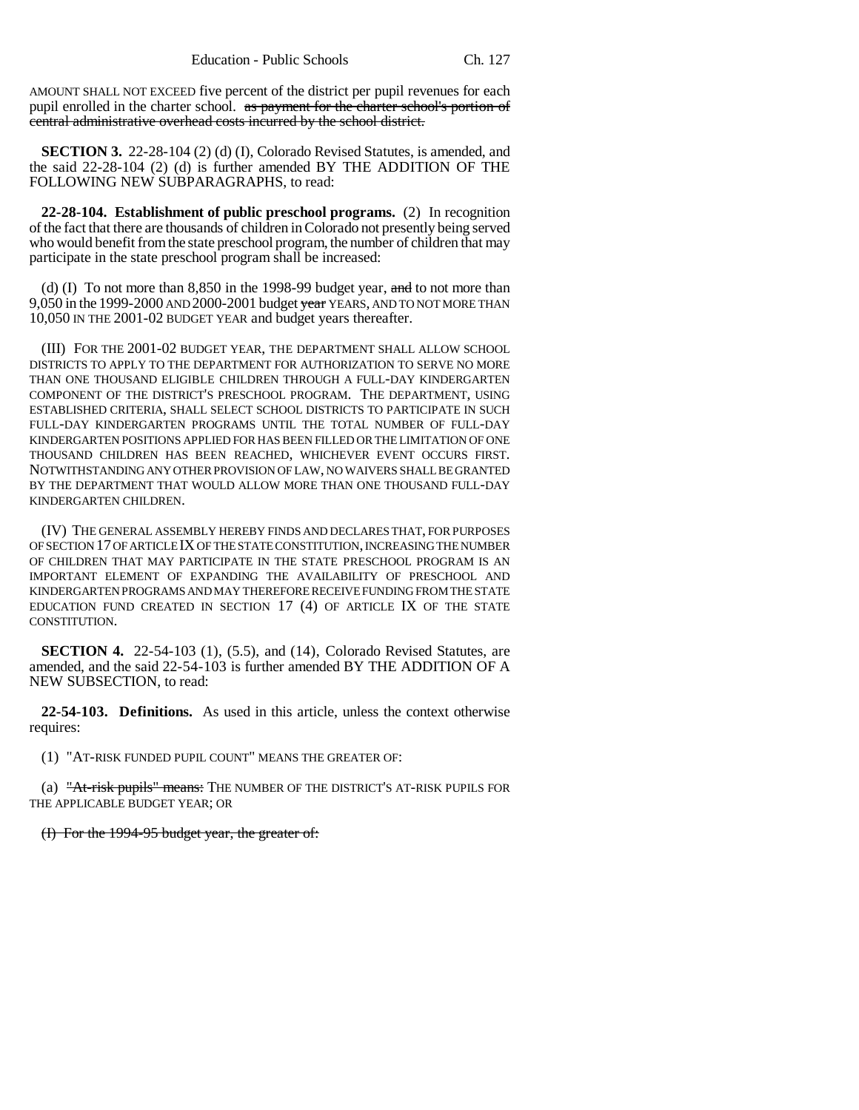AMOUNT SHALL NOT EXCEED five percent of the district per pupil revenues for each pupil enrolled in the charter school. as payment for the charter school's portion of central administrative overhead costs incurred by the school district.

**SECTION 3.** 22-28-104 (2) (d) (I), Colorado Revised Statutes, is amended, and the said 22-28-104 (2) (d) is further amended BY THE ADDITION OF THE FOLLOWING NEW SUBPARAGRAPHS, to read:

**22-28-104. Establishment of public preschool programs.** (2) In recognition of the fact that there are thousands of children in Colorado not presently being served who would benefit from the state preschool program, the number of children that may participate in the state preschool program shall be increased:

(d) (I) To not more than  $8,850$  in the 1998-99 budget year, and to not more than 9,050 in the 1999-2000 AND 2000-2001 budget year YEARS, AND TO NOT MORE THAN 10,050 IN THE 2001-02 BUDGET YEAR and budget years thereafter.

(III) FOR THE 2001-02 BUDGET YEAR, THE DEPARTMENT SHALL ALLOW SCHOOL DISTRICTS TO APPLY TO THE DEPARTMENT FOR AUTHORIZATION TO SERVE NO MORE THAN ONE THOUSAND ELIGIBLE CHILDREN THROUGH A FULL-DAY KINDERGARTEN COMPONENT OF THE DISTRICT'S PRESCHOOL PROGRAM. THE DEPARTMENT, USING ESTABLISHED CRITERIA, SHALL SELECT SCHOOL DISTRICTS TO PARTICIPATE IN SUCH FULL-DAY KINDERGARTEN PROGRAMS UNTIL THE TOTAL NUMBER OF FULL-DAY KINDERGARTEN POSITIONS APPLIED FOR HAS BEEN FILLED OR THE LIMITATION OF ONE THOUSAND CHILDREN HAS BEEN REACHED, WHICHEVER EVENT OCCURS FIRST. NOTWITHSTANDING ANY OTHER PROVISION OF LAW, NO WAIVERS SHALL BE GRANTED BY THE DEPARTMENT THAT WOULD ALLOW MORE THAN ONE THOUSAND FULL-DAY KINDERGARTEN CHILDREN.

(IV) THE GENERAL ASSEMBLY HEREBY FINDS AND DECLARES THAT, FOR PURPOSES OF SECTION 17 OF ARTICLE IX OF THE STATE CONSTITUTION, INCREASING THE NUMBER OF CHILDREN THAT MAY PARTICIPATE IN THE STATE PRESCHOOL PROGRAM IS AN IMPORTANT ELEMENT OF EXPANDING THE AVAILABILITY OF PRESCHOOL AND KINDERGARTEN PROGRAMS AND MAY THEREFORE RECEIVE FUNDING FROM THE STATE EDUCATION FUND CREATED IN SECTION 17 (4) OF ARTICLE IX OF THE STATE CONSTITUTION.

**SECTION 4.** 22-54-103 (1), (5.5), and (14), Colorado Revised Statutes, are amended, and the said 22-54-103 is further amended BY THE ADDITION OF A NEW SUBSECTION, to read:

**22-54-103. Definitions.** As used in this article, unless the context otherwise requires:

(1) "AT-RISK FUNDED PUPIL COUNT" MEANS THE GREATER OF:

(a) "At-risk pupils" means: THE NUMBER OF THE DISTRICT'S AT-RISK PUPILS FOR THE APPLICABLE BUDGET YEAR; OR

(I) For the 1994-95 budget year, the greater of: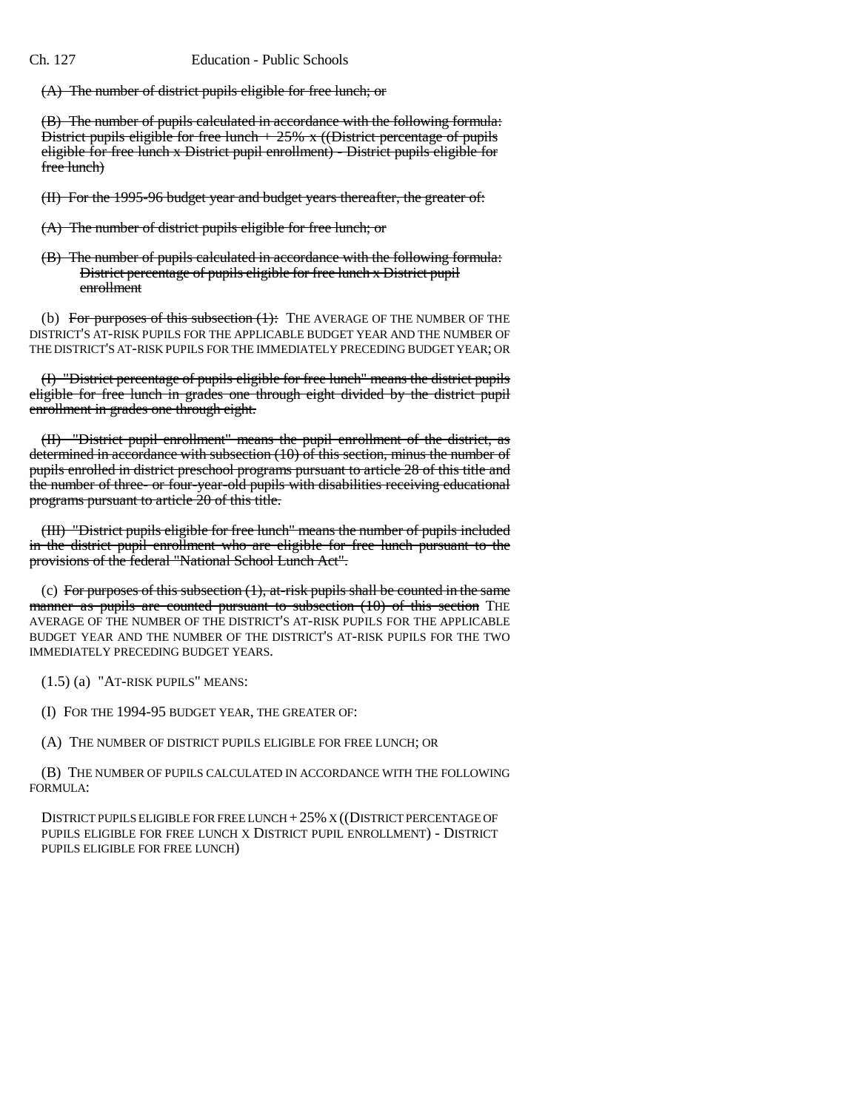(A) The number of district pupils eligible for free lunch; or

(B) The number of pupils calculated in accordance with the following formula: District pupils eligible for free lunch  $+ 25\%$  x ((District percentage of pupils eligible for free lunch x District pupil enrollment) - District pupils eligible for free lunch)

(II) For the 1995-96 budget year and budget years thereafter, the greater of:

- (A) The number of district pupils eligible for free lunch; or
- (B) The number of pupils calculated in accordance with the following formula: District percentage of pupils eligible for free lunch x District pupil enrollment

(b) For purposes of this subsection  $(1)$ : THE AVERAGE OF THE NUMBER OF THE DISTRICT'S AT-RISK PUPILS FOR THE APPLICABLE BUDGET YEAR AND THE NUMBER OF THE DISTRICT'S AT-RISK PUPILS FOR THE IMMEDIATELY PRECEDING BUDGET YEAR; OR

(I) "District percentage of pupils eligible for free lunch" means the district pupils eligible for free lunch in grades one through eight divided by the district pupil enrollment in grades one through eight.

(II) "District pupil enrollment" means the pupil enrollment of the district, as determined in accordance with subsection (10) of this section, minus the number of pupils enrolled in district preschool programs pursuant to article 28 of this title and the number of three- or four-year-old pupils with disabilities receiving educational programs pursuant to article 20 of this title.

(III) "District pupils eligible for free lunch" means the number of pupils included in the district pupil enrollment who are eligible for free lunch pursuant to the provisions of the federal "National School Lunch Act".

(c) For purposes of this subsection  $(1)$ , at-risk pupils shall be counted in the same manner as pupils are counted pursuant to subsection (10) of this section THE AVERAGE OF THE NUMBER OF THE DISTRICT'S AT-RISK PUPILS FOR THE APPLICABLE BUDGET YEAR AND THE NUMBER OF THE DISTRICT'S AT-RISK PUPILS FOR THE TWO IMMEDIATELY PRECEDING BUDGET YEARS.

(1.5) (a) "AT-RISK PUPILS" MEANS:

(I) FOR THE 1994-95 BUDGET YEAR, THE GREATER OF:

(A) THE NUMBER OF DISTRICT PUPILS ELIGIBLE FOR FREE LUNCH; OR

(B) THE NUMBER OF PUPILS CALCULATED IN ACCORDANCE WITH THE FOLLOWING FORMULA:

DISTRICT PUPILS ELIGIBLE FOR FREE LUNCH +25% X ((DISTRICT PERCENTAGE OF PUPILS ELIGIBLE FOR FREE LUNCH X DISTRICT PUPIL ENROLLMENT) - DISTRICT PUPILS ELIGIBLE FOR FREE LUNCH)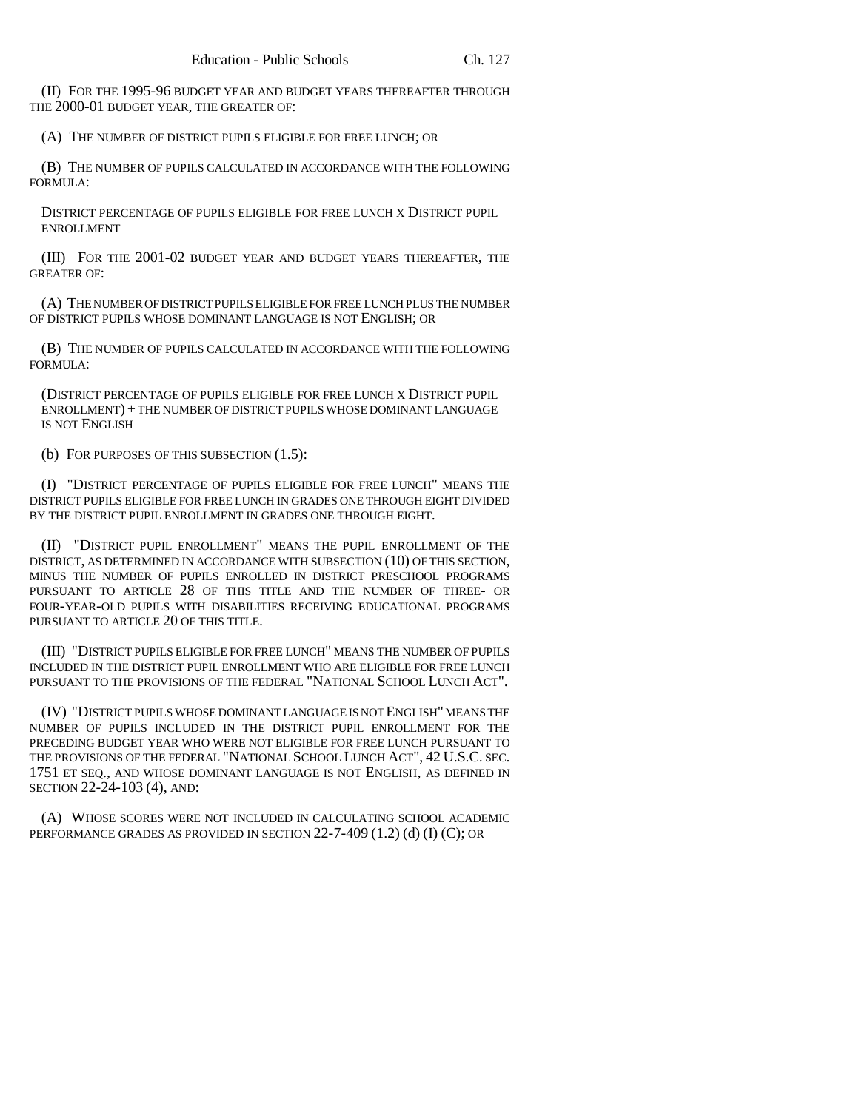(II) FOR THE 1995-96 BUDGET YEAR AND BUDGET YEARS THEREAFTER THROUGH THE 2000-01 BUDGET YEAR, THE GREATER OF:

(A) THE NUMBER OF DISTRICT PUPILS ELIGIBLE FOR FREE LUNCH; OR

(B) THE NUMBER OF PUPILS CALCULATED IN ACCORDANCE WITH THE FOLLOWING FORMULA:

DISTRICT PERCENTAGE OF PUPILS ELIGIBLE FOR FREE LUNCH X DISTRICT PUPIL ENROLLMENT

(III) FOR THE 2001-02 BUDGET YEAR AND BUDGET YEARS THEREAFTER, THE GREATER OF:

(A) THE NUMBER OF DISTRICT PUPILS ELIGIBLE FOR FREE LUNCH PLUS THE NUMBER OF DISTRICT PUPILS WHOSE DOMINANT LANGUAGE IS NOT ENGLISH; OR

(B) THE NUMBER OF PUPILS CALCULATED IN ACCORDANCE WITH THE FOLLOWING FORMULA:

(DISTRICT PERCENTAGE OF PUPILS ELIGIBLE FOR FREE LUNCH X DISTRICT PUPIL ENROLLMENT) + THE NUMBER OF DISTRICT PUPILS WHOSE DOMINANT LANGUAGE IS NOT ENGLISH

(b) FOR PURPOSES OF THIS SUBSECTION (1.5):

(I) "DISTRICT PERCENTAGE OF PUPILS ELIGIBLE FOR FREE LUNCH" MEANS THE DISTRICT PUPILS ELIGIBLE FOR FREE LUNCH IN GRADES ONE THROUGH EIGHT DIVIDED BY THE DISTRICT PUPIL ENROLLMENT IN GRADES ONE THROUGH EIGHT.

(II) "DISTRICT PUPIL ENROLLMENT" MEANS THE PUPIL ENROLLMENT OF THE DISTRICT, AS DETERMINED IN ACCORDANCE WITH SUBSECTION (10) OF THIS SECTION, MINUS THE NUMBER OF PUPILS ENROLLED IN DISTRICT PRESCHOOL PROGRAMS PURSUANT TO ARTICLE 28 OF THIS TITLE AND THE NUMBER OF THREE- OR FOUR-YEAR-OLD PUPILS WITH DISABILITIES RECEIVING EDUCATIONAL PROGRAMS PURSUANT TO ARTICLE 20 OF THIS TITLE.

(III) "DISTRICT PUPILS ELIGIBLE FOR FREE LUNCH" MEANS THE NUMBER OF PUPILS INCLUDED IN THE DISTRICT PUPIL ENROLLMENT WHO ARE ELIGIBLE FOR FREE LUNCH PURSUANT TO THE PROVISIONS OF THE FEDERAL "NATIONAL SCHOOL LUNCH ACT".

(IV) "DISTRICT PUPILS WHOSE DOMINANT LANGUAGE IS NOT ENGLISH" MEANS THE NUMBER OF PUPILS INCLUDED IN THE DISTRICT PUPIL ENROLLMENT FOR THE PRECEDING BUDGET YEAR WHO WERE NOT ELIGIBLE FOR FREE LUNCH PURSUANT TO THE PROVISIONS OF THE FEDERAL "NATIONAL SCHOOL LUNCH ACT", 42 U.S.C. SEC. 1751 ET SEQ., AND WHOSE DOMINANT LANGUAGE IS NOT ENGLISH, AS DEFINED IN SECTION 22-24-103 (4), AND:

(A) WHOSE SCORES WERE NOT INCLUDED IN CALCULATING SCHOOL ACADEMIC PERFORMANCE GRADES AS PROVIDED IN SECTION 22-7-409 (1.2) (d) (I) (C); OR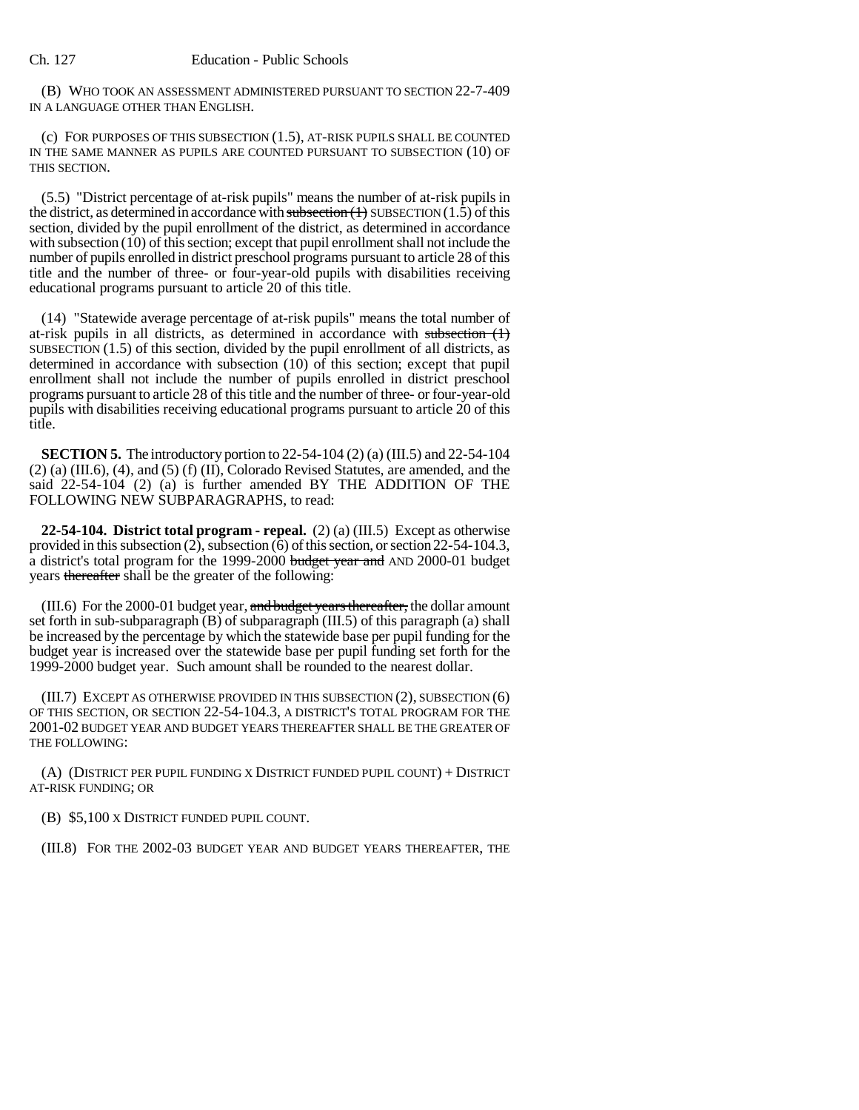(B) WHO TOOK AN ASSESSMENT ADMINISTERED PURSUANT TO SECTION 22-7-409 IN A LANGUAGE OTHER THAN ENGLISH.

(c) FOR PURPOSES OF THIS SUBSECTION (1.5), AT-RISK PUPILS SHALL BE COUNTED IN THE SAME MANNER AS PUPILS ARE COUNTED PURSUANT TO SUBSECTION (10) OF THIS SECTION.

(5.5) "District percentage of at-risk pupils" means the number of at-risk pupils in the district, as determined in accordance with subsection  $(1)$  SUBSECTION  $(1.5)$  of this section, divided by the pupil enrollment of the district, as determined in accordance with subsection (10) of this section; except that pupil enrollment shall not include the number of pupils enrolled in district preschool programs pursuant to article 28 of this title and the number of three- or four-year-old pupils with disabilities receiving educational programs pursuant to article 20 of this title.

(14) "Statewide average percentage of at-risk pupils" means the total number of at-risk pupils in all districts, as determined in accordance with subsection  $(1)$ SUBSECTION (1.5) of this section, divided by the pupil enrollment of all districts, as determined in accordance with subsection (10) of this section; except that pupil enrollment shall not include the number of pupils enrolled in district preschool programs pursuant to article 28 of this title and the number of three- or four-year-old pupils with disabilities receiving educational programs pursuant to article 20 of this title.

**SECTION 5.** The introductory portion to 22-54-104 (2) (a) (III.5) and 22-54-104 (2) (a) (III.6), (4), and (5) (f) (II), Colorado Revised Statutes, are amended, and the said 22-54-104 (2) (a) is further amended BY THE ADDITION OF THE FOLLOWING NEW SUBPARAGRAPHS, to read:

**22-54-104. District total program - repeal.** (2) (a) (III.5) Except as otherwise provided in this subsection (2), subsection (6) of this section, or section 22-54-104.3, a district's total program for the 1999-2000 budget year and AND 2000-01 budget years thereafter shall be the greater of the following:

(III.6) For the 2000-01 budget year, and budget years thereafter, the dollar amount set forth in sub-subparagraph (B) of subparagraph (III.5) of this paragraph (a) shall be increased by the percentage by which the statewide base per pupil funding for the budget year is increased over the statewide base per pupil funding set forth for the 1999-2000 budget year. Such amount shall be rounded to the nearest dollar.

(III.7) EXCEPT AS OTHERWISE PROVIDED IN THIS SUBSECTION (2), SUBSECTION (6) OF THIS SECTION, OR SECTION 22-54-104.3, A DISTRICT'S TOTAL PROGRAM FOR THE 2001-02 BUDGET YEAR AND BUDGET YEARS THEREAFTER SHALL BE THE GREATER OF THE FOLLOWING:

(A) (DISTRICT PER PUPIL FUNDING X DISTRICT FUNDED PUPIL COUNT) + DISTRICT AT-RISK FUNDING; OR

(B) \$5,100 X DISTRICT FUNDED PUPIL COUNT.

(III.8) FOR THE 2002-03 BUDGET YEAR AND BUDGET YEARS THEREAFTER, THE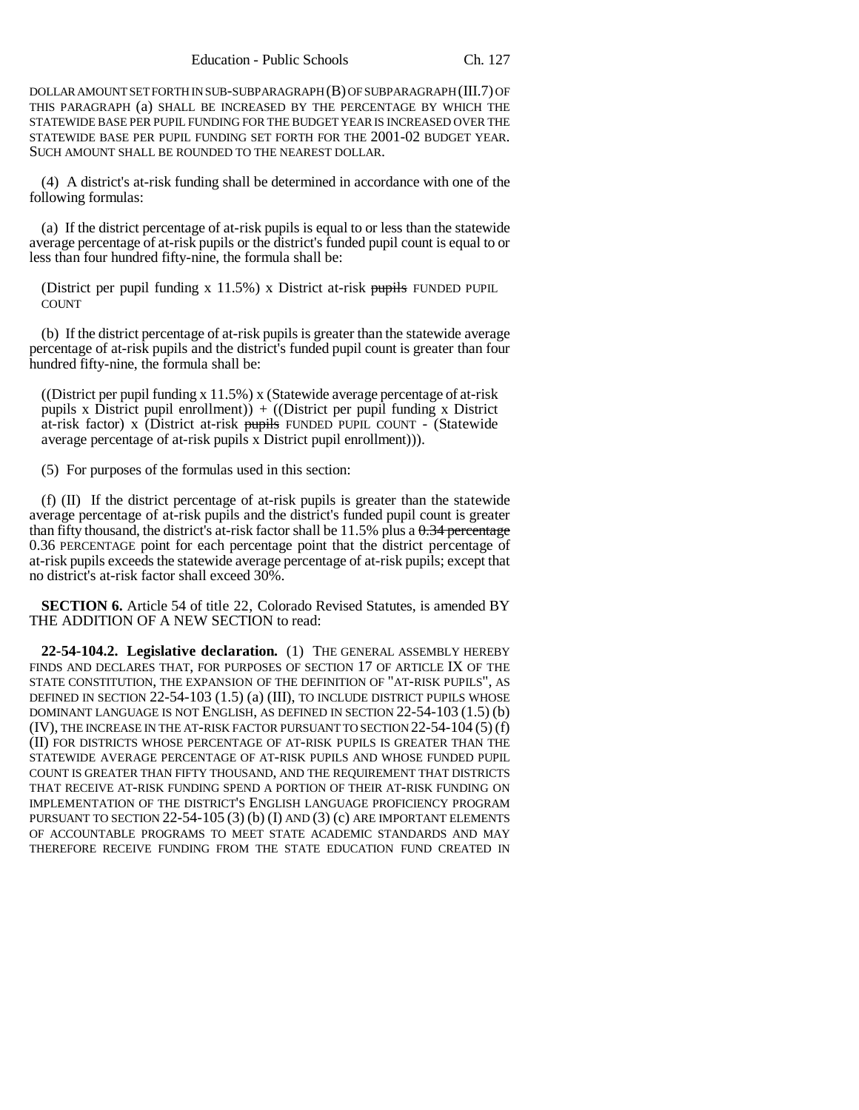DOLLAR AMOUNT SET FORTH IN SUB-SUBPARAGRAPH (B) OF SUBPARAGRAPH (III.7) OF THIS PARAGRAPH (a) SHALL BE INCREASED BY THE PERCENTAGE BY WHICH THE STATEWIDE BASE PER PUPIL FUNDING FOR THE BUDGET YEAR IS INCREASED OVER THE STATEWIDE BASE PER PUPIL FUNDING SET FORTH FOR THE 2001-02 BUDGET YEAR. SUCH AMOUNT SHALL BE ROUNDED TO THE NEAREST DOLLAR.

(4) A district's at-risk funding shall be determined in accordance with one of the following formulas:

(a) If the district percentage of at-risk pupils is equal to or less than the statewide average percentage of at-risk pupils or the district's funded pupil count is equal to or less than four hundred fifty-nine, the formula shall be:

(District per pupil funding x  $11.5\%$ ) x District at-risk pupils FUNDED PUPIL COUNT

(b) If the district percentage of at-risk pupils is greater than the statewide average percentage of at-risk pupils and the district's funded pupil count is greater than four hundred fifty-nine, the formula shall be:

((District per pupil funding x 11.5%) x (Statewide average percentage of at-risk pupils x District pupil enrollment)) + ((District per pupil funding x District at-risk factor) x (District at-risk pupils FUNDED PUPIL COUNT - (Statewide average percentage of at-risk pupils x District pupil enrollment))).

(5) For purposes of the formulas used in this section:

(f) (II) If the district percentage of at-risk pupils is greater than the statewide average percentage of at-risk pupils and the district's funded pupil count is greater than fifty thousand, the district's at-risk factor shall be  $11.5\%$  plus a  $0.34$  percentage 0.36 PERCENTAGE point for each percentage point that the district percentage of at-risk pupils exceeds the statewide average percentage of at-risk pupils; except that no district's at-risk factor shall exceed 30%.

**SECTION 6.** Article 54 of title 22, Colorado Revised Statutes, is amended BY THE ADDITION OF A NEW SECTION to read:

**22-54-104.2. Legislative declaration.** (1) THE GENERAL ASSEMBLY HEREBY FINDS AND DECLARES THAT, FOR PURPOSES OF SECTION 17 OF ARTICLE IX OF THE STATE CONSTITUTION, THE EXPANSION OF THE DEFINITION OF "AT-RISK PUPILS", AS DEFINED IN SECTION 22-54-103 (1.5) (a) (III), TO INCLUDE DISTRICT PUPILS WHOSE DOMINANT LANGUAGE IS NOT ENGLISH, AS DEFINED IN SECTION 22-54-103 (1.5) (b) (IV), THE INCREASE IN THE AT-RISK FACTOR PURSUANT TO SECTION 22-54-104 (5) (f) (II) FOR DISTRICTS WHOSE PERCENTAGE OF AT-RISK PUPILS IS GREATER THAN THE STATEWIDE AVERAGE PERCENTAGE OF AT-RISK PUPILS AND WHOSE FUNDED PUPIL COUNT IS GREATER THAN FIFTY THOUSAND, AND THE REQUIREMENT THAT DISTRICTS THAT RECEIVE AT-RISK FUNDING SPEND A PORTION OF THEIR AT-RISK FUNDING ON IMPLEMENTATION OF THE DISTRICT'S ENGLISH LANGUAGE PROFICIENCY PROGRAM PURSUANT TO SECTION  $22-54-105(3)$  (b) (I) AND (3) (c) ARE IMPORTANT ELEMENTS OF ACCOUNTABLE PROGRAMS TO MEET STATE ACADEMIC STANDARDS AND MAY THEREFORE RECEIVE FUNDING FROM THE STATE EDUCATION FUND CREATED IN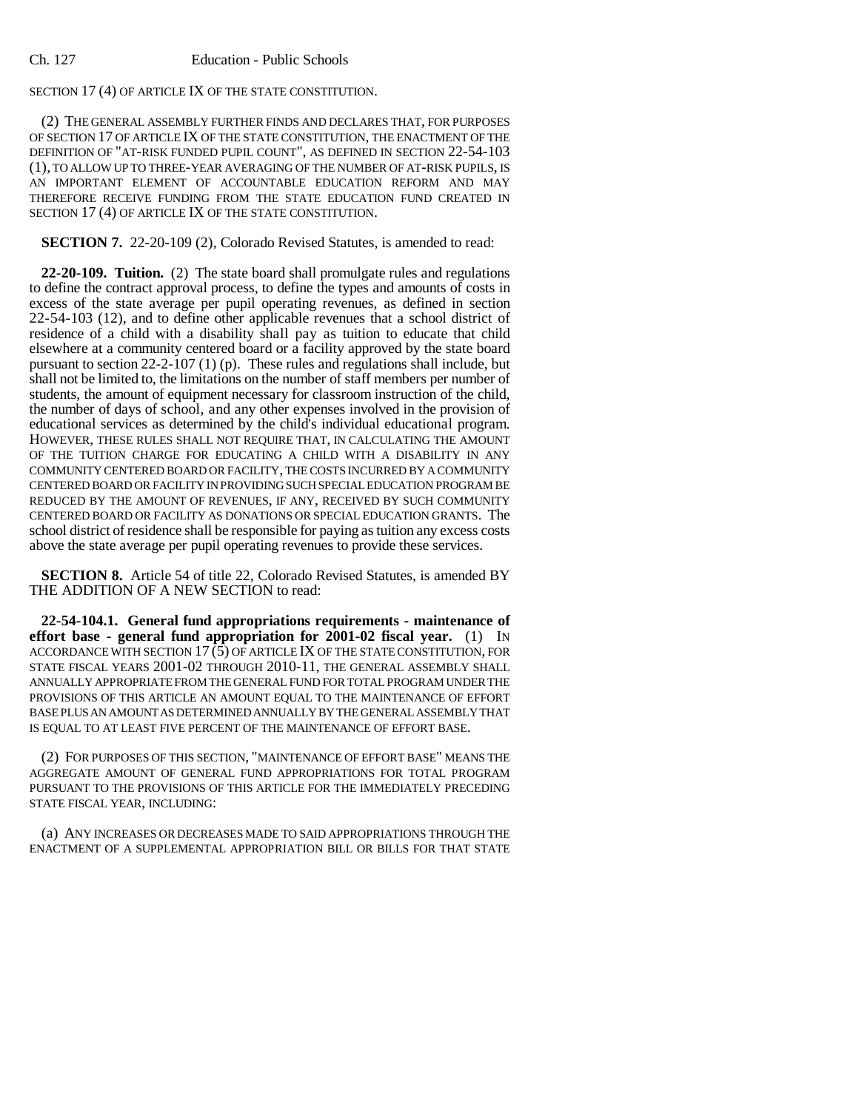## Ch. 127 Education - Public Schools

# SECTION 17 (4) OF ARTICLE IX OF THE STATE CONSTITUTION.

(2) THE GENERAL ASSEMBLY FURTHER FINDS AND DECLARES THAT, FOR PURPOSES OF SECTION 17 OF ARTICLE IX OF THE STATE CONSTITUTION, THE ENACTMENT OF THE DEFINITION OF "AT-RISK FUNDED PUPIL COUNT", AS DEFINED IN SECTION 22-54-103 (1), TO ALLOW UP TO THREE-YEAR AVERAGING OF THE NUMBER OF AT-RISK PUPILS, IS AN IMPORTANT ELEMENT OF ACCOUNTABLE EDUCATION REFORM AND MAY THEREFORE RECEIVE FUNDING FROM THE STATE EDUCATION FUND CREATED IN SECTION 17 (4) OF ARTICLE IX OF THE STATE CONSTITUTION.

## **SECTION 7.** 22-20-109 (2), Colorado Revised Statutes, is amended to read:

**22-20-109. Tuition.** (2) The state board shall promulgate rules and regulations to define the contract approval process, to define the types and amounts of costs in excess of the state average per pupil operating revenues, as defined in section 22-54-103 (12), and to define other applicable revenues that a school district of residence of a child with a disability shall pay as tuition to educate that child elsewhere at a community centered board or a facility approved by the state board pursuant to section 22-2-107 (1) (p). These rules and regulations shall include, but shall not be limited to, the limitations on the number of staff members per number of students, the amount of equipment necessary for classroom instruction of the child, the number of days of school, and any other expenses involved in the provision of educational services as determined by the child's individual educational program. HOWEVER, THESE RULES SHALL NOT REQUIRE THAT, IN CALCULATING THE AMOUNT OF THE TUITION CHARGE FOR EDUCATING A CHILD WITH A DISABILITY IN ANY COMMUNITY CENTERED BOARD OR FACILITY, THE COSTS INCURRED BY A COMMUNITY CENTERED BOARD OR FACILITY IN PROVIDING SUCH SPECIAL EDUCATION PROGRAM BE REDUCED BY THE AMOUNT OF REVENUES, IF ANY, RECEIVED BY SUCH COMMUNITY CENTERED BOARD OR FACILITY AS DONATIONS OR SPECIAL EDUCATION GRANTS. The school district of residence shall be responsible for paying as tuition any excess costs above the state average per pupil operating revenues to provide these services.

**SECTION 8.** Article 54 of title 22, Colorado Revised Statutes, is amended BY THE ADDITION OF A NEW SECTION to read:

**22-54-104.1. General fund appropriations requirements - maintenance of effort base - general fund appropriation for 2001-02 fiscal year.** (1) IN ACCORDANCE WITH SECTION 17 (5) OF ARTICLE IX OF THE STATE CONSTITUTION, FOR STATE FISCAL YEARS 2001-02 THROUGH 2010-11, THE GENERAL ASSEMBLY SHALL ANNUALLY APPROPRIATE FROM THE GENERAL FUND FOR TOTAL PROGRAM UNDER THE PROVISIONS OF THIS ARTICLE AN AMOUNT EQUAL TO THE MAINTENANCE OF EFFORT BASE PLUS AN AMOUNT AS DETERMINED ANNUALLY BY THE GENERAL ASSEMBLY THAT IS EQUAL TO AT LEAST FIVE PERCENT OF THE MAINTENANCE OF EFFORT BASE.

(2) FOR PURPOSES OF THIS SECTION, "MAINTENANCE OF EFFORT BASE" MEANS THE AGGREGATE AMOUNT OF GENERAL FUND APPROPRIATIONS FOR TOTAL PROGRAM PURSUANT TO THE PROVISIONS OF THIS ARTICLE FOR THE IMMEDIATELY PRECEDING STATE FISCAL YEAR, INCLUDING:

(a) ANY INCREASES OR DECREASES MADE TO SAID APPROPRIATIONS THROUGH THE ENACTMENT OF A SUPPLEMENTAL APPROPRIATION BILL OR BILLS FOR THAT STATE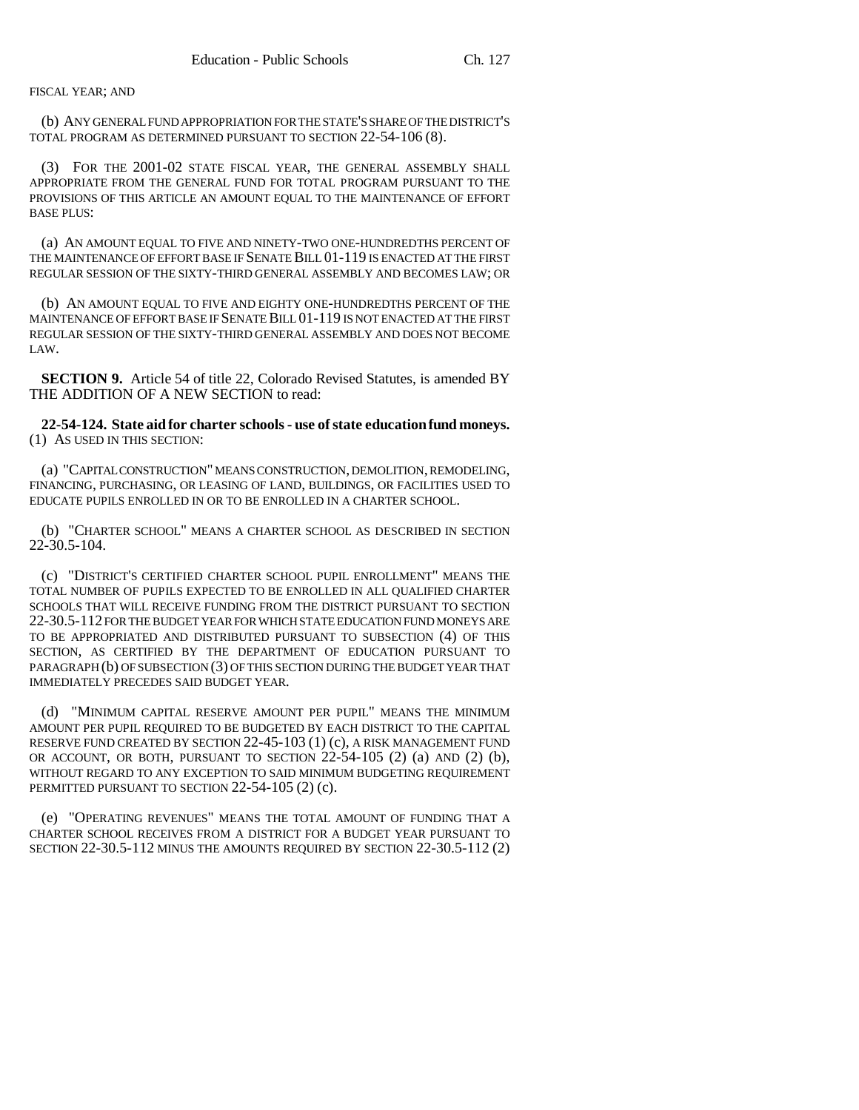### FISCAL YEAR; AND

(b) ANY GENERAL FUND APPROPRIATION FOR THE STATE'S SHARE OF THE DISTRICT'S TOTAL PROGRAM AS DETERMINED PURSUANT TO SECTION 22-54-106 (8).

(3) FOR THE 2001-02 STATE FISCAL YEAR, THE GENERAL ASSEMBLY SHALL APPROPRIATE FROM THE GENERAL FUND FOR TOTAL PROGRAM PURSUANT TO THE PROVISIONS OF THIS ARTICLE AN AMOUNT EQUAL TO THE MAINTENANCE OF EFFORT BASE PLUS:

(a) AN AMOUNT EQUAL TO FIVE AND NINETY-TWO ONE-HUNDREDTHS PERCENT OF THE MAINTENANCE OF EFFORT BASE IF SENATE BILL 01-119 IS ENACTED AT THE FIRST REGULAR SESSION OF THE SIXTY-THIRD GENERAL ASSEMBLY AND BECOMES LAW; OR

(b) AN AMOUNT EQUAL TO FIVE AND EIGHTY ONE-HUNDREDTHS PERCENT OF THE MAINTENANCE OF EFFORT BASE IF SENATE BILL 01-119 IS NOT ENACTED AT THE FIRST REGULAR SESSION OF THE SIXTY-THIRD GENERAL ASSEMBLY AND DOES NOT BECOME LAW.

**SECTION 9.** Article 54 of title 22, Colorado Revised Statutes, is amended BY THE ADDITION OF A NEW SECTION to read:

**22-54-124. State aid for charter schools - use of state education fund moneys.** (1) AS USED IN THIS SECTION:

(a) "CAPITAL CONSTRUCTION" MEANS CONSTRUCTION, DEMOLITION, REMODELING, FINANCING, PURCHASING, OR LEASING OF LAND, BUILDINGS, OR FACILITIES USED TO EDUCATE PUPILS ENROLLED IN OR TO BE ENROLLED IN A CHARTER SCHOOL.

(b) "CHARTER SCHOOL" MEANS A CHARTER SCHOOL AS DESCRIBED IN SECTION 22-30.5-104.

(c) "DISTRICT'S CERTIFIED CHARTER SCHOOL PUPIL ENROLLMENT" MEANS THE TOTAL NUMBER OF PUPILS EXPECTED TO BE ENROLLED IN ALL QUALIFIED CHARTER SCHOOLS THAT WILL RECEIVE FUNDING FROM THE DISTRICT PURSUANT TO SECTION 22-30.5-112 FOR THE BUDGET YEAR FOR WHICH STATE EDUCATION FUND MONEYS ARE TO BE APPROPRIATED AND DISTRIBUTED PURSUANT TO SUBSECTION (4) OF THIS SECTION, AS CERTIFIED BY THE DEPARTMENT OF EDUCATION PURSUANT TO PARAGRAPH (b) OF SUBSECTION (3) OF THIS SECTION DURING THE BUDGET YEAR THAT IMMEDIATELY PRECEDES SAID BUDGET YEAR.

(d) "MINIMUM CAPITAL RESERVE AMOUNT PER PUPIL" MEANS THE MINIMUM AMOUNT PER PUPIL REQUIRED TO BE BUDGETED BY EACH DISTRICT TO THE CAPITAL RESERVE FUND CREATED BY SECTION 22-45-103 (1) (c), A RISK MANAGEMENT FUND OR ACCOUNT, OR BOTH, PURSUANT TO SECTION  $22-54-105$  (2) (a) AND (2) (b), WITHOUT REGARD TO ANY EXCEPTION TO SAID MINIMUM BUDGETING REQUIREMENT PERMITTED PURSUANT TO SECTION 22-54-105 (2) (c).

(e) "OPERATING REVENUES" MEANS THE TOTAL AMOUNT OF FUNDING THAT A CHARTER SCHOOL RECEIVES FROM A DISTRICT FOR A BUDGET YEAR PURSUANT TO SECTION 22-30.5-112 MINUS THE AMOUNTS REQUIRED BY SECTION 22-30.5-112 (2)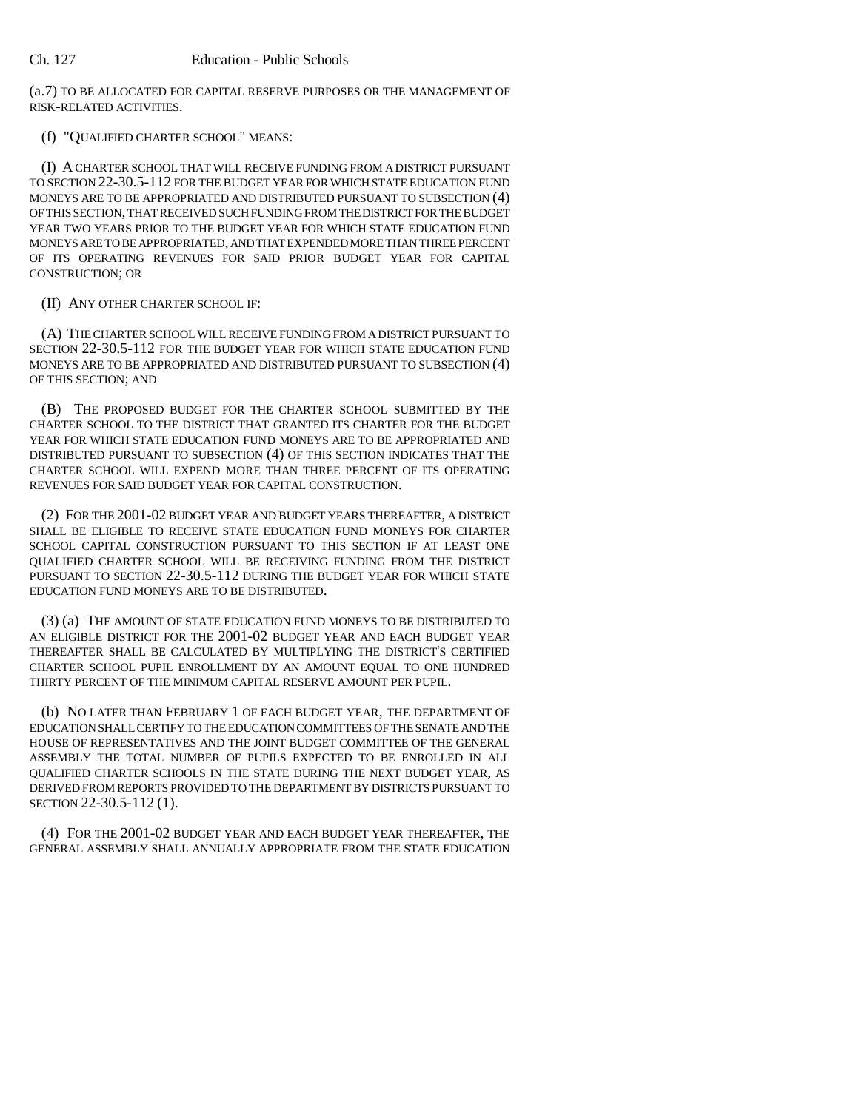(a.7) TO BE ALLOCATED FOR CAPITAL RESERVE PURPOSES OR THE MANAGEMENT OF RISK-RELATED ACTIVITIES.

# (f) "QUALIFIED CHARTER SCHOOL" MEANS:

(I) A CHARTER SCHOOL THAT WILL RECEIVE FUNDING FROM A DISTRICT PURSUANT TO SECTION 22-30.5-112 FOR THE BUDGET YEAR FOR WHICH STATE EDUCATION FUND MONEYS ARE TO BE APPROPRIATED AND DISTRIBUTED PURSUANT TO SUBSECTION (4) OF THIS SECTION, THAT RECEIVED SUCH FUNDING FROM THE DISTRICT FOR THE BUDGET YEAR TWO YEARS PRIOR TO THE BUDGET YEAR FOR WHICH STATE EDUCATION FUND MONEYS ARE TO BE APPROPRIATED, AND THAT EXPENDED MORE THAN THREE PERCENT OF ITS OPERATING REVENUES FOR SAID PRIOR BUDGET YEAR FOR CAPITAL CONSTRUCTION; OR

## (II) ANY OTHER CHARTER SCHOOL IF:

(A) THE CHARTER SCHOOL WILL RECEIVE FUNDING FROM A DISTRICT PURSUANT TO SECTION 22-30.5-112 FOR THE BUDGET YEAR FOR WHICH STATE EDUCATION FUND MONEYS ARE TO BE APPROPRIATED AND DISTRIBUTED PURSUANT TO SUBSECTION (4) OF THIS SECTION; AND

(B) THE PROPOSED BUDGET FOR THE CHARTER SCHOOL SUBMITTED BY THE CHARTER SCHOOL TO THE DISTRICT THAT GRANTED ITS CHARTER FOR THE BUDGET YEAR FOR WHICH STATE EDUCATION FUND MONEYS ARE TO BE APPROPRIATED AND DISTRIBUTED PURSUANT TO SUBSECTION (4) OF THIS SECTION INDICATES THAT THE CHARTER SCHOOL WILL EXPEND MORE THAN THREE PERCENT OF ITS OPERATING REVENUES FOR SAID BUDGET YEAR FOR CAPITAL CONSTRUCTION.

(2) FOR THE 2001-02 BUDGET YEAR AND BUDGET YEARS THEREAFTER, A DISTRICT SHALL BE ELIGIBLE TO RECEIVE STATE EDUCATION FUND MONEYS FOR CHARTER SCHOOL CAPITAL CONSTRUCTION PURSUANT TO THIS SECTION IF AT LEAST ONE QUALIFIED CHARTER SCHOOL WILL BE RECEIVING FUNDING FROM THE DISTRICT PURSUANT TO SECTION 22-30.5-112 DURING THE BUDGET YEAR FOR WHICH STATE EDUCATION FUND MONEYS ARE TO BE DISTRIBUTED.

(3) (a) THE AMOUNT OF STATE EDUCATION FUND MONEYS TO BE DISTRIBUTED TO AN ELIGIBLE DISTRICT FOR THE 2001-02 BUDGET YEAR AND EACH BUDGET YEAR THEREAFTER SHALL BE CALCULATED BY MULTIPLYING THE DISTRICT'S CERTIFIED CHARTER SCHOOL PUPIL ENROLLMENT BY AN AMOUNT EQUAL TO ONE HUNDRED THIRTY PERCENT OF THE MINIMUM CAPITAL RESERVE AMOUNT PER PUPIL.

(b) NO LATER THAN FEBRUARY 1 OF EACH BUDGET YEAR, THE DEPARTMENT OF EDUCATION SHALL CERTIFY TO THE EDUCATION COMMITTEES OF THE SENATE AND THE HOUSE OF REPRESENTATIVES AND THE JOINT BUDGET COMMITTEE OF THE GENERAL ASSEMBLY THE TOTAL NUMBER OF PUPILS EXPECTED TO BE ENROLLED IN ALL QUALIFIED CHARTER SCHOOLS IN THE STATE DURING THE NEXT BUDGET YEAR, AS DERIVED FROM REPORTS PROVIDED TO THE DEPARTMENT BY DISTRICTS PURSUANT TO SECTION 22-30.5-112 (1).

(4) FOR THE 2001-02 BUDGET YEAR AND EACH BUDGET YEAR THEREAFTER, THE GENERAL ASSEMBLY SHALL ANNUALLY APPROPRIATE FROM THE STATE EDUCATION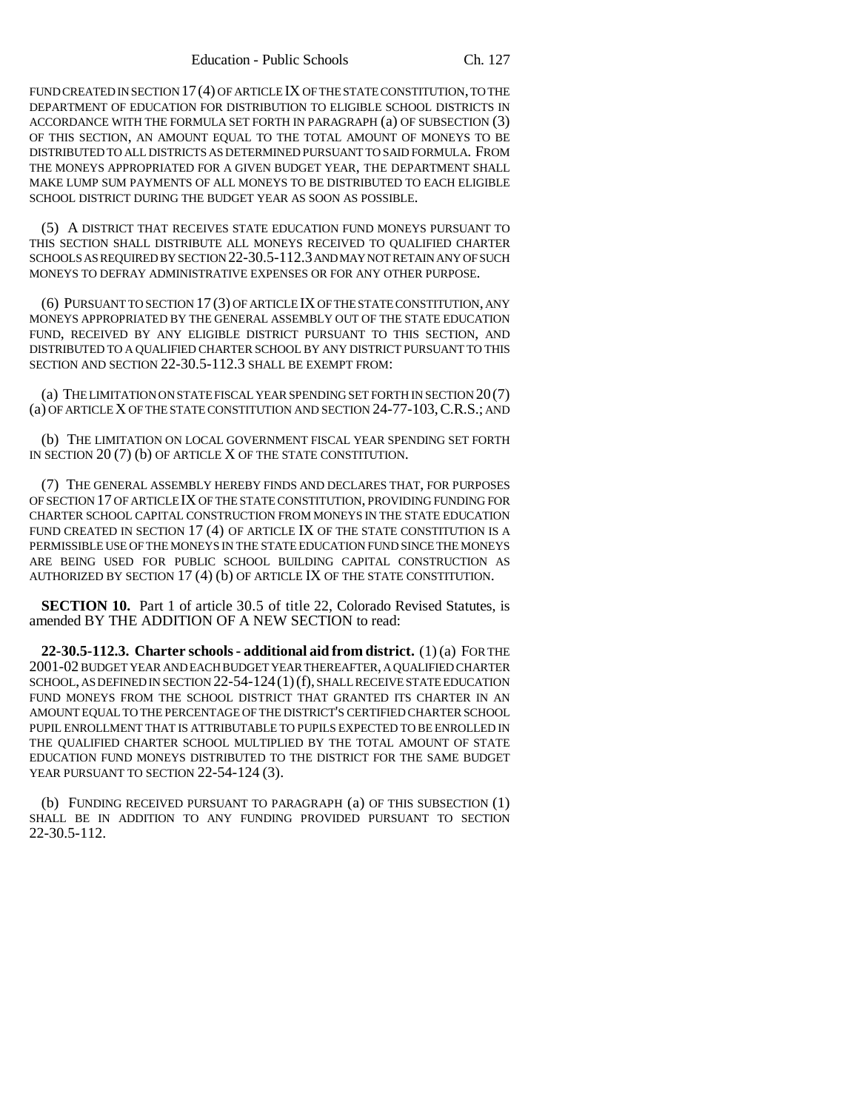FUND CREATED IN SECTION 17(4) OF ARTICLE IX OF THE STATE CONSTITUTION, TO THE DEPARTMENT OF EDUCATION FOR DISTRIBUTION TO ELIGIBLE SCHOOL DISTRICTS IN ACCORDANCE WITH THE FORMULA SET FORTH IN PARAGRAPH (a) OF SUBSECTION (3) OF THIS SECTION, AN AMOUNT EQUAL TO THE TOTAL AMOUNT OF MONEYS TO BE DISTRIBUTED TO ALL DISTRICTS AS DETERMINED PURSUANT TO SAID FORMULA. FROM THE MONEYS APPROPRIATED FOR A GIVEN BUDGET YEAR, THE DEPARTMENT SHALL MAKE LUMP SUM PAYMENTS OF ALL MONEYS TO BE DISTRIBUTED TO EACH ELIGIBLE SCHOOL DISTRICT DURING THE BUDGET YEAR AS SOON AS POSSIBLE.

(5) A DISTRICT THAT RECEIVES STATE EDUCATION FUND MONEYS PURSUANT TO THIS SECTION SHALL DISTRIBUTE ALL MONEYS RECEIVED TO QUALIFIED CHARTER SCHOOLS AS REQUIRED BY SECTION 22-30.5-112.3 AND MAY NOT RETAIN ANY OF SUCH MONEYS TO DEFRAY ADMINISTRATIVE EXPENSES OR FOR ANY OTHER PURPOSE.

(6) PURSUANT TO SECTION 17 (3) OF ARTICLE IX OF THE STATE CONSTITUTION, ANY MONEYS APPROPRIATED BY THE GENERAL ASSEMBLY OUT OF THE STATE EDUCATION FUND, RECEIVED BY ANY ELIGIBLE DISTRICT PURSUANT TO THIS SECTION, AND DISTRIBUTED TO A QUALIFIED CHARTER SCHOOL BY ANY DISTRICT PURSUANT TO THIS SECTION AND SECTION 22-30.5-112.3 SHALL BE EXEMPT FROM:

(a) THE LIMITATION ON STATE FISCAL YEAR SPENDING SET FORTH IN SECTION 20(7) (a) OF ARTICLE X OF THE STATE CONSTITUTION AND SECTION 24-77-103,C.R.S.; AND

(b) THE LIMITATION ON LOCAL GOVERNMENT FISCAL YEAR SPENDING SET FORTH IN SECTION 20 (7) (b) OF ARTICLE X OF THE STATE CONSTITUTION.

(7) THE GENERAL ASSEMBLY HEREBY FINDS AND DECLARES THAT, FOR PURPOSES OF SECTION 17 OF ARTICLE IX OF THE STATE CONSTITUTION, PROVIDING FUNDING FOR CHARTER SCHOOL CAPITAL CONSTRUCTION FROM MONEYS IN THE STATE EDUCATION FUND CREATED IN SECTION 17 (4) OF ARTICLE IX OF THE STATE CONSTITUTION IS A PERMISSIBLE USE OF THE MONEYS IN THE STATE EDUCATION FUND SINCE THE MONEYS ARE BEING USED FOR PUBLIC SCHOOL BUILDING CAPITAL CONSTRUCTION AS AUTHORIZED BY SECTION 17 (4) (b) OF ARTICLE IX OF THE STATE CONSTITUTION.

**SECTION 10.** Part 1 of article 30.5 of title 22, Colorado Revised Statutes, is amended BY THE ADDITION OF A NEW SECTION to read:

**22-30.5-112.3. Charter schools - additional aid from district.** (1) (a) FOR THE 2001-02 BUDGET YEAR AND EACH BUDGET YEAR THEREAFTER, A QUALIFIED CHARTER SCHOOL, AS DEFINED IN SECTION 22-54-124(1)(f), SHALL RECEIVE STATE EDUCATION FUND MONEYS FROM THE SCHOOL DISTRICT THAT GRANTED ITS CHARTER IN AN AMOUNT EQUAL TO THE PERCENTAGE OF THE DISTRICT'S CERTIFIED CHARTER SCHOOL PUPIL ENROLLMENT THAT IS ATTRIBUTABLE TO PUPILS EXPECTED TO BE ENROLLED IN THE QUALIFIED CHARTER SCHOOL MULTIPLIED BY THE TOTAL AMOUNT OF STATE EDUCATION FUND MONEYS DISTRIBUTED TO THE DISTRICT FOR THE SAME BUDGET YEAR PURSUANT TO SECTION 22-54-124 (3).

(b) FUNDING RECEIVED PURSUANT TO PARAGRAPH (a) OF THIS SUBSECTION (1) SHALL BE IN ADDITION TO ANY FUNDING PROVIDED PURSUANT TO SECTION 22-30.5-112.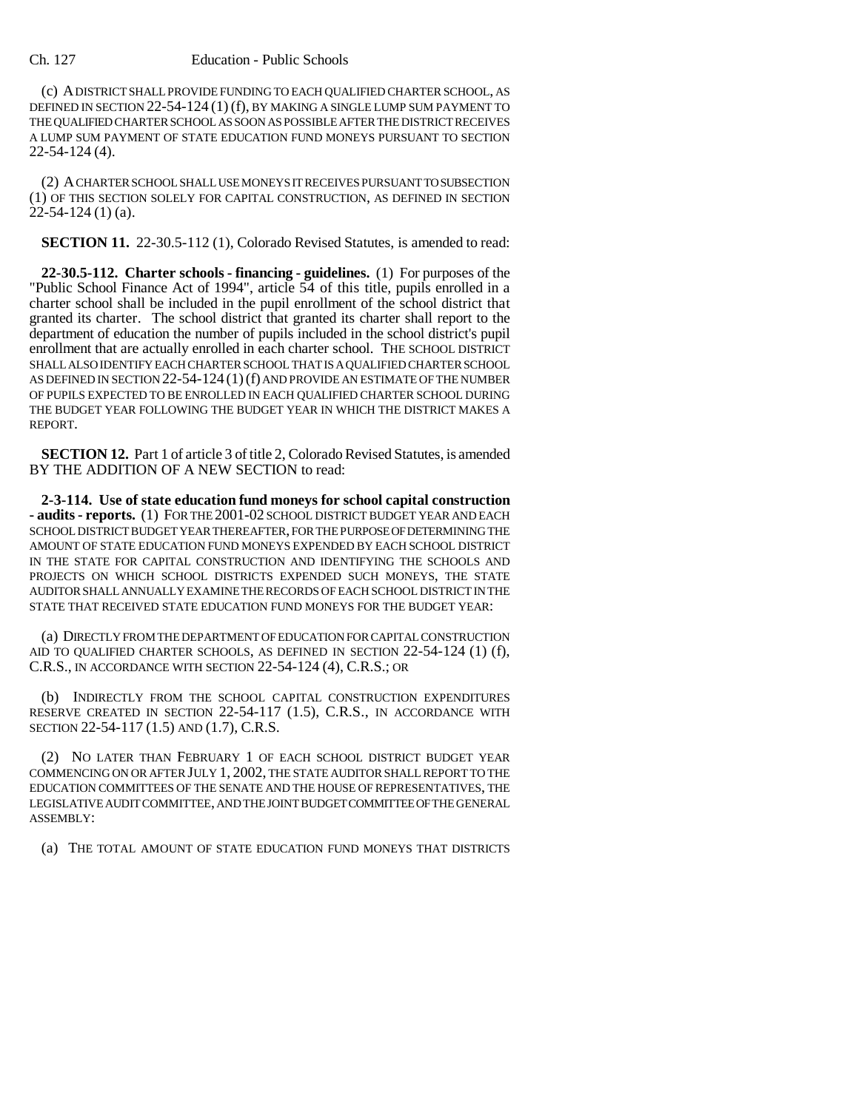#### Ch. 127 Education - Public Schools

(c) A DISTRICT SHALL PROVIDE FUNDING TO EACH QUALIFIED CHARTER SCHOOL, AS DEFINED IN SECTION 22-54-124 (1) (f), BY MAKING A SINGLE LUMP SUM PAYMENT TO THE QUALIFIED CHARTER SCHOOL AS SOON AS POSSIBLE AFTER THE DISTRICT RECEIVES A LUMP SUM PAYMENT OF STATE EDUCATION FUND MONEYS PURSUANT TO SECTION 22-54-124 (4).

(2) A CHARTER SCHOOL SHALL USE MONEYS IT RECEIVES PURSUANT TO SUBSECTION (1) OF THIS SECTION SOLELY FOR CAPITAL CONSTRUCTION, AS DEFINED IN SECTION  $22-54-124$  (1) (a).

**SECTION 11.** 22-30.5-112 (1), Colorado Revised Statutes, is amended to read:

**22-30.5-112. Charter schools - financing - guidelines.** (1) For purposes of the "Public School Finance Act of 1994", article 54 of this title, pupils enrolled in a charter school shall be included in the pupil enrollment of the school district that granted its charter. The school district that granted its charter shall report to the department of education the number of pupils included in the school district's pupil enrollment that are actually enrolled in each charter school. THE SCHOOL DISTRICT SHALL ALSO IDENTIFY EACH CHARTER SCHOOL THAT IS A QUALIFIED CHARTER SCHOOL AS DEFINED IN SECTION 22-54-124 (1)(f) AND PROVIDE AN ESTIMATE OF THE NUMBER OF PUPILS EXPECTED TO BE ENROLLED IN EACH QUALIFIED CHARTER SCHOOL DURING THE BUDGET YEAR FOLLOWING THE BUDGET YEAR IN WHICH THE DISTRICT MAKES A REPORT.

**SECTION 12.** Part 1 of article 3 of title 2, Colorado Revised Statutes, is amended BY THE ADDITION OF A NEW SECTION to read:

**2-3-114. Use of state education fund moneys for school capital construction - audits - reports.** (1) FOR THE 2001-02 SCHOOL DISTRICT BUDGET YEAR AND EACH SCHOOL DISTRICT BUDGET YEAR THEREAFTER, FOR THE PURPOSE OF DETERMINING THE AMOUNT OF STATE EDUCATION FUND MONEYS EXPENDED BY EACH SCHOOL DISTRICT IN THE STATE FOR CAPITAL CONSTRUCTION AND IDENTIFYING THE SCHOOLS AND PROJECTS ON WHICH SCHOOL DISTRICTS EXPENDED SUCH MONEYS, THE STATE AUDITOR SHALL ANNUALLY EXAMINE THE RECORDS OF EACH SCHOOL DISTRICT IN THE STATE THAT RECEIVED STATE EDUCATION FUND MONEYS FOR THE BUDGET YEAR:

(a) DIRECTLY FROM THE DEPARTMENT OF EDUCATION FOR CAPITAL CONSTRUCTION AID TO QUALIFIED CHARTER SCHOOLS, AS DEFINED IN SECTION 22-54-124 (1) (f), C.R.S., IN ACCORDANCE WITH SECTION 22-54-124 (4), C.R.S.; OR

(b) INDIRECTLY FROM THE SCHOOL CAPITAL CONSTRUCTION EXPENDITURES RESERVE CREATED IN SECTION 22-54-117 (1.5), C.R.S., IN ACCORDANCE WITH SECTION 22-54-117 (1.5) AND (1.7), C.R.S.

(2) NO LATER THAN FEBRUARY 1 OF EACH SCHOOL DISTRICT BUDGET YEAR COMMENCING ON OR AFTER JULY 1, 2002, THE STATE AUDITOR SHALL REPORT TO THE EDUCATION COMMITTEES OF THE SENATE AND THE HOUSE OF REPRESENTATIVES, THE LEGISLATIVE AUDIT COMMITTEE, AND THE JOINT BUDGET COMMITTEE OF THE GENERAL ASSEMBLY:

(a) THE TOTAL AMOUNT OF STATE EDUCATION FUND MONEYS THAT DISTRICTS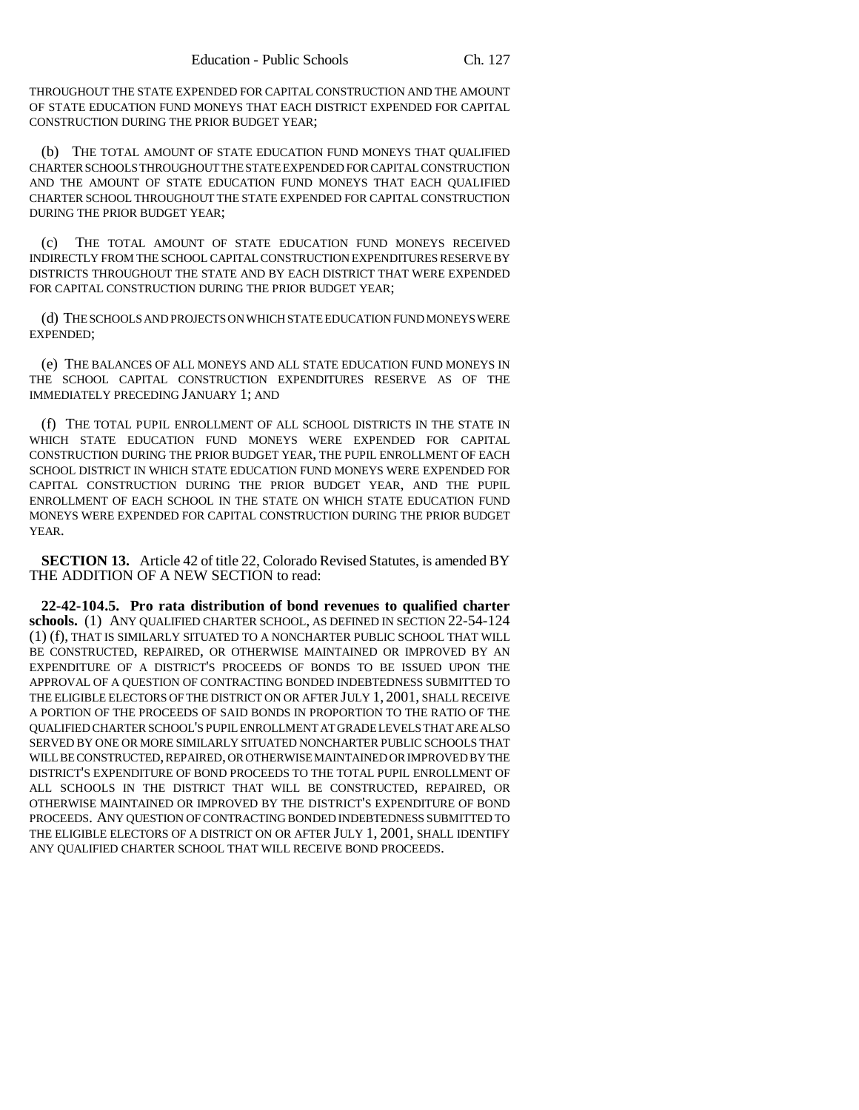THROUGHOUT THE STATE EXPENDED FOR CAPITAL CONSTRUCTION AND THE AMOUNT OF STATE EDUCATION FUND MONEYS THAT EACH DISTRICT EXPENDED FOR CAPITAL CONSTRUCTION DURING THE PRIOR BUDGET YEAR;

(b) THE TOTAL AMOUNT OF STATE EDUCATION FUND MONEYS THAT QUALIFIED CHARTER SCHOOLS THROUGHOUT THE STATE EXPENDED FOR CAPITAL CONSTRUCTION AND THE AMOUNT OF STATE EDUCATION FUND MONEYS THAT EACH QUALIFIED CHARTER SCHOOL THROUGHOUT THE STATE EXPENDED FOR CAPITAL CONSTRUCTION DURING THE PRIOR BUDGET YEAR;

(c) THE TOTAL AMOUNT OF STATE EDUCATION FUND MONEYS RECEIVED INDIRECTLY FROM THE SCHOOL CAPITAL CONSTRUCTION EXPENDITURES RESERVE BY DISTRICTS THROUGHOUT THE STATE AND BY EACH DISTRICT THAT WERE EXPENDED FOR CAPITAL CONSTRUCTION DURING THE PRIOR BUDGET YEAR;

(d) THE SCHOOLS AND PROJECTS ON WHICH STATE EDUCATION FUND MONEYS WERE EXPENDED;

(e) THE BALANCES OF ALL MONEYS AND ALL STATE EDUCATION FUND MONEYS IN THE SCHOOL CAPITAL CONSTRUCTION EXPENDITURES RESERVE AS OF THE IMMEDIATELY PRECEDING JANUARY 1; AND

(f) THE TOTAL PUPIL ENROLLMENT OF ALL SCHOOL DISTRICTS IN THE STATE IN WHICH STATE EDUCATION FUND MONEYS WERE EXPENDED FOR CAPITAL CONSTRUCTION DURING THE PRIOR BUDGET YEAR, THE PUPIL ENROLLMENT OF EACH SCHOOL DISTRICT IN WHICH STATE EDUCATION FUND MONEYS WERE EXPENDED FOR CAPITAL CONSTRUCTION DURING THE PRIOR BUDGET YEAR, AND THE PUPIL ENROLLMENT OF EACH SCHOOL IN THE STATE ON WHICH STATE EDUCATION FUND MONEYS WERE EXPENDED FOR CAPITAL CONSTRUCTION DURING THE PRIOR BUDGET YEAR.

**SECTION 13.** Article 42 of title 22, Colorado Revised Statutes, is amended BY THE ADDITION OF A NEW SECTION to read:

**22-42-104.5. Pro rata distribution of bond revenues to qualified charter schools.** (1) ANY QUALIFIED CHARTER SCHOOL, AS DEFINED IN SECTION 22-54-124 (1) (f), THAT IS SIMILARLY SITUATED TO A NONCHARTER PUBLIC SCHOOL THAT WILL BE CONSTRUCTED, REPAIRED, OR OTHERWISE MAINTAINED OR IMPROVED BY AN EXPENDITURE OF A DISTRICT'S PROCEEDS OF BONDS TO BE ISSUED UPON THE APPROVAL OF A QUESTION OF CONTRACTING BONDED INDEBTEDNESS SUBMITTED TO THE ELIGIBLE ELECTORS OF THE DISTRICT ON OR AFTER JULY 1, 2001, SHALL RECEIVE A PORTION OF THE PROCEEDS OF SAID BONDS IN PROPORTION TO THE RATIO OF THE QUALIFIED CHARTER SCHOOL'S PUPIL ENROLLMENT AT GRADE LEVELS THAT ARE ALSO SERVED BY ONE OR MORE SIMILARLY SITUATED NONCHARTER PUBLIC SCHOOLS THAT WILL BE CONSTRUCTED, REPAIRED, OR OTHERWISE MAINTAINED OR IMPROVED BY THE DISTRICT'S EXPENDITURE OF BOND PROCEEDS TO THE TOTAL PUPIL ENROLLMENT OF ALL SCHOOLS IN THE DISTRICT THAT WILL BE CONSTRUCTED, REPAIRED, OR OTHERWISE MAINTAINED OR IMPROVED BY THE DISTRICT'S EXPENDITURE OF BOND PROCEEDS. ANY QUESTION OF CONTRACTING BONDED INDEBTEDNESS SUBMITTED TO THE ELIGIBLE ELECTORS OF A DISTRICT ON OR AFTER JULY 1, 2001, SHALL IDENTIFY ANY QUALIFIED CHARTER SCHOOL THAT WILL RECEIVE BOND PROCEEDS.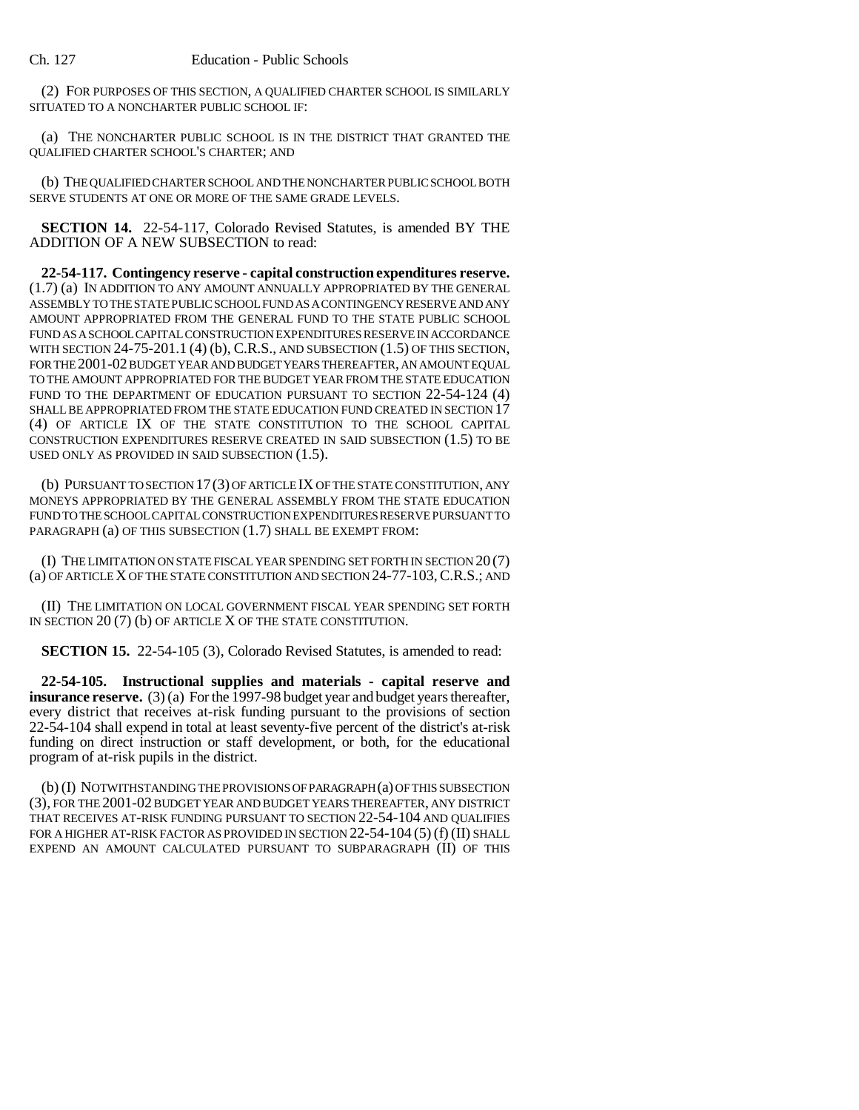(2) FOR PURPOSES OF THIS SECTION, A QUALIFIED CHARTER SCHOOL IS SIMILARLY SITUATED TO A NONCHARTER PUBLIC SCHOOL IF:

(a) THE NONCHARTER PUBLIC SCHOOL IS IN THE DISTRICT THAT GRANTED THE QUALIFIED CHARTER SCHOOL'S CHARTER; AND

(b) THE QUALIFIED CHARTER SCHOOL AND THE NONCHARTER PUBLIC SCHOOL BOTH SERVE STUDENTS AT ONE OR MORE OF THE SAME GRADE LEVELS.

**SECTION 14.** 22-54-117, Colorado Revised Statutes, is amended BY THE ADDITION OF A NEW SUBSECTION to read:

**22-54-117. Contingency reserve - capital construction expenditures reserve.** (1.7) (a) IN ADDITION TO ANY AMOUNT ANNUALLY APPROPRIATED BY THE GENERAL ASSEMBLY TO THE STATE PUBLIC SCHOOL FUND AS A CONTINGENCY RESERVE AND ANY AMOUNT APPROPRIATED FROM THE GENERAL FUND TO THE STATE PUBLIC SCHOOL FUND AS A SCHOOL CAPITAL CONSTRUCTION EXPENDITURES RESERVE IN ACCORDANCE WITH SECTION  $24-75-201.1$  (4) (b), C.R.S., AND SUBSECTION  $(1.5)$  OF THIS SECTION, FOR THE 2001-02 BUDGET YEAR AND BUDGET YEARS THEREAFTER, AN AMOUNT EQUAL TO THE AMOUNT APPROPRIATED FOR THE BUDGET YEAR FROM THE STATE EDUCATION FUND TO THE DEPARTMENT OF EDUCATION PURSUANT TO SECTION 22-54-124 (4) SHALL BE APPROPRIATED FROM THE STATE EDUCATION FUND CREATED IN SECTION 17 (4) OF ARTICLE IX OF THE STATE CONSTITUTION TO THE SCHOOL CAPITAL CONSTRUCTION EXPENDITURES RESERVE CREATED IN SAID SUBSECTION (1.5) TO BE USED ONLY AS PROVIDED IN SAID SUBSECTION (1.5).

(b) PURSUANT TO SECTION 17(3) OF ARTICLE IX OF THE STATE CONSTITUTION, ANY MONEYS APPROPRIATED BY THE GENERAL ASSEMBLY FROM THE STATE EDUCATION FUND TO THE SCHOOL CAPITAL CONSTRUCTION EXPENDITURES RESERVE PURSUANT TO PARAGRAPH (a) OF THIS SUBSECTION (1.7) SHALL BE EXEMPT FROM:

(I) THE LIMITATION ON STATE FISCAL YEAR SPENDING SET FORTH IN SECTION 20 (7) (a) OF ARTICLE X OF THE STATE CONSTITUTION AND SECTION 24-77-103,C.R.S.; AND

(II) THE LIMITATION ON LOCAL GOVERNMENT FISCAL YEAR SPENDING SET FORTH IN SECTION 20 (7) (b) OF ARTICLE X OF THE STATE CONSTITUTION.

**SECTION 15.** 22-54-105 (3), Colorado Revised Statutes, is amended to read:

**22-54-105. Instructional supplies and materials - capital reserve and insurance reserve.** (3) (a) For the 1997-98 budget year and budget years thereafter, every district that receives at-risk funding pursuant to the provisions of section 22-54-104 shall expend in total at least seventy-five percent of the district's at-risk funding on direct instruction or staff development, or both, for the educational program of at-risk pupils in the district.

(b) (I) NOTWITHSTANDING THE PROVISIONS OF PARAGRAPH (a) OF THIS SUBSECTION (3), FOR THE 2001-02 BUDGET YEAR AND BUDGET YEARS THEREAFTER, ANY DISTRICT THAT RECEIVES AT-RISK FUNDING PURSUANT TO SECTION 22-54-104 AND QUALIFIES FOR A HIGHER AT-RISK FACTOR AS PROVIDED IN SECTION 22-54-104 (5) (f) (II) SHALL EXPEND AN AMOUNT CALCULATED PURSUANT TO SUBPARAGRAPH (II) OF THIS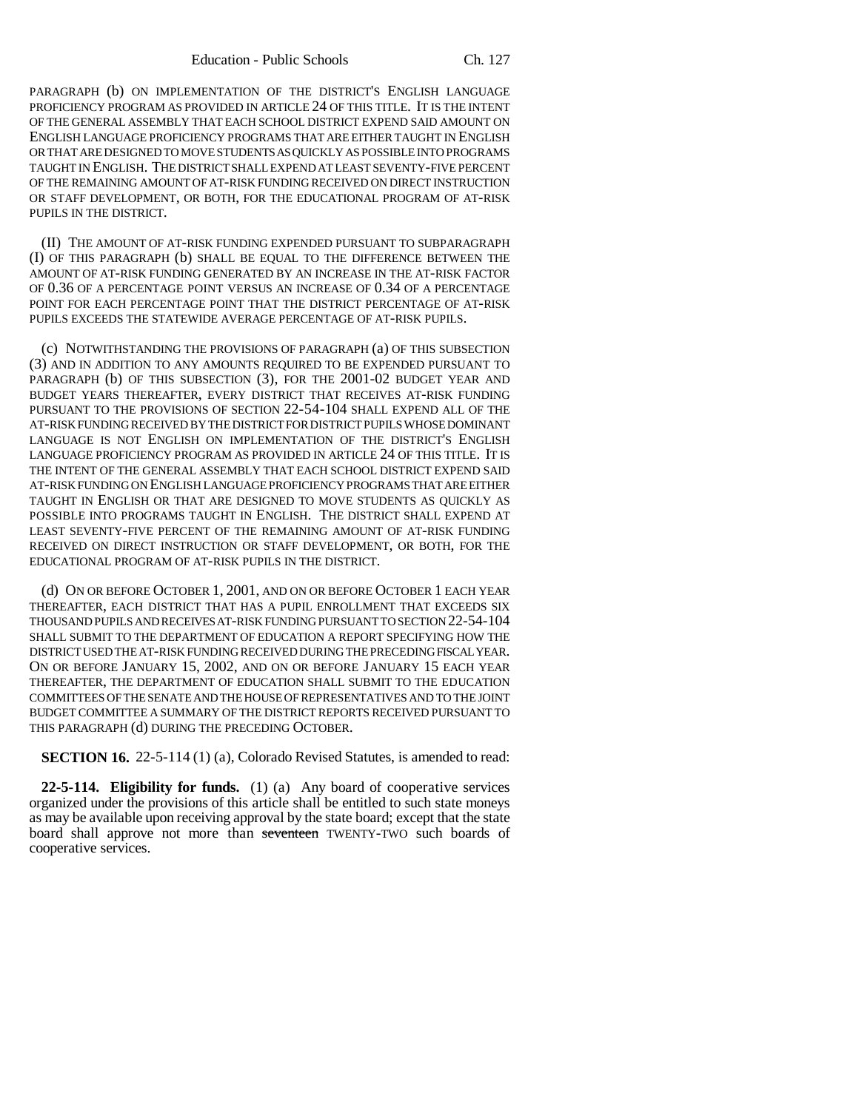PARAGRAPH (b) ON IMPLEMENTATION OF THE DISTRICT'S ENGLISH LANGUAGE PROFICIENCY PROGRAM AS PROVIDED IN ARTICLE 24 OF THIS TITLE. IT IS THE INTENT OF THE GENERAL ASSEMBLY THAT EACH SCHOOL DISTRICT EXPEND SAID AMOUNT ON ENGLISH LANGUAGE PROFICIENCY PROGRAMS THAT ARE EITHER TAUGHT IN ENGLISH OR THAT ARE DESIGNED TO MOVE STUDENTS AS QUICKLY AS POSSIBLE INTO PROGRAMS TAUGHT IN ENGLISH. THE DISTRICT SHALL EXPEND AT LEAST SEVENTY-FIVE PERCENT OF THE REMAINING AMOUNT OF AT-RISK FUNDING RECEIVED ON DIRECT INSTRUCTION OR STAFF DEVELOPMENT, OR BOTH, FOR THE EDUCATIONAL PROGRAM OF AT-RISK PUPILS IN THE DISTRICT.

(II) THE AMOUNT OF AT-RISK FUNDING EXPENDED PURSUANT TO SUBPARAGRAPH (I) OF THIS PARAGRAPH (b) SHALL BE EQUAL TO THE DIFFERENCE BETWEEN THE AMOUNT OF AT-RISK FUNDING GENERATED BY AN INCREASE IN THE AT-RISK FACTOR OF 0.36 OF A PERCENTAGE POINT VERSUS AN INCREASE OF 0.34 OF A PERCENTAGE POINT FOR EACH PERCENTAGE POINT THAT THE DISTRICT PERCENTAGE OF AT-RISK PUPILS EXCEEDS THE STATEWIDE AVERAGE PERCENTAGE OF AT-RISK PUPILS.

(c) NOTWITHSTANDING THE PROVISIONS OF PARAGRAPH (a) OF THIS SUBSECTION (3) AND IN ADDITION TO ANY AMOUNTS REQUIRED TO BE EXPENDED PURSUANT TO PARAGRAPH (b) OF THIS SUBSECTION (3), FOR THE 2001-02 BUDGET YEAR AND BUDGET YEARS THEREAFTER, EVERY DISTRICT THAT RECEIVES AT-RISK FUNDING PURSUANT TO THE PROVISIONS OF SECTION 22-54-104 SHALL EXPEND ALL OF THE AT-RISK FUNDING RECEIVED BY THE DISTRICT FOR DISTRICT PUPILS WHOSE DOMINANT LANGUAGE IS NOT ENGLISH ON IMPLEMENTATION OF THE DISTRICT'S ENGLISH LANGUAGE PROFICIENCY PROGRAM AS PROVIDED IN ARTICLE 24 OF THIS TITLE. IT IS THE INTENT OF THE GENERAL ASSEMBLY THAT EACH SCHOOL DISTRICT EXPEND SAID AT-RISK FUNDING ON ENGLISH LANGUAGE PROFICIENCY PROGRAMS THAT ARE EITHER TAUGHT IN ENGLISH OR THAT ARE DESIGNED TO MOVE STUDENTS AS QUICKLY AS POSSIBLE INTO PROGRAMS TAUGHT IN ENGLISH. THE DISTRICT SHALL EXPEND AT LEAST SEVENTY-FIVE PERCENT OF THE REMAINING AMOUNT OF AT-RISK FUNDING RECEIVED ON DIRECT INSTRUCTION OR STAFF DEVELOPMENT, OR BOTH, FOR THE EDUCATIONAL PROGRAM OF AT-RISK PUPILS IN THE DISTRICT.

(d) ON OR BEFORE OCTOBER 1, 2001, AND ON OR BEFORE OCTOBER 1 EACH YEAR THEREAFTER, EACH DISTRICT THAT HAS A PUPIL ENROLLMENT THAT EXCEEDS SIX THOUSAND PUPILS AND RECEIVES AT-RISK FUNDING PURSUANT TO SECTION 22-54-104 SHALL SUBMIT TO THE DEPARTMENT OF EDUCATION A REPORT SPECIFYING HOW THE DISTRICT USED THE AT-RISK FUNDING RECEIVED DURING THE PRECEDING FISCAL YEAR. ON OR BEFORE JANUARY 15, 2002, AND ON OR BEFORE JANUARY 15 EACH YEAR THEREAFTER, THE DEPARTMENT OF EDUCATION SHALL SUBMIT TO THE EDUCATION COMMITTEES OF THE SENATE AND THE HOUSE OF REPRESENTATIVES AND TO THE JOINT BUDGET COMMITTEE A SUMMARY OF THE DISTRICT REPORTS RECEIVED PURSUANT TO THIS PARAGRAPH (d) DURING THE PRECEDING OCTOBER.

**SECTION 16.** 22-5-114 (1) (a), Colorado Revised Statutes, is amended to read:

**22-5-114. Eligibility for funds.** (1) (a) Any board of cooperative services organized under the provisions of this article shall be entitled to such state moneys as may be available upon receiving approval by the state board; except that the state board shall approve not more than seventeen TWENTY-TWO such boards of cooperative services.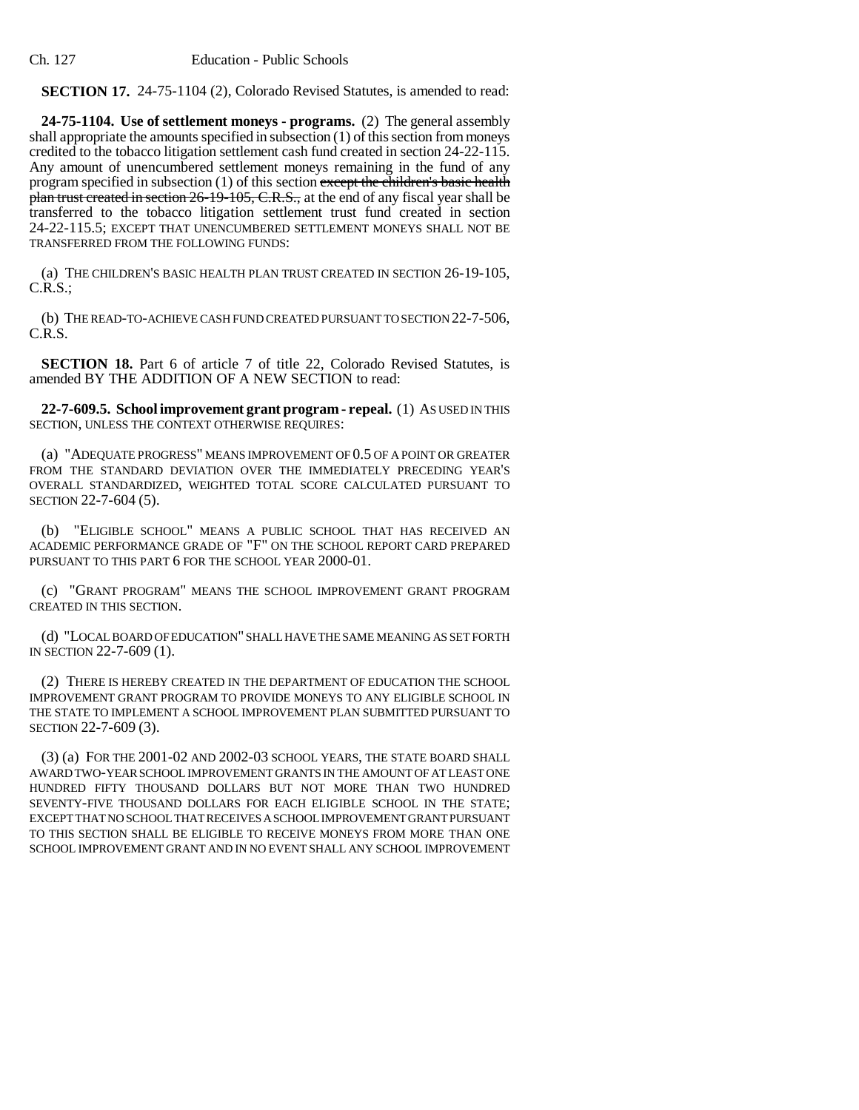Ch. 127 Education - Public Schools

**SECTION 17.** 24-75-1104 (2), Colorado Revised Statutes, is amended to read:

**24-75-1104. Use of settlement moneys - programs.** (2) The general assembly shall appropriate the amounts specified in subsection (1) of this section from moneys credited to the tobacco litigation settlement cash fund created in section 24-22-115. Any amount of unencumbered settlement moneys remaining in the fund of any program specified in subsection  $(1)$  of this section except the children's basic health plan trust created in section 26-19-105, C.R.S., at the end of any fiscal year shall be transferred to the tobacco litigation settlement trust fund created in section 24-22-115.5; EXCEPT THAT UNENCUMBERED SETTLEMENT MONEYS SHALL NOT BE TRANSFERRED FROM THE FOLLOWING FUNDS:

(a) THE CHILDREN'S BASIC HEALTH PLAN TRUST CREATED IN SECTION 26-19-105, C.R.S.;

(b) THE READ-TO-ACHIEVE CASH FUND CREATED PURSUANT TO SECTION 22-7-506, C.R.S.

**SECTION 18.** Part 6 of article 7 of title 22, Colorado Revised Statutes, is amended BY THE ADDITION OF A NEW SECTION to read:

**22-7-609.5. School improvement grant program - repeal.** (1) AS USED IN THIS SECTION, UNLESS THE CONTEXT OTHERWISE REQUIRES:

(a) "ADEQUATE PROGRESS" MEANS IMPROVEMENT OF 0.5 OF A POINT OR GREATER FROM THE STANDARD DEVIATION OVER THE IMMEDIATELY PRECEDING YEAR'S OVERALL STANDARDIZED, WEIGHTED TOTAL SCORE CALCULATED PURSUANT TO SECTION 22-7-604 (5).

(b) "ELIGIBLE SCHOOL" MEANS A PUBLIC SCHOOL THAT HAS RECEIVED AN ACADEMIC PERFORMANCE GRADE OF "F" ON THE SCHOOL REPORT CARD PREPARED PURSUANT TO THIS PART 6 FOR THE SCHOOL YEAR 2000-01.

(c) "GRANT PROGRAM" MEANS THE SCHOOL IMPROVEMENT GRANT PROGRAM CREATED IN THIS SECTION.

(d) "LOCAL BOARD OF EDUCATION" SHALL HAVE THE SAME MEANING AS SET FORTH IN SECTION 22-7-609 (1).

(2) THERE IS HEREBY CREATED IN THE DEPARTMENT OF EDUCATION THE SCHOOL IMPROVEMENT GRANT PROGRAM TO PROVIDE MONEYS TO ANY ELIGIBLE SCHOOL IN THE STATE TO IMPLEMENT A SCHOOL IMPROVEMENT PLAN SUBMITTED PURSUANT TO SECTION 22-7-609 (3).

(3) (a) FOR THE 2001-02 AND 2002-03 SCHOOL YEARS, THE STATE BOARD SHALL AWARD TWO-YEAR SCHOOL IMPROVEMENT GRANTS IN THE AMOUNT OF AT LEAST ONE HUNDRED FIFTY THOUSAND DOLLARS BUT NOT MORE THAN TWO HUNDRED SEVENTY-FIVE THOUSAND DOLLARS FOR EACH ELIGIBLE SCHOOL IN THE STATE; EXCEPT THAT NO SCHOOL THAT RECEIVES A SCHOOL IMPROVEMENT GRANT PURSUANT TO THIS SECTION SHALL BE ELIGIBLE TO RECEIVE MONEYS FROM MORE THAN ONE SCHOOL IMPROVEMENT GRANT AND IN NO EVENT SHALL ANY SCHOOL IMPROVEMENT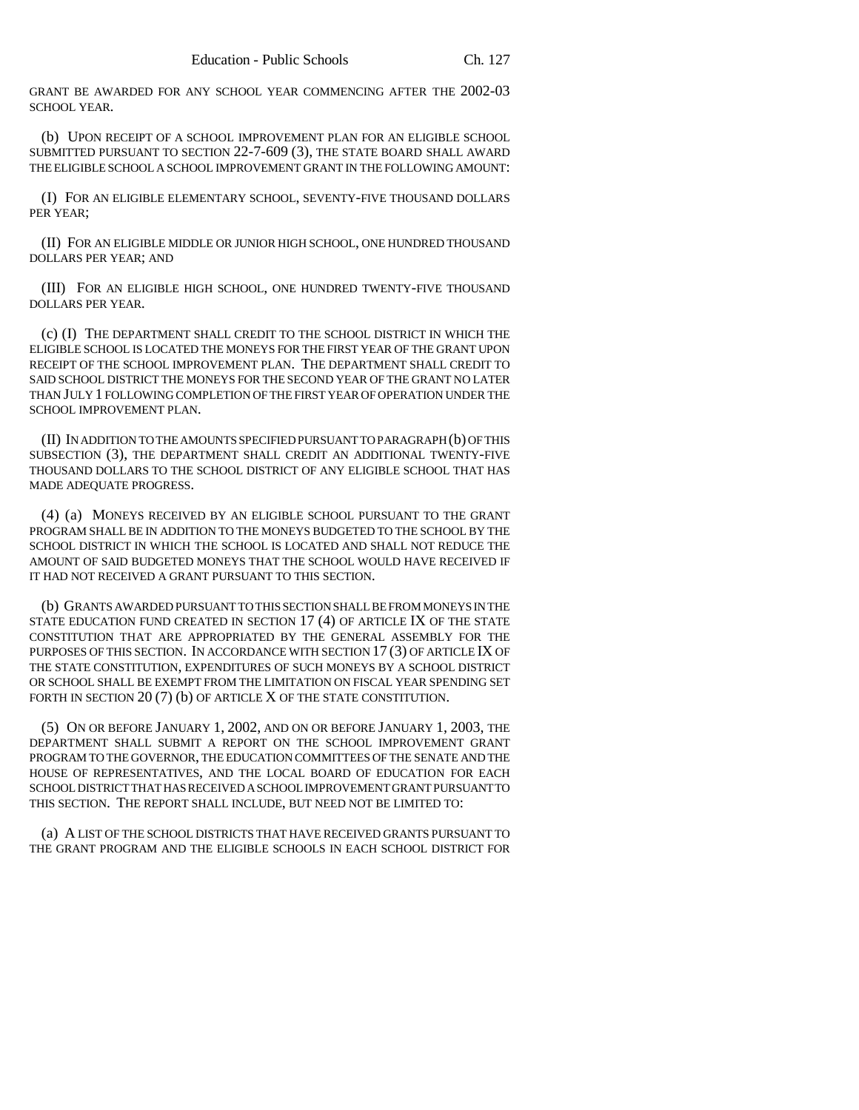GRANT BE AWARDED FOR ANY SCHOOL YEAR COMMENCING AFTER THE 2002-03 SCHOOL YEAR.

(b) UPON RECEIPT OF A SCHOOL IMPROVEMENT PLAN FOR AN ELIGIBLE SCHOOL SUBMITTED PURSUANT TO SECTION 22-7-609 (3), THE STATE BOARD SHALL AWARD THE ELIGIBLE SCHOOL A SCHOOL IMPROVEMENT GRANT IN THE FOLLOWING AMOUNT:

(I) FOR AN ELIGIBLE ELEMENTARY SCHOOL, SEVENTY-FIVE THOUSAND DOLLARS PER YEAR;

(II) FOR AN ELIGIBLE MIDDLE OR JUNIOR HIGH SCHOOL, ONE HUNDRED THOUSAND DOLLARS PER YEAR; AND

(III) FOR AN ELIGIBLE HIGH SCHOOL, ONE HUNDRED TWENTY-FIVE THOUSAND DOLLARS PER YEAR.

(c) (I) THE DEPARTMENT SHALL CREDIT TO THE SCHOOL DISTRICT IN WHICH THE ELIGIBLE SCHOOL IS LOCATED THE MONEYS FOR THE FIRST YEAR OF THE GRANT UPON RECEIPT OF THE SCHOOL IMPROVEMENT PLAN. THE DEPARTMENT SHALL CREDIT TO SAID SCHOOL DISTRICT THE MONEYS FOR THE SECOND YEAR OF THE GRANT NO LATER THAN JULY 1 FOLLOWING COMPLETION OF THE FIRST YEAR OF OPERATION UNDER THE SCHOOL IMPROVEMENT PLAN.

(II) IN ADDITION TO THE AMOUNTS SPECIFIED PURSUANT TO PARAGRAPH (b) OF THIS SUBSECTION (3), THE DEPARTMENT SHALL CREDIT AN ADDITIONAL TWENTY-FIVE THOUSAND DOLLARS TO THE SCHOOL DISTRICT OF ANY ELIGIBLE SCHOOL THAT HAS MADE ADEQUATE PROGRESS.

(4) (a) MONEYS RECEIVED BY AN ELIGIBLE SCHOOL PURSUANT TO THE GRANT PROGRAM SHALL BE IN ADDITION TO THE MONEYS BUDGETED TO THE SCHOOL BY THE SCHOOL DISTRICT IN WHICH THE SCHOOL IS LOCATED AND SHALL NOT REDUCE THE AMOUNT OF SAID BUDGETED MONEYS THAT THE SCHOOL WOULD HAVE RECEIVED IF IT HAD NOT RECEIVED A GRANT PURSUANT TO THIS SECTION.

(b) GRANTS AWARDED PURSUANT TO THIS SECTION SHALL BE FROM MONEYS IN THE STATE EDUCATION FUND CREATED IN SECTION 17 (4) OF ARTICLE IX OF THE STATE CONSTITUTION THAT ARE APPROPRIATED BY THE GENERAL ASSEMBLY FOR THE PURPOSES OF THIS SECTION. IN ACCORDANCE WITH SECTION 17 (3) OF ARTICLE IX OF THE STATE CONSTITUTION, EXPENDITURES OF SUCH MONEYS BY A SCHOOL DISTRICT OR SCHOOL SHALL BE EXEMPT FROM THE LIMITATION ON FISCAL YEAR SPENDING SET FORTH IN SECTION 20 (7) (b) OF ARTICLE X OF THE STATE CONSTITUTION.

(5) ON OR BEFORE JANUARY 1, 2002, AND ON OR BEFORE JANUARY 1, 2003, THE DEPARTMENT SHALL SUBMIT A REPORT ON THE SCHOOL IMPROVEMENT GRANT PROGRAM TO THE GOVERNOR, THE EDUCATION COMMITTEES OF THE SENATE AND THE HOUSE OF REPRESENTATIVES, AND THE LOCAL BOARD OF EDUCATION FOR EACH SCHOOL DISTRICT THAT HAS RECEIVED A SCHOOL IMPROVEMENT GRANT PURSUANT TO THIS SECTION. THE REPORT SHALL INCLUDE, BUT NEED NOT BE LIMITED TO:

(a) A LIST OF THE SCHOOL DISTRICTS THAT HAVE RECEIVED GRANTS PURSUANT TO THE GRANT PROGRAM AND THE ELIGIBLE SCHOOLS IN EACH SCHOOL DISTRICT FOR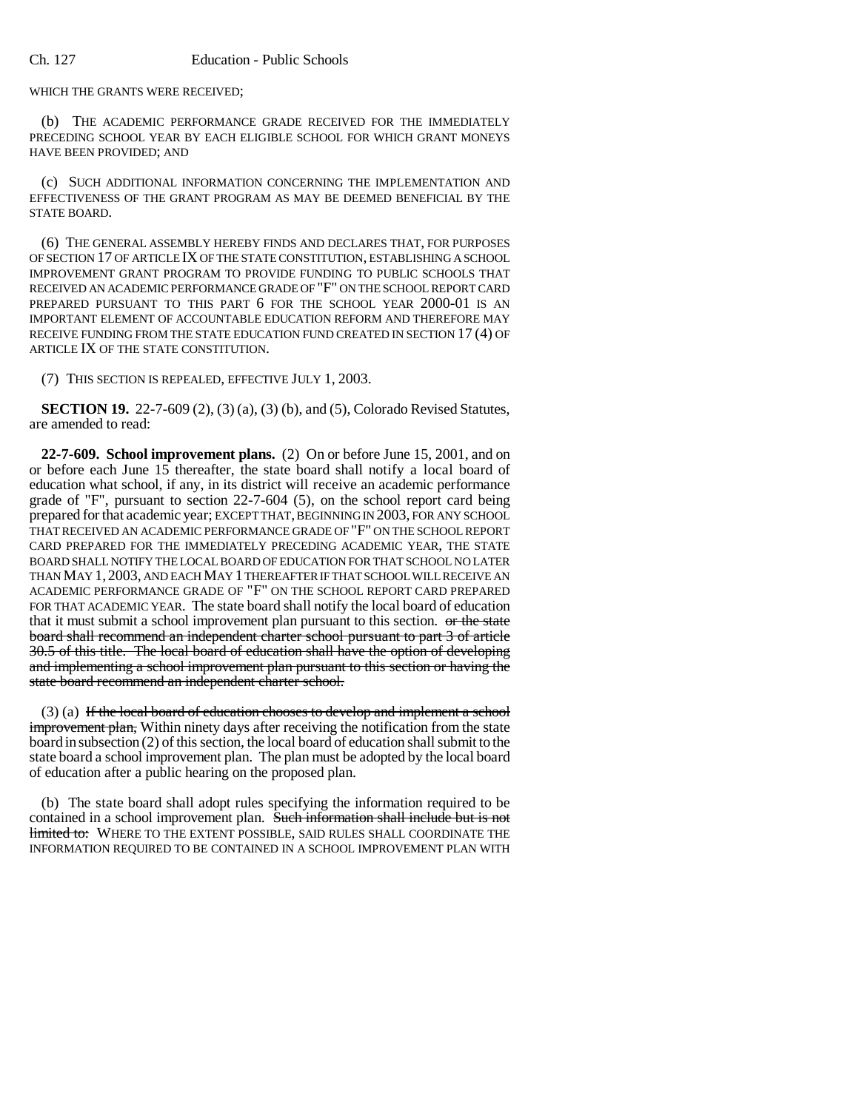WHICH THE GRANTS WERE RECEIVED;

(b) THE ACADEMIC PERFORMANCE GRADE RECEIVED FOR THE IMMEDIATELY PRECEDING SCHOOL YEAR BY EACH ELIGIBLE SCHOOL FOR WHICH GRANT MONEYS HAVE BEEN PROVIDED; AND

(c) SUCH ADDITIONAL INFORMATION CONCERNING THE IMPLEMENTATION AND EFFECTIVENESS OF THE GRANT PROGRAM AS MAY BE DEEMED BENEFICIAL BY THE STATE BOARD.

(6) THE GENERAL ASSEMBLY HEREBY FINDS AND DECLARES THAT, FOR PURPOSES OF SECTION 17 OF ARTICLE IX OF THE STATE CONSTITUTION, ESTABLISHING A SCHOOL IMPROVEMENT GRANT PROGRAM TO PROVIDE FUNDING TO PUBLIC SCHOOLS THAT RECEIVED AN ACADEMIC PERFORMANCE GRADE OF "F" ON THE SCHOOL REPORT CARD PREPARED PURSUANT TO THIS PART 6 FOR THE SCHOOL YEAR 2000-01 IS AN IMPORTANT ELEMENT OF ACCOUNTABLE EDUCATION REFORM AND THEREFORE MAY RECEIVE FUNDING FROM THE STATE EDUCATION FUND CREATED IN SECTION 17 (4) OF ARTICLE IX OF THE STATE CONSTITUTION.

(7) THIS SECTION IS REPEALED, EFFECTIVE JULY 1, 2003.

**SECTION 19.** 22-7-609 (2), (3) (a), (3) (b), and (5), Colorado Revised Statutes, are amended to read:

**22-7-609. School improvement plans.** (2) On or before June 15, 2001, and on or before each June 15 thereafter, the state board shall notify a local board of education what school, if any, in its district will receive an academic performance grade of "F", pursuant to section 22-7-604 (5), on the school report card being prepared for that academic year; EXCEPT THAT, BEGINNING IN 2003, FOR ANY SCHOOL THAT RECEIVED AN ACADEMIC PERFORMANCE GRADE OF "F" ON THE SCHOOL REPORT CARD PREPARED FOR THE IMMEDIATELY PRECEDING ACADEMIC YEAR, THE STATE BOARD SHALL NOTIFY THE LOCAL BOARD OF EDUCATION FOR THAT SCHOOL NO LATER THAN MAY 1, 2003, AND EACH MAY 1 THEREAFTER IF THAT SCHOOL WILL RECEIVE AN ACADEMIC PERFORMANCE GRADE OF "F" ON THE SCHOOL REPORT CARD PREPARED FOR THAT ACADEMIC YEAR. The state board shall notify the local board of education that it must submit a school improvement plan pursuant to this section. or the state board shall recommend an independent charter school pursuant to part 3 of article 30.5 of this title. The local board of education shall have the option of developing and implementing a school improvement plan pursuant to this section or having the state board recommend an independent charter school.

 $(3)$  (a) If the local board of education chooses to develop and implement a school improvement plan, Within ninety days after receiving the notification from the state board in subsection (2) of this section, the local board of education shall submit to the state board a school improvement plan. The plan must be adopted by the local board of education after a public hearing on the proposed plan.

(b) The state board shall adopt rules specifying the information required to be contained in a school improvement plan. Such information shall include but is not limited to: WHERE TO THE EXTENT POSSIBLE, SAID RULES SHALL COORDINATE THE INFORMATION REQUIRED TO BE CONTAINED IN A SCHOOL IMPROVEMENT PLAN WITH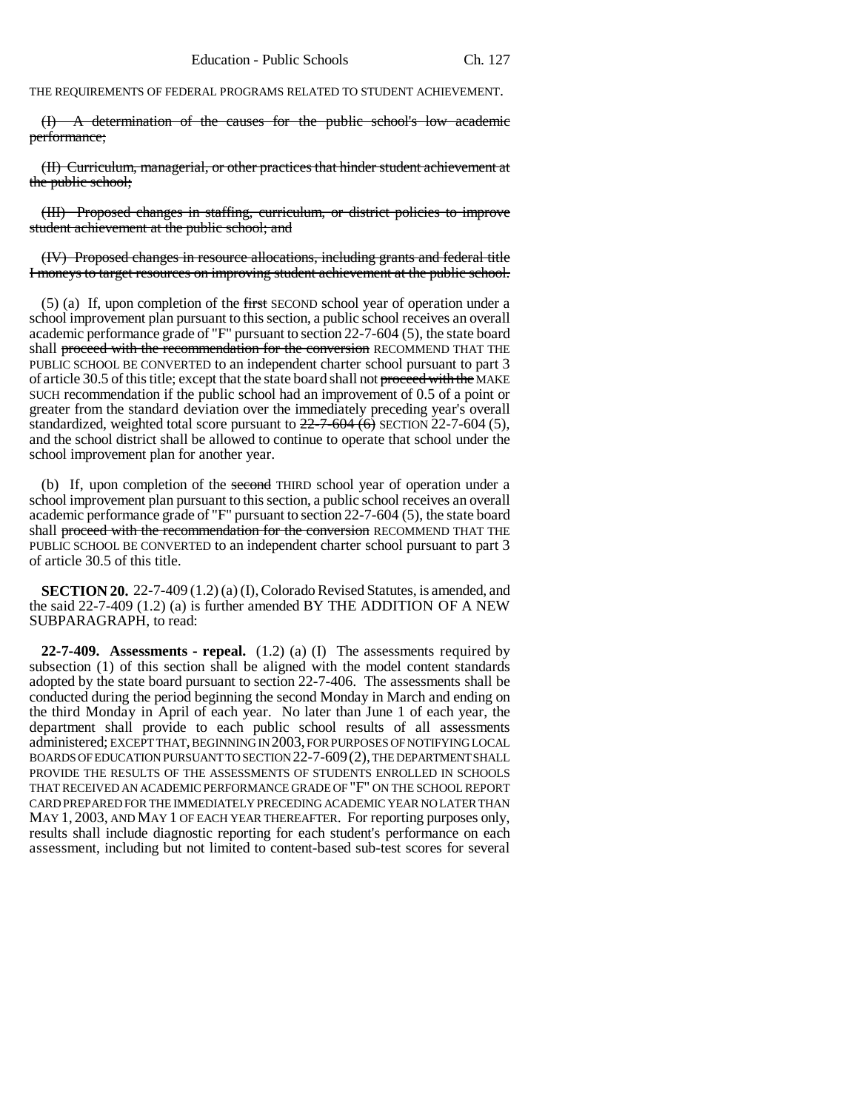THE REQUIREMENTS OF FEDERAL PROGRAMS RELATED TO STUDENT ACHIEVEMENT.

(I) A determination of the causes for the public school's low academic performance;

(II) Curriculum, managerial, or other practices that hinder student achievement at the public school;

(III) Proposed changes in staffing, curriculum, or district policies to improve student achievement at the public school; and

(IV) Proposed changes in resource allocations, including grants and federal title I moneys to target resources on improving student achievement at the public school.

(5) (a) If, upon completion of the first SECOND school year of operation under a school improvement plan pursuant to this section, a public school receives an overall academic performance grade of "F" pursuant to section 22-7-604 (5), the state board shall proceed with the recommendation for the conversion RECOMMEND THAT THE PUBLIC SCHOOL BE CONVERTED to an independent charter school pursuant to part 3 of article 30.5 of this title; except that the state board shall not proceed with the MAKE SUCH recommendation if the public school had an improvement of 0.5 of a point or greater from the standard deviation over the immediately preceding year's overall standardized, weighted total score pursuant to  $22-7-604(6)$  SECTION 22-7-604 (5), and the school district shall be allowed to continue to operate that school under the school improvement plan for another year.

(b) If, upon completion of the second THIRD school year of operation under a school improvement plan pursuant to this section, a public school receives an overall academic performance grade of "F" pursuant to section 22-7-604 (5), the state board shall proceed with the recommendation for the conversion RECOMMEND THAT THE PUBLIC SCHOOL BE CONVERTED to an independent charter school pursuant to part 3 of article 30.5 of this title.

**SECTION 20.** 22-7-409 (1.2) (a) (I), Colorado Revised Statutes, is amended, and the said 22-7-409 (1.2) (a) is further amended BY THE ADDITION OF A NEW SUBPARAGRAPH, to read:

**22-7-409. Assessments - repeal.** (1.2) (a) (I) The assessments required by subsection (1) of this section shall be aligned with the model content standards adopted by the state board pursuant to section 22-7-406. The assessments shall be conducted during the period beginning the second Monday in March and ending on the third Monday in April of each year. No later than June 1 of each year, the department shall provide to each public school results of all assessments administered; EXCEPT THAT, BEGINNING IN 2003, FOR PURPOSES OF NOTIFYING LOCAL BOARDS OF EDUCATION PURSUANT TO SECTION 22-7-609(2), THE DEPARTMENT SHALL PROVIDE THE RESULTS OF THE ASSESSMENTS OF STUDENTS ENROLLED IN SCHOOLS THAT RECEIVED AN ACADEMIC PERFORMANCE GRADE OF "F" ON THE SCHOOL REPORT CARD PREPARED FOR THE IMMEDIATELY PRECEDING ACADEMIC YEAR NO LATER THAN MAY 1, 2003, AND MAY 1 OF EACH YEAR THEREAFTER. For reporting purposes only, results shall include diagnostic reporting for each student's performance on each assessment, including but not limited to content-based sub-test scores for several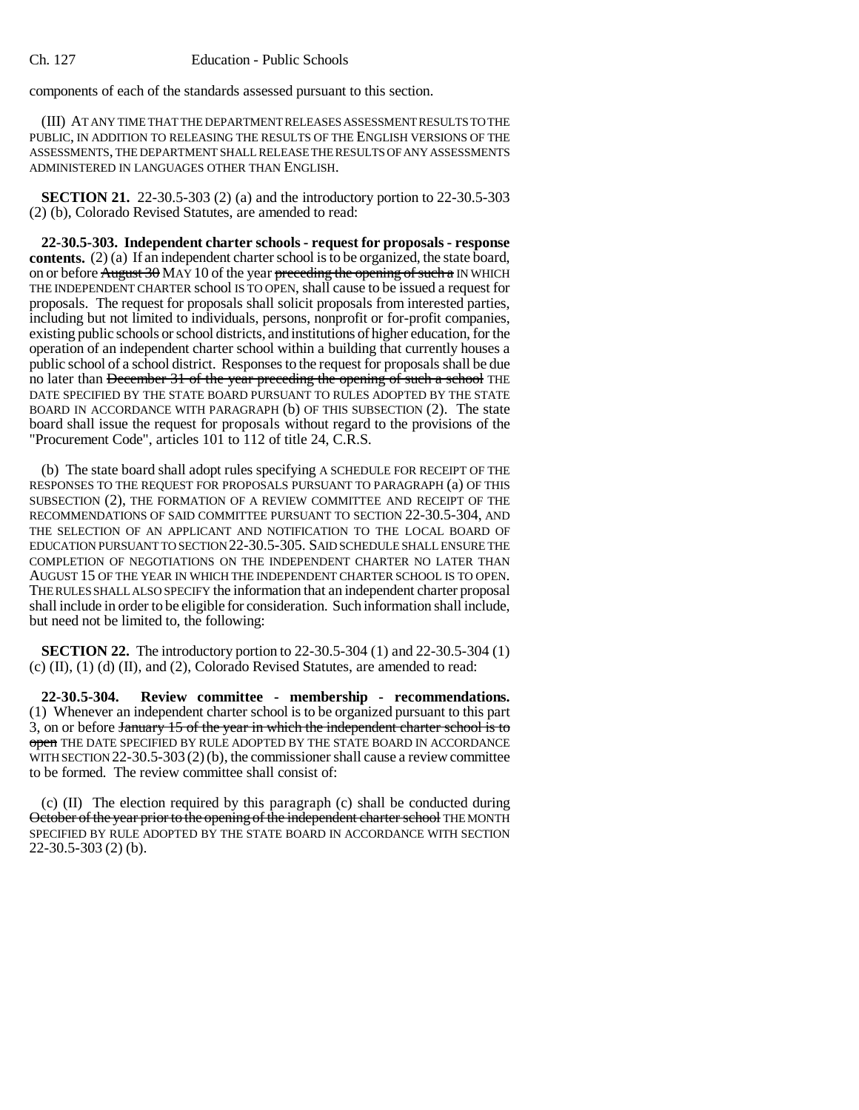components of each of the standards assessed pursuant to this section.

(III) AT ANY TIME THAT THE DEPARTMENT RELEASES ASSESSMENT RESULTS TO THE PUBLIC, IN ADDITION TO RELEASING THE RESULTS OF THE ENGLISH VERSIONS OF THE ASSESSMENTS, THE DEPARTMENT SHALL RELEASE THE RESULTS OF ANY ASSESSMENTS ADMINISTERED IN LANGUAGES OTHER THAN ENGLISH.

**SECTION 21.** 22-30.5-303 (2) (a) and the introductory portion to 22-30.5-303 (2) (b), Colorado Revised Statutes, are amended to read:

**22-30.5-303. Independent charter schools - request for proposals - response contents.** (2) (a) If an independent charter school is to be organized, the state board, on or before  $\frac{\text{August 30}}{\text{MAY 10}}$  of the year preceding the opening of such a IN WHICH THE INDEPENDENT CHARTER school IS TO OPEN, shall cause to be issued a request for proposals. The request for proposals shall solicit proposals from interested parties, including but not limited to individuals, persons, nonprofit or for-profit companies, existing public schools or school districts, and institutions of higher education, for the operation of an independent charter school within a building that currently houses a public school of a school district. Responses to the request for proposals shall be due no later than December 31 of the year preceding the opening of such a school THE DATE SPECIFIED BY THE STATE BOARD PURSUANT TO RULES ADOPTED BY THE STATE BOARD IN ACCORDANCE WITH PARAGRAPH (b) OF THIS SUBSECTION (2). The state board shall issue the request for proposals without regard to the provisions of the "Procurement Code", articles 101 to 112 of title 24, C.R.S.

(b) The state board shall adopt rules specifying A SCHEDULE FOR RECEIPT OF THE RESPONSES TO THE REQUEST FOR PROPOSALS PURSUANT TO PARAGRAPH (a) OF THIS SUBSECTION (2), THE FORMATION OF A REVIEW COMMITTEE AND RECEIPT OF THE RECOMMENDATIONS OF SAID COMMITTEE PURSUANT TO SECTION 22-30.5-304, AND THE SELECTION OF AN APPLICANT AND NOTIFICATION TO THE LOCAL BOARD OF EDUCATION PURSUANT TO SECTION 22-30.5-305. SAID SCHEDULE SHALL ENSURE THE COMPLETION OF NEGOTIATIONS ON THE INDEPENDENT CHARTER NO LATER THAN AUGUST 15 OF THE YEAR IN WHICH THE INDEPENDENT CHARTER SCHOOL IS TO OPEN. THE RULES SHALL ALSO SPECIFY the information that an independent charter proposal shall include in order to be eligible for consideration. Such information shall include, but need not be limited to, the following:

**SECTION 22.** The introductory portion to 22-30.5-304 (1) and 22-30.5-304 (1) (c) (II), (1) (d) (II), and (2), Colorado Revised Statutes, are amended to read:

**22-30.5-304. Review committee - membership - recommendations.** (1) Whenever an independent charter school is to be organized pursuant to this part  $3$ , on or before January 15 of the year in which the independent charter school is to open THE DATE SPECIFIED BY RULE ADOPTED BY THE STATE BOARD IN ACCORDANCE WITH SECTION  $22-30.5-303(2)$  (b), the commissioner shall cause a review committee to be formed. The review committee shall consist of:

(c) (II) The election required by this paragraph (c) shall be conducted during October of the year prior to the opening of the independent charter school THE MONTH SPECIFIED BY RULE ADOPTED BY THE STATE BOARD IN ACCORDANCE WITH SECTION 22-30.5-303 (2) (b).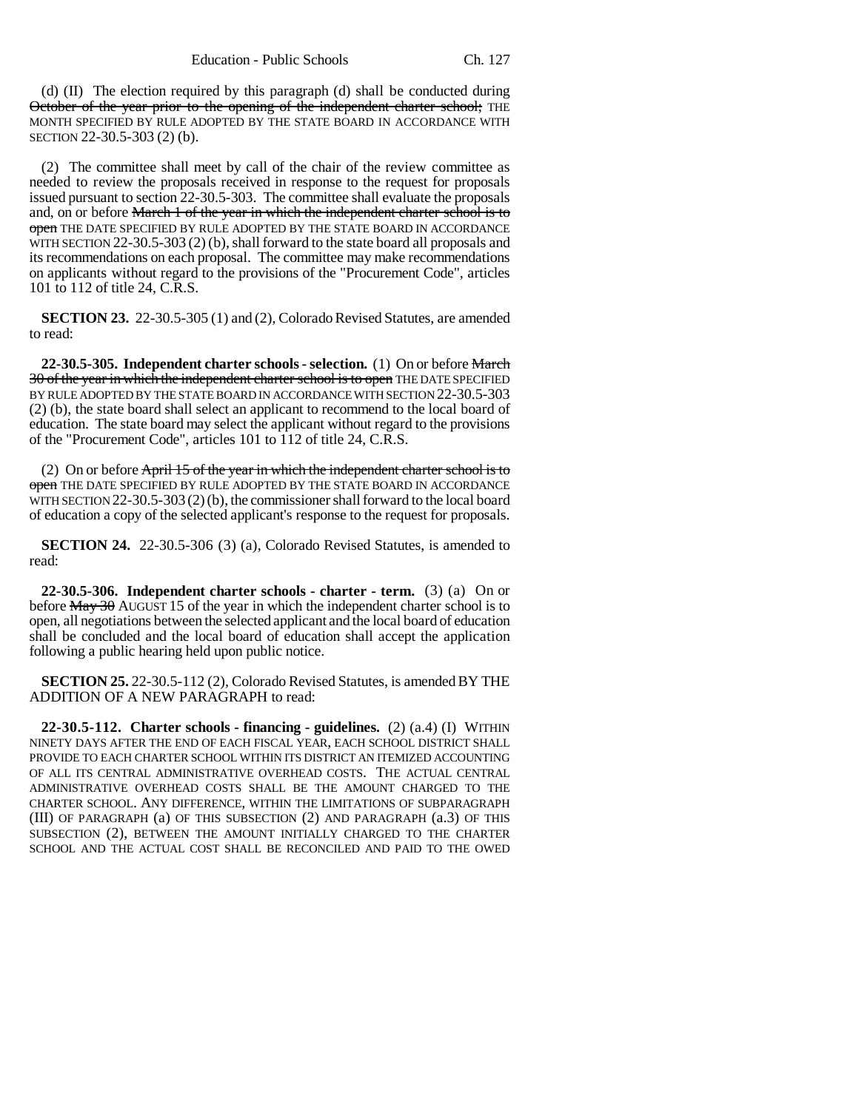(d) (II) The election required by this paragraph (d) shall be conducted during October of the year prior to the opening of the independent charter school; THE MONTH SPECIFIED BY RULE ADOPTED BY THE STATE BOARD IN ACCORDANCE WITH SECTION 22-30.5-303 (2) (b).

(2) The committee shall meet by call of the chair of the review committee as needed to review the proposals received in response to the request for proposals issued pursuant to section 22-30.5-303. The committee shall evaluate the proposals and, on or before March 1 of the year in which the independent charter school is to open THE DATE SPECIFIED BY RULE ADOPTED BY THE STATE BOARD IN ACCORDANCE WITH SECTION 22-30.5-303 (2) (b), shall forward to the state board all proposals and its recommendations on each proposal. The committee may make recommendations on applicants without regard to the provisions of the "Procurement Code", articles 101 to 112 of title 24, C.R.S.

**SECTION 23.** 22-30.5-305 (1) and (2), Colorado Revised Statutes, are amended to read:

**22-30.5-305. Independent charter schools - selection.** (1) On or before March 30 of the year in which the independent charter school is to open THE DATE SPECIFIED BY RULE ADOPTED BY THE STATE BOARD IN ACCORDANCE WITH SECTION 22-30.5-303 (2) (b), the state board shall select an applicant to recommend to the local board of education. The state board may select the applicant without regard to the provisions of the "Procurement Code", articles 101 to 112 of title 24, C.R.S.

(2) On or before April 15 of the year in which the independent charter school is to open THE DATE SPECIFIED BY RULE ADOPTED BY THE STATE BOARD IN ACCORDANCE WITH SECTION 22-30.5-303 (2)(b), the commissioner shall forward to the local board of education a copy of the selected applicant's response to the request for proposals.

**SECTION 24.** 22-30.5-306 (3) (a), Colorado Revised Statutes, is amended to read:

**22-30.5-306. Independent charter schools - charter - term.** (3) (a) On or before  $\frac{\text{May } 30 \text{ AUGUST } 15 \text{ of the year in which the independent charter school is to }$ open, all negotiations between the selected applicant and the local board of education shall be concluded and the local board of education shall accept the application following a public hearing held upon public notice.

**SECTION 25.** 22-30.5-112 (2), Colorado Revised Statutes, is amended BY THE ADDITION OF A NEW PARAGRAPH to read:

**22-30.5-112. Charter schools - financing - guidelines.** (2) (a.4) (I) WITHIN NINETY DAYS AFTER THE END OF EACH FISCAL YEAR, EACH SCHOOL DISTRICT SHALL PROVIDE TO EACH CHARTER SCHOOL WITHIN ITS DISTRICT AN ITEMIZED ACCOUNTING OF ALL ITS CENTRAL ADMINISTRATIVE OVERHEAD COSTS. THE ACTUAL CENTRAL ADMINISTRATIVE OVERHEAD COSTS SHALL BE THE AMOUNT CHARGED TO THE CHARTER SCHOOL. ANY DIFFERENCE, WITHIN THE LIMITATIONS OF SUBPARAGRAPH (III) OF PARAGRAPH (a) OF THIS SUBSECTION (2) AND PARAGRAPH (a.3) OF THIS SUBSECTION (2), BETWEEN THE AMOUNT INITIALLY CHARGED TO THE CHARTER SCHOOL AND THE ACTUAL COST SHALL BE RECONCILED AND PAID TO THE OWED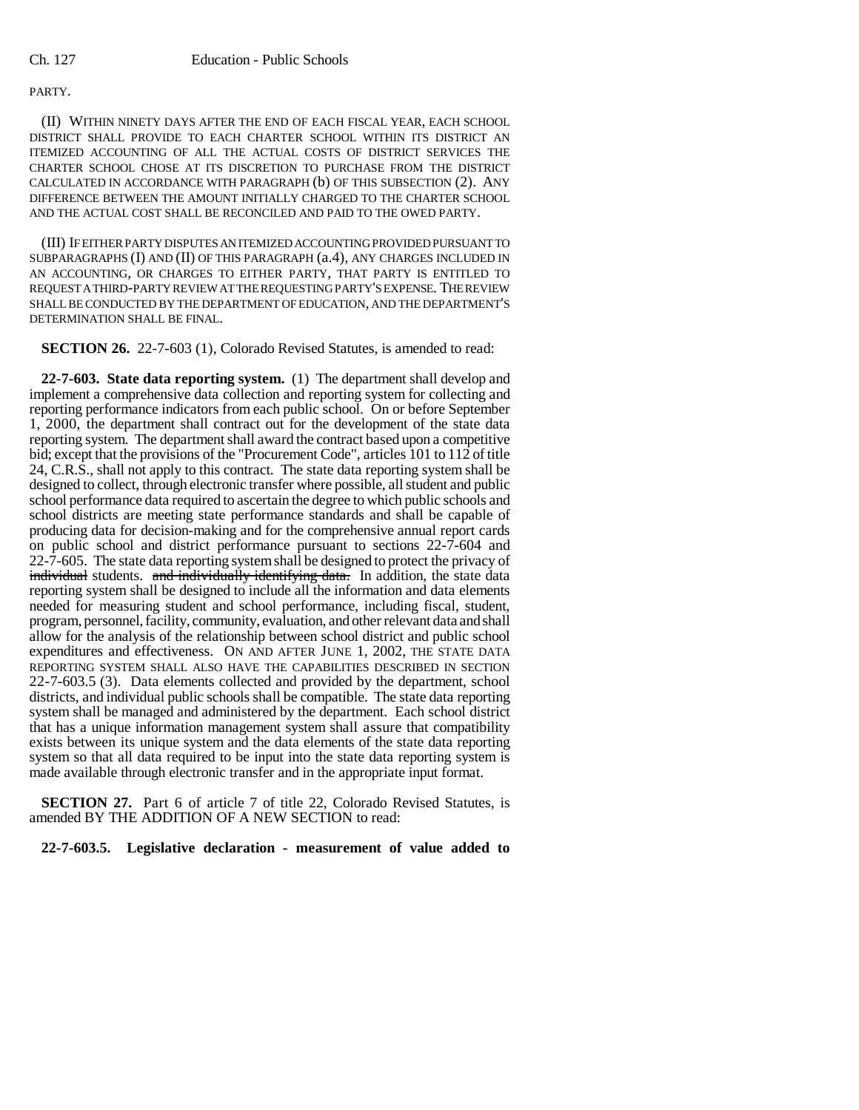## PARTY.

(II) WITHIN NINETY DAYS AFTER THE END OF EACH FISCAL YEAR, EACH SCHOOL DISTRICT SHALL PROVIDE TO EACH CHARTER SCHOOL WITHIN ITS DISTRICT AN ITEMIZED ACCOUNTING OF ALL THE ACTUAL COSTS OF DISTRICT SERVICES THE CHARTER SCHOOL CHOSE AT ITS DISCRETION TO PURCHASE FROM THE DISTRICT CALCULATED IN ACCORDANCE WITH PARAGRAPH (b) OF THIS SUBSECTION (2). ANY DIFFERENCE BETWEEN THE AMOUNT INITIALLY CHARGED TO THE CHARTER SCHOOL AND THE ACTUAL COST SHALL BE RECONCILED AND PAID TO THE OWED PARTY.

(III) IF EITHER PARTY DISPUTES AN ITEMIZED ACCOUNTING PROVIDED PURSUANT TO SUBPARAGRAPHS (I) AND (II) OF THIS PARAGRAPH (a.4), ANY CHARGES INCLUDED IN AN ACCOUNTING, OR CHARGES TO EITHER PARTY, THAT PARTY IS ENTITLED TO REQUEST A THIRD-PARTY REVIEW AT THE REQUESTING PARTY'S EXPENSE. THE REVIEW SHALL BE CONDUCTED BY THE DEPARTMENT OF EDUCATION, AND THE DEPARTMENT'S DETERMINATION SHALL BE FINAL.

**SECTION 26.** 22-7-603 (1), Colorado Revised Statutes, is amended to read:

**22-7-603. State data reporting system.** (1) The department shall develop and implement a comprehensive data collection and reporting system for collecting and reporting performance indicators from each public school. On or before September 1, 2000, the department shall contract out for the development of the state data reporting system. The department shall award the contract based upon a competitive bid; except that the provisions of the "Procurement Code", articles 101 to 112 of title 24, C.R.S., shall not apply to this contract. The state data reporting system shall be designed to collect, through electronic transfer where possible, all student and public school performance data required to ascertain the degree to which public schools and school districts are meeting state performance standards and shall be capable of producing data for decision-making and for the comprehensive annual report cards on public school and district performance pursuant to sections 22-7-604 and 22-7-605. The state data reporting system shall be designed to protect the privacy of individual students. and individually identifying data. In addition, the state data reporting system shall be designed to include all the information and data elements needed for measuring student and school performance, including fiscal, student, program, personnel, facility, community, evaluation, and other relevant data and shall allow for the analysis of the relationship between school district and public school expenditures and effectiveness. ON AND AFTER JUNE 1, 2002, THE STATE DATA REPORTING SYSTEM SHALL ALSO HAVE THE CAPABILITIES DESCRIBED IN SECTION 22-7-603.5 (3). Data elements collected and provided by the department, school districts, and individual public schools shall be compatible. The state data reporting system shall be managed and administered by the department. Each school district that has a unique information management system shall assure that compatibility exists between its unique system and the data elements of the state data reporting system so that all data required to be input into the state data reporting system is made available through electronic transfer and in the appropriate input format.

**SECTION 27.** Part 6 of article 7 of title 22, Colorado Revised Statutes, is amended BY THE ADDITION OF A NEW SECTION to read:

**22-7-603.5. Legislative declaration - measurement of value added to**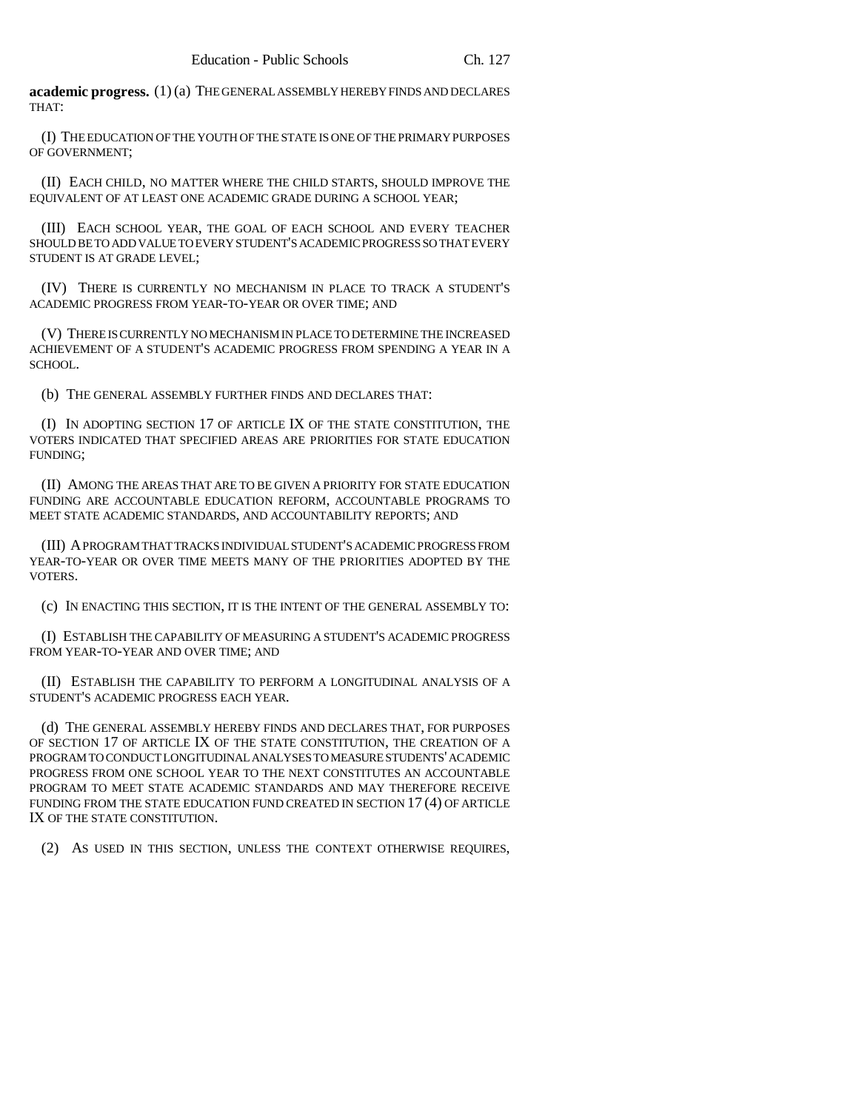**academic progress.** (1) (a) THE GENERAL ASSEMBLY HEREBY FINDS AND DECLARES THAT:

(I) THE EDUCATION OF THE YOUTH OF THE STATE IS ONE OF THE PRIMARY PURPOSES OF GOVERNMENT;

(II) EACH CHILD, NO MATTER WHERE THE CHILD STARTS, SHOULD IMPROVE THE EQUIVALENT OF AT LEAST ONE ACADEMIC GRADE DURING A SCHOOL YEAR;

(III) EACH SCHOOL YEAR, THE GOAL OF EACH SCHOOL AND EVERY TEACHER SHOULD BE TO ADD VALUE TO EVERY STUDENT'S ACADEMIC PROGRESS SO THAT EVERY STUDENT IS AT GRADE LEVEL;

(IV) THERE IS CURRENTLY NO MECHANISM IN PLACE TO TRACK A STUDENT'S ACADEMIC PROGRESS FROM YEAR-TO-YEAR OR OVER TIME; AND

(V) THERE IS CURRENTLY NO MECHANISM IN PLACE TO DETERMINE THE INCREASED ACHIEVEMENT OF A STUDENT'S ACADEMIC PROGRESS FROM SPENDING A YEAR IN A SCHOOL.

(b) THE GENERAL ASSEMBLY FURTHER FINDS AND DECLARES THAT:

(I) IN ADOPTING SECTION 17 OF ARTICLE IX OF THE STATE CONSTITUTION, THE VOTERS INDICATED THAT SPECIFIED AREAS ARE PRIORITIES FOR STATE EDUCATION FUNDING;

(II) AMONG THE AREAS THAT ARE TO BE GIVEN A PRIORITY FOR STATE EDUCATION FUNDING ARE ACCOUNTABLE EDUCATION REFORM, ACCOUNTABLE PROGRAMS TO MEET STATE ACADEMIC STANDARDS, AND ACCOUNTABILITY REPORTS; AND

(III) A PROGRAM THAT TRACKS INDIVIDUAL STUDENT'S ACADEMIC PROGRESS FROM YEAR-TO-YEAR OR OVER TIME MEETS MANY OF THE PRIORITIES ADOPTED BY THE VOTERS.

(c) IN ENACTING THIS SECTION, IT IS THE INTENT OF THE GENERAL ASSEMBLY TO:

(I) ESTABLISH THE CAPABILITY OF MEASURING A STUDENT'S ACADEMIC PROGRESS FROM YEAR-TO-YEAR AND OVER TIME; AND

(II) ESTABLISH THE CAPABILITY TO PERFORM A LONGITUDINAL ANALYSIS OF A STUDENT'S ACADEMIC PROGRESS EACH YEAR.

(d) THE GENERAL ASSEMBLY HEREBY FINDS AND DECLARES THAT, FOR PURPOSES OF SECTION 17 OF ARTICLE IX OF THE STATE CONSTITUTION, THE CREATION OF A PROGRAM TO CONDUCT LONGITUDINAL ANALYSES TO MEASURE STUDENTS' ACADEMIC PROGRESS FROM ONE SCHOOL YEAR TO THE NEXT CONSTITUTES AN ACCOUNTABLE PROGRAM TO MEET STATE ACADEMIC STANDARDS AND MAY THEREFORE RECEIVE FUNDING FROM THE STATE EDUCATION FUND CREATED IN SECTION 17 (4) OF ARTICLE IX OF THE STATE CONSTITUTION.

(2) AS USED IN THIS SECTION, UNLESS THE CONTEXT OTHERWISE REQUIRES,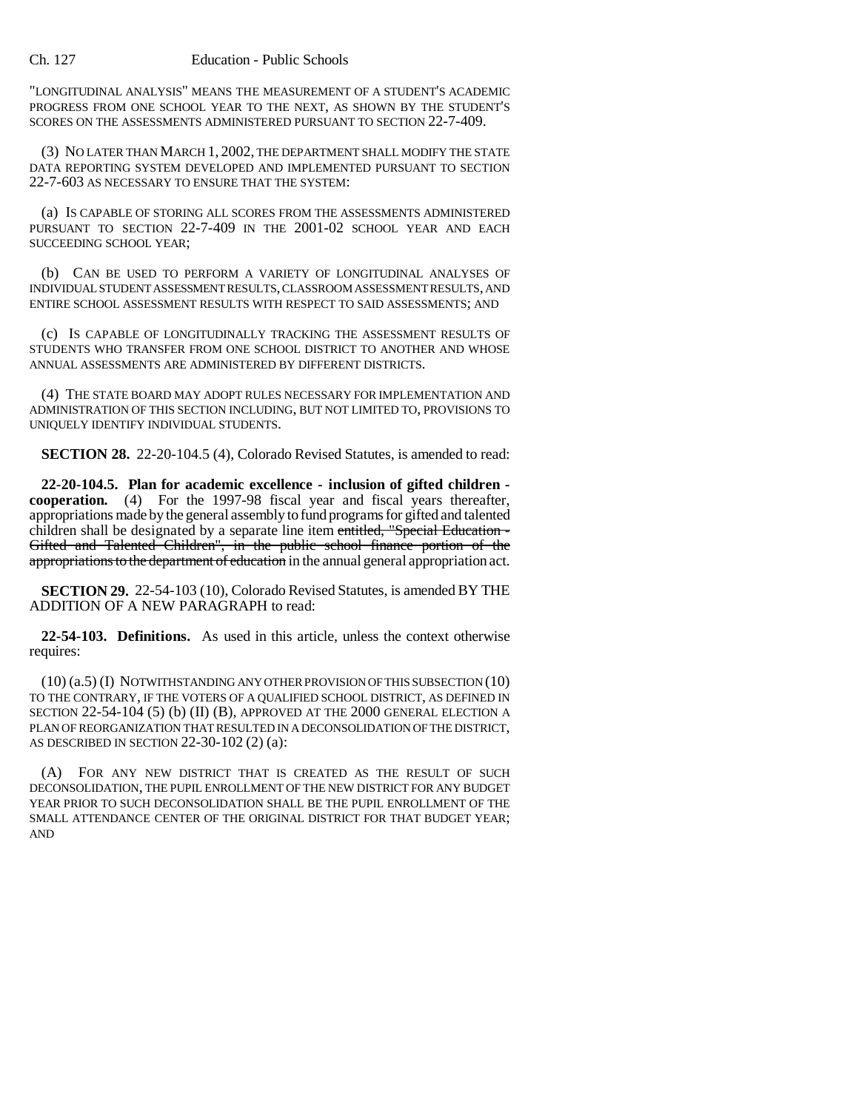"LONGITUDINAL ANALYSIS" MEANS THE MEASUREMENT OF A STUDENT'S ACADEMIC PROGRESS FROM ONE SCHOOL YEAR TO THE NEXT, AS SHOWN BY THE STUDENT'S SCORES ON THE ASSESSMENTS ADMINISTERED PURSUANT TO SECTION 22-7-409.

(3) NO LATER THAN MARCH 1, 2002, THE DEPARTMENT SHALL MODIFY THE STATE DATA REPORTING SYSTEM DEVELOPED AND IMPLEMENTED PURSUANT TO SECTION 22-7-603 AS NECESSARY TO ENSURE THAT THE SYSTEM:

(a) IS CAPABLE OF STORING ALL SCORES FROM THE ASSESSMENTS ADMINISTERED PURSUANT TO SECTION 22-7-409 IN THE 2001-02 SCHOOL YEAR AND EACH SUCCEEDING SCHOOL YEAR;

(b) CAN BE USED TO PERFORM A VARIETY OF LONGITUDINAL ANALYSES OF INDIVIDUAL STUDENT ASSESSMENT RESULTS, CLASSROOM ASSESSMENT RESULTS, AND ENTIRE SCHOOL ASSESSMENT RESULTS WITH RESPECT TO SAID ASSESSMENTS; AND

(c) IS CAPABLE OF LONGITUDINALLY TRACKING THE ASSESSMENT RESULTS OF STUDENTS WHO TRANSFER FROM ONE SCHOOL DISTRICT TO ANOTHER AND WHOSE ANNUAL ASSESSMENTS ARE ADMINISTERED BY DIFFERENT DISTRICTS.

(4) THE STATE BOARD MAY ADOPT RULES NECESSARY FOR IMPLEMENTATION AND ADMINISTRATION OF THIS SECTION INCLUDING, BUT NOT LIMITED TO, PROVISIONS TO UNIQUELY IDENTIFY INDIVIDUAL STUDENTS.

**SECTION 28.** 22-20-104.5 (4), Colorado Revised Statutes, is amended to read:

**22-20-104.5. Plan for academic excellence - inclusion of gifted children cooperation.** (4) For the 1997-98 fiscal year and fiscal years thereafter, appropriations made by the general assembly to fund programs for gifted and talented children shall be designated by a separate line item entitled, "Special Education -Gifted and Talented Children", in the public school finance portion of the appropriations to the department of education in the annual general appropriation act.

**SECTION 29.** 22-54-103 (10), Colorado Revised Statutes, is amended BY THE ADDITION OF A NEW PARAGRAPH to read:

**22-54-103. Definitions.** As used in this article, unless the context otherwise requires:

(10) (a.5) (I) NOTWITHSTANDING ANY OTHER PROVISION OF THIS SUBSECTION (10) TO THE CONTRARY, IF THE VOTERS OF A QUALIFIED SCHOOL DISTRICT, AS DEFINED IN SECTION 22-54-104 (5) (b) (II) (B), APPROVED AT THE 2000 GENERAL ELECTION A PLAN OF REORGANIZATION THAT RESULTED IN A DECONSOLIDATION OF THE DISTRICT, AS DESCRIBED IN SECTION 22-30-102 (2) (a):

(A) FOR ANY NEW DISTRICT THAT IS CREATED AS THE RESULT OF SUCH DECONSOLIDATION, THE PUPIL ENROLLMENT OF THE NEW DISTRICT FOR ANY BUDGET YEAR PRIOR TO SUCH DECONSOLIDATION SHALL BE THE PUPIL ENROLLMENT OF THE SMALL ATTENDANCE CENTER OF THE ORIGINAL DISTRICT FOR THAT BUDGET YEAR; AND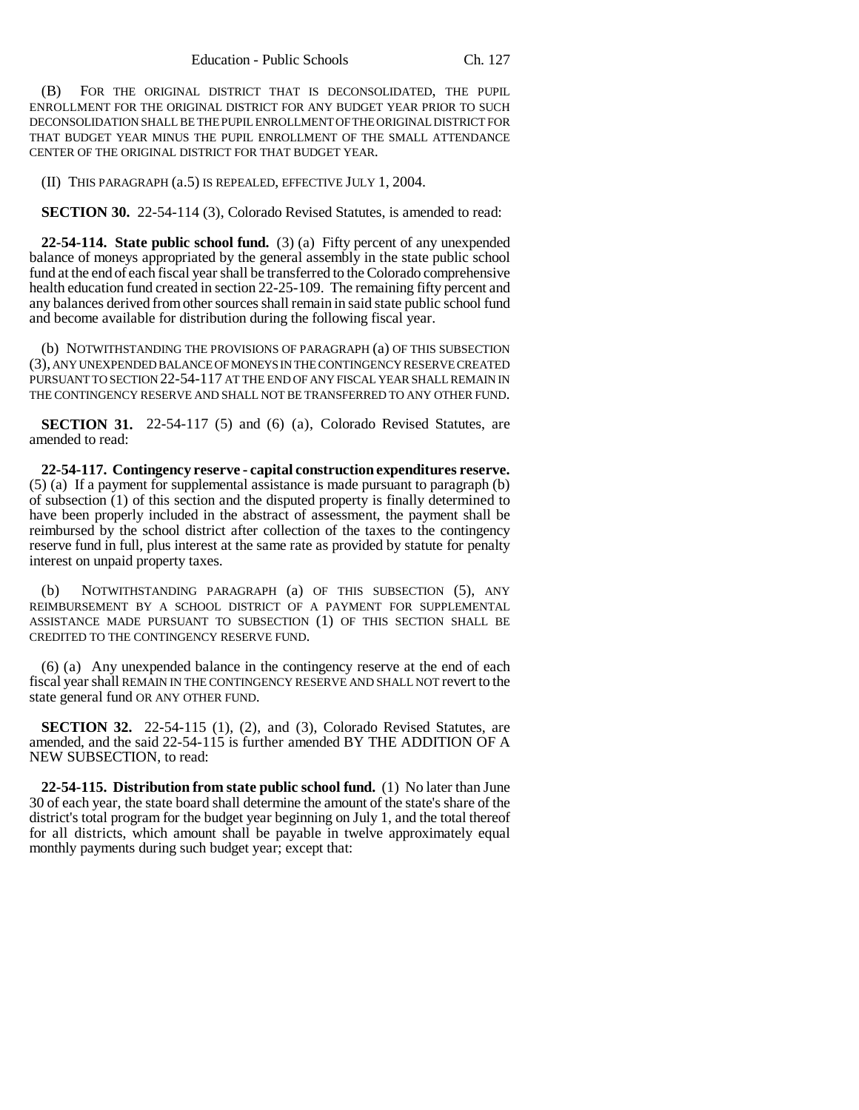(B) FOR THE ORIGINAL DISTRICT THAT IS DECONSOLIDATED, THE PUPIL ENROLLMENT FOR THE ORIGINAL DISTRICT FOR ANY BUDGET YEAR PRIOR TO SUCH DECONSOLIDATION SHALL BE THE PUPIL ENROLLMENT OF THE ORIGINAL DISTRICT FOR THAT BUDGET YEAR MINUS THE PUPIL ENROLLMENT OF THE SMALL ATTENDANCE CENTER OF THE ORIGINAL DISTRICT FOR THAT BUDGET YEAR.

(II) THIS PARAGRAPH (a.5) IS REPEALED, EFFECTIVE JULY 1, 2004.

**SECTION 30.** 22-54-114 (3), Colorado Revised Statutes, is amended to read:

**22-54-114. State public school fund.** (3) (a) Fifty percent of any unexpended balance of moneys appropriated by the general assembly in the state public school fund at the end of each fiscal year shall be transferred to the Colorado comprehensive health education fund created in section 22-25-109. The remaining fifty percent and any balances derived from other sources shall remain in said state public school fund and become available for distribution during the following fiscal year.

(b) NOTWITHSTANDING THE PROVISIONS OF PARAGRAPH (a) OF THIS SUBSECTION (3), ANY UNEXPENDED BALANCE OF MONEYS IN THE CONTINGENCY RESERVE CREATED PURSUANT TO SECTION 22-54-117 AT THE END OF ANY FISCAL YEAR SHALL REMAIN IN THE CONTINGENCY RESERVE AND SHALL NOT BE TRANSFERRED TO ANY OTHER FUND.

**SECTION 31.** 22-54-117 (5) and (6) (a), Colorado Revised Statutes, are amended to read:

**22-54-117. Contingency reserve - capital construction expenditures reserve.** (5) (a) If a payment for supplemental assistance is made pursuant to paragraph (b) of subsection (1) of this section and the disputed property is finally determined to have been properly included in the abstract of assessment, the payment shall be reimbursed by the school district after collection of the taxes to the contingency reserve fund in full, plus interest at the same rate as provided by statute for penalty interest on unpaid property taxes.

(b) NOTWITHSTANDING PARAGRAPH (a) OF THIS SUBSECTION (5), ANY REIMBURSEMENT BY A SCHOOL DISTRICT OF A PAYMENT FOR SUPPLEMENTAL ASSISTANCE MADE PURSUANT TO SUBSECTION (1) OF THIS SECTION SHALL BE CREDITED TO THE CONTINGENCY RESERVE FUND.

(6) (a) Any unexpended balance in the contingency reserve at the end of each fiscal year shall REMAIN IN THE CONTINGENCY RESERVE AND SHALL NOT revert to the state general fund OR ANY OTHER FUND.

**SECTION 32.** 22-54-115 (1), (2), and (3), Colorado Revised Statutes, are amended, and the said 22-54-115 is further amended BY THE ADDITION OF A NEW SUBSECTION, to read:

**22-54-115. Distribution from state public school fund.** (1) No later than June 30 of each year, the state board shall determine the amount of the state's share of the district's total program for the budget year beginning on July 1, and the total thereof for all districts, which amount shall be payable in twelve approximately equal monthly payments during such budget year; except that: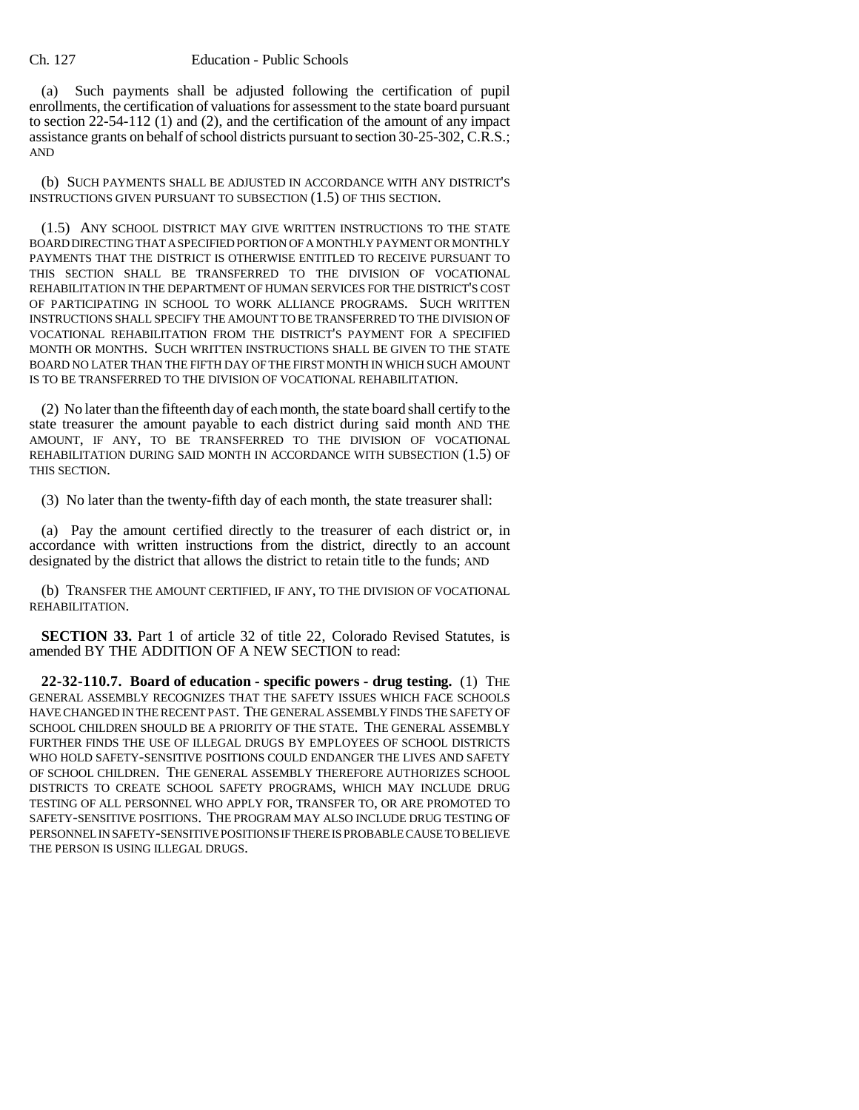### Ch. 127 Education - Public Schools

(a) Such payments shall be adjusted following the certification of pupil enrollments, the certification of valuations for assessment to the state board pursuant to section 22-54-112 (1) and (2), and the certification of the amount of any impact assistance grants on behalf of school districts pursuant to section 30-25-302, C.R.S.; AND

(b) SUCH PAYMENTS SHALL BE ADJUSTED IN ACCORDANCE WITH ANY DISTRICT'S INSTRUCTIONS GIVEN PURSUANT TO SUBSECTION (1.5) OF THIS SECTION.

(1.5) ANY SCHOOL DISTRICT MAY GIVE WRITTEN INSTRUCTIONS TO THE STATE BOARD DIRECTING THAT A SPECIFIED PORTION OF A MONTHLY PAYMENT OR MONTHLY PAYMENTS THAT THE DISTRICT IS OTHERWISE ENTITLED TO RECEIVE PURSUANT TO THIS SECTION SHALL BE TRANSFERRED TO THE DIVISION OF VOCATIONAL REHABILITATION IN THE DEPARTMENT OF HUMAN SERVICES FOR THE DISTRICT'S COST OF PARTICIPATING IN SCHOOL TO WORK ALLIANCE PROGRAMS. SUCH WRITTEN INSTRUCTIONS SHALL SPECIFY THE AMOUNT TO BE TRANSFERRED TO THE DIVISION OF VOCATIONAL REHABILITATION FROM THE DISTRICT'S PAYMENT FOR A SPECIFIED MONTH OR MONTHS. SUCH WRITTEN INSTRUCTIONS SHALL BE GIVEN TO THE STATE BOARD NO LATER THAN THE FIFTH DAY OF THE FIRST MONTH IN WHICH SUCH AMOUNT IS TO BE TRANSFERRED TO THE DIVISION OF VOCATIONAL REHABILITATION.

(2) No later than the fifteenth day of each month, the state board shall certify to the state treasurer the amount payable to each district during said month AND THE AMOUNT, IF ANY, TO BE TRANSFERRED TO THE DIVISION OF VOCATIONAL REHABILITATION DURING SAID MONTH IN ACCORDANCE WITH SUBSECTION (1.5) OF THIS SECTION.

(3) No later than the twenty-fifth day of each month, the state treasurer shall:

(a) Pay the amount certified directly to the treasurer of each district or, in accordance with written instructions from the district, directly to an account designated by the district that allows the district to retain title to the funds; AND

(b) TRANSFER THE AMOUNT CERTIFIED, IF ANY, TO THE DIVISION OF VOCATIONAL REHABILITATION.

**SECTION 33.** Part 1 of article 32 of title 22, Colorado Revised Statutes, is amended BY THE ADDITION OF A NEW SECTION to read:

**22-32-110.7. Board of education - specific powers - drug testing.** (1) THE GENERAL ASSEMBLY RECOGNIZES THAT THE SAFETY ISSUES WHICH FACE SCHOOLS HAVE CHANGED IN THE RECENT PAST. THE GENERAL ASSEMBLY FINDS THE SAFETY OF SCHOOL CHILDREN SHOULD BE A PRIORITY OF THE STATE. THE GENERAL ASSEMBLY FURTHER FINDS THE USE OF ILLEGAL DRUGS BY EMPLOYEES OF SCHOOL DISTRICTS WHO HOLD SAFETY-SENSITIVE POSITIONS COULD ENDANGER THE LIVES AND SAFETY OF SCHOOL CHILDREN. THE GENERAL ASSEMBLY THEREFORE AUTHORIZES SCHOOL DISTRICTS TO CREATE SCHOOL SAFETY PROGRAMS, WHICH MAY INCLUDE DRUG TESTING OF ALL PERSONNEL WHO APPLY FOR, TRANSFER TO, OR ARE PROMOTED TO SAFETY-SENSITIVE POSITIONS. THE PROGRAM MAY ALSO INCLUDE DRUG TESTING OF PERSONNEL IN SAFETY-SENSITIVE POSITIONS IF THERE IS PROBABLE CAUSE TO BELIEVE THE PERSON IS USING ILLEGAL DRUGS.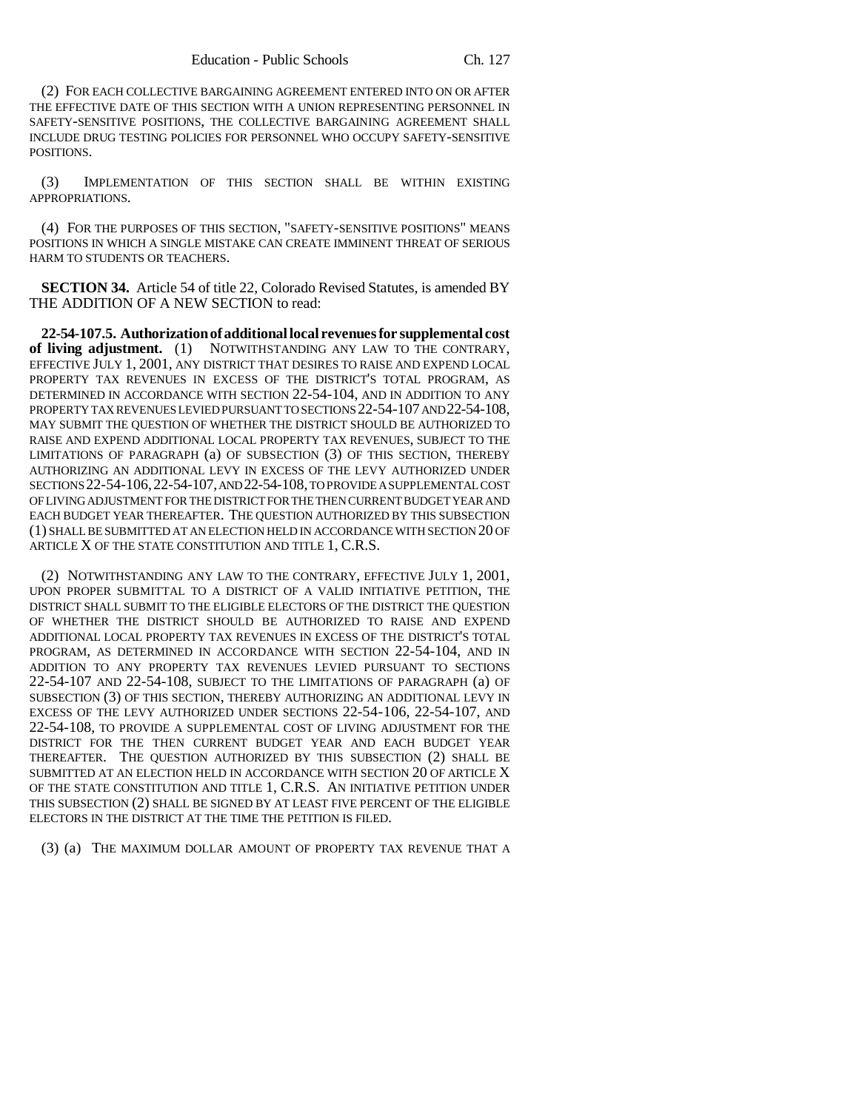(2) FOR EACH COLLECTIVE BARGAINING AGREEMENT ENTERED INTO ON OR AFTER THE EFFECTIVE DATE OF THIS SECTION WITH A UNION REPRESENTING PERSONNEL IN SAFETY-SENSITIVE POSITIONS, THE COLLECTIVE BARGAINING AGREEMENT SHALL INCLUDE DRUG TESTING POLICIES FOR PERSONNEL WHO OCCUPY SAFETY-SENSITIVE POSITIONS.

(3) IMPLEMENTATION OF THIS SECTION SHALL BE WITHIN EXISTING APPROPRIATIONS.

(4) FOR THE PURPOSES OF THIS SECTION, "SAFETY-SENSITIVE POSITIONS" MEANS POSITIONS IN WHICH A SINGLE MISTAKE CAN CREATE IMMINENT THREAT OF SERIOUS HARM TO STUDENTS OR TEACHERS.

**SECTION 34.** Article 54 of title 22, Colorado Revised Statutes, is amended BY THE ADDITION OF A NEW SECTION to read:

**22-54-107.5. Authorization of additional local revenues for supplemental cost of living adjustment.** (1) NOTWITHSTANDING ANY LAW TO THE CONTRARY, EFFECTIVE JULY 1, 2001, ANY DISTRICT THAT DESIRES TO RAISE AND EXPEND LOCAL PROPERTY TAX REVENUES IN EXCESS OF THE DISTRICT'S TOTAL PROGRAM, AS DETERMINED IN ACCORDANCE WITH SECTION 22-54-104, AND IN ADDITION TO ANY PROPERTY TAX REVENUES LEVIED PURSUANT TO SECTIONS 22-54-107 AND 22-54-108, MAY SUBMIT THE QUESTION OF WHETHER THE DISTRICT SHOULD BE AUTHORIZED TO RAISE AND EXPEND ADDITIONAL LOCAL PROPERTY TAX REVENUES, SUBJECT TO THE LIMITATIONS OF PARAGRAPH (a) OF SUBSECTION (3) OF THIS SECTION, THEREBY AUTHORIZING AN ADDITIONAL LEVY IN EXCESS OF THE LEVY AUTHORIZED UNDER SECTIONS 22-54-106,22-54-107, AND 22-54-108, TO PROVIDE A SUPPLEMENTAL COST OF LIVING ADJUSTMENT FOR THE DISTRICT FOR THE THEN CURRENT BUDGET YEAR AND EACH BUDGET YEAR THEREAFTER. THE QUESTION AUTHORIZED BY THIS SUBSECTION (1) SHALL BE SUBMITTED AT AN ELECTION HELD IN ACCORDANCE WITH SECTION 20 OF ARTICLE X OF THE STATE CONSTITUTION AND TITLE 1, C.R.S.

(2) NOTWITHSTANDING ANY LAW TO THE CONTRARY, EFFECTIVE JULY 1, 2001, UPON PROPER SUBMITTAL TO A DISTRICT OF A VALID INITIATIVE PETITION, THE DISTRICT SHALL SUBMIT TO THE ELIGIBLE ELECTORS OF THE DISTRICT THE QUESTION OF WHETHER THE DISTRICT SHOULD BE AUTHORIZED TO RAISE AND EXPEND ADDITIONAL LOCAL PROPERTY TAX REVENUES IN EXCESS OF THE DISTRICT'S TOTAL PROGRAM, AS DETERMINED IN ACCORDANCE WITH SECTION 22-54-104, AND IN ADDITION TO ANY PROPERTY TAX REVENUES LEVIED PURSUANT TO SECTIONS 22-54-107 AND 22-54-108, SUBJECT TO THE LIMITATIONS OF PARAGRAPH (a) OF SUBSECTION (3) OF THIS SECTION, THEREBY AUTHORIZING AN ADDITIONAL LEVY IN EXCESS OF THE LEVY AUTHORIZED UNDER SECTIONS 22-54-106, 22-54-107, AND 22-54-108, TO PROVIDE A SUPPLEMENTAL COST OF LIVING ADJUSTMENT FOR THE DISTRICT FOR THE THEN CURRENT BUDGET YEAR AND EACH BUDGET YEAR THEREAFTER. THE QUESTION AUTHORIZED BY THIS SUBSECTION (2) SHALL BE SUBMITTED AT AN ELECTION HELD IN ACCORDANCE WITH SECTION 20 OF ARTICLE X OF THE STATE CONSTITUTION AND TITLE 1, C.R.S. AN INITIATIVE PETITION UNDER THIS SUBSECTION (2) SHALL BE SIGNED BY AT LEAST FIVE PERCENT OF THE ELIGIBLE ELECTORS IN THE DISTRICT AT THE TIME THE PETITION IS FILED.

(3) (a) THE MAXIMUM DOLLAR AMOUNT OF PROPERTY TAX REVENUE THAT A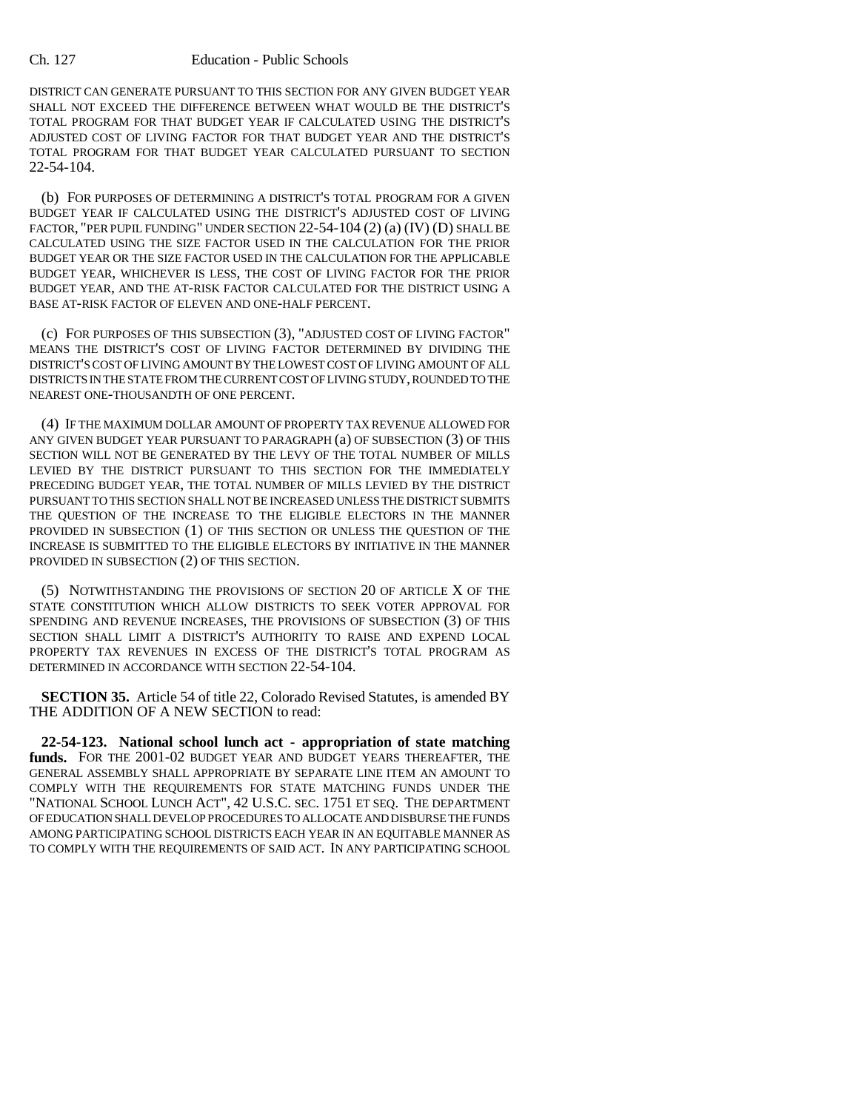## Ch. 127 Education - Public Schools

DISTRICT CAN GENERATE PURSUANT TO THIS SECTION FOR ANY GIVEN BUDGET YEAR SHALL NOT EXCEED THE DIFFERENCE BETWEEN WHAT WOULD BE THE DISTRICT'S TOTAL PROGRAM FOR THAT BUDGET YEAR IF CALCULATED USING THE DISTRICT'S ADJUSTED COST OF LIVING FACTOR FOR THAT BUDGET YEAR AND THE DISTRICT'S TOTAL PROGRAM FOR THAT BUDGET YEAR CALCULATED PURSUANT TO SECTION 22-54-104.

(b) FOR PURPOSES OF DETERMINING A DISTRICT'S TOTAL PROGRAM FOR A GIVEN BUDGET YEAR IF CALCULATED USING THE DISTRICT'S ADJUSTED COST OF LIVING FACTOR, "PER PUPIL FUNDING" UNDER SECTION 22-54-104 (2) (a) (IV) (D) SHALL BE CALCULATED USING THE SIZE FACTOR USED IN THE CALCULATION FOR THE PRIOR BUDGET YEAR OR THE SIZE FACTOR USED IN THE CALCULATION FOR THE APPLICABLE BUDGET YEAR, WHICHEVER IS LESS, THE COST OF LIVING FACTOR FOR THE PRIOR BUDGET YEAR, AND THE AT-RISK FACTOR CALCULATED FOR THE DISTRICT USING A BASE AT-RISK FACTOR OF ELEVEN AND ONE-HALF PERCENT.

(c) FOR PURPOSES OF THIS SUBSECTION (3), "ADJUSTED COST OF LIVING FACTOR" MEANS THE DISTRICT'S COST OF LIVING FACTOR DETERMINED BY DIVIDING THE DISTRICT'S COST OF LIVING AMOUNT BY THE LOWEST COST OF LIVING AMOUNT OF ALL DISTRICTS IN THE STATE FROM THE CURRENT COST OF LIVING STUDY, ROUNDED TO THE NEAREST ONE-THOUSANDTH OF ONE PERCENT.

(4) IF THE MAXIMUM DOLLAR AMOUNT OF PROPERTY TAX REVENUE ALLOWED FOR ANY GIVEN BUDGET YEAR PURSUANT TO PARAGRAPH (a) OF SUBSECTION (3) OF THIS SECTION WILL NOT BE GENERATED BY THE LEVY OF THE TOTAL NUMBER OF MILLS LEVIED BY THE DISTRICT PURSUANT TO THIS SECTION FOR THE IMMEDIATELY PRECEDING BUDGET YEAR, THE TOTAL NUMBER OF MILLS LEVIED BY THE DISTRICT PURSUANT TO THIS SECTION SHALL NOT BE INCREASED UNLESS THE DISTRICT SUBMITS THE QUESTION OF THE INCREASE TO THE ELIGIBLE ELECTORS IN THE MANNER PROVIDED IN SUBSECTION (1) OF THIS SECTION OR UNLESS THE QUESTION OF THE INCREASE IS SUBMITTED TO THE ELIGIBLE ELECTORS BY INITIATIVE IN THE MANNER PROVIDED IN SUBSECTION (2) OF THIS SECTION.

(5) NOTWITHSTANDING THE PROVISIONS OF SECTION 20 OF ARTICLE X OF THE STATE CONSTITUTION WHICH ALLOW DISTRICTS TO SEEK VOTER APPROVAL FOR SPENDING AND REVENUE INCREASES, THE PROVISIONS OF SUBSECTION (3) OF THIS SECTION SHALL LIMIT A DISTRICT'S AUTHORITY TO RAISE AND EXPEND LOCAL PROPERTY TAX REVENUES IN EXCESS OF THE DISTRICT'S TOTAL PROGRAM AS DETERMINED IN ACCORDANCE WITH SECTION 22-54-104.

**SECTION 35.** Article 54 of title 22, Colorado Revised Statutes, is amended BY THE ADDITION OF A NEW SECTION to read:

**22-54-123. National school lunch act - appropriation of state matching funds.** FOR THE 2001-02 BUDGET YEAR AND BUDGET YEARS THEREAFTER, THE GENERAL ASSEMBLY SHALL APPROPRIATE BY SEPARATE LINE ITEM AN AMOUNT TO COMPLY WITH THE REQUIREMENTS FOR STATE MATCHING FUNDS UNDER THE "NATIONAL SCHOOL LUNCH ACT", 42 U.S.C. SEC. 1751 ET SEQ. THE DEPARTMENT OF EDUCATION SHALL DEVELOP PROCEDURES TO ALLOCATE AND DISBURSE THE FUNDS AMONG PARTICIPATING SCHOOL DISTRICTS EACH YEAR IN AN EQUITABLE MANNER AS TO COMPLY WITH THE REQUIREMENTS OF SAID ACT. IN ANY PARTICIPATING SCHOOL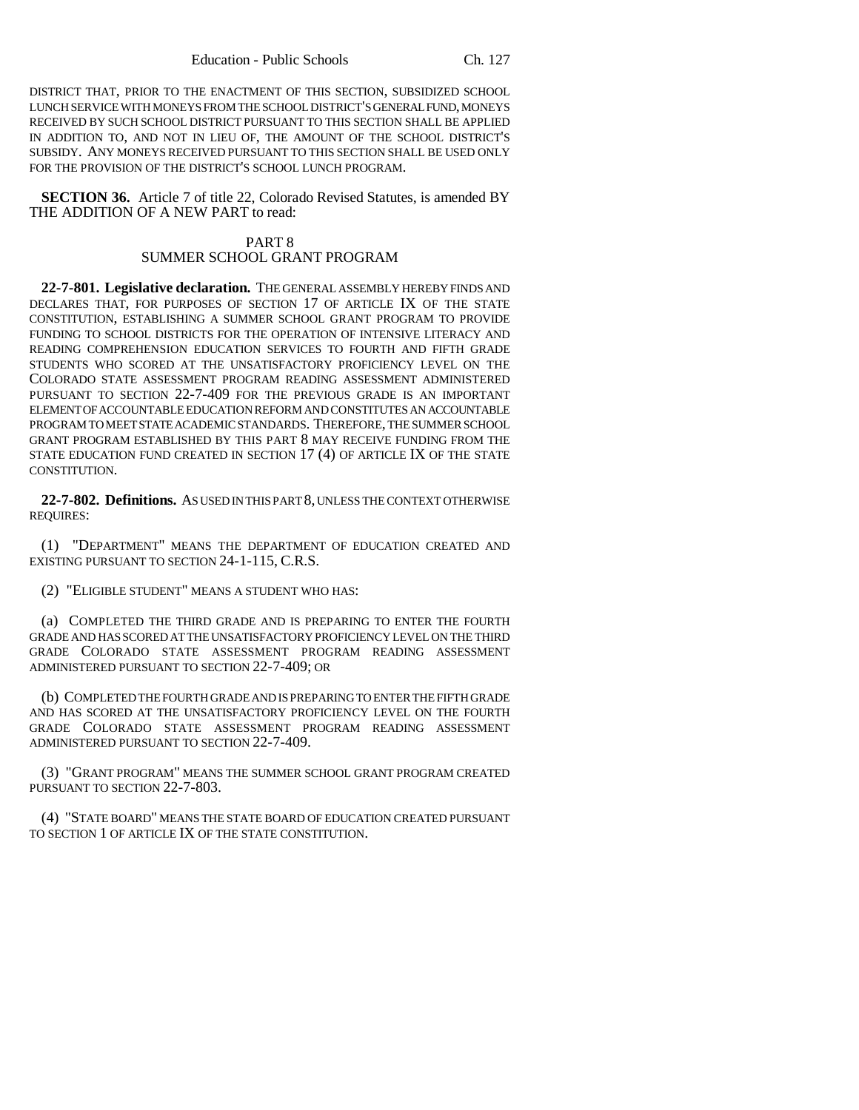DISTRICT THAT, PRIOR TO THE ENACTMENT OF THIS SECTION, SUBSIDIZED SCHOOL LUNCH SERVICE WITH MONEYS FROM THE SCHOOL DISTRICT'S GENERAL FUND, MONEYS RECEIVED BY SUCH SCHOOL DISTRICT PURSUANT TO THIS SECTION SHALL BE APPLIED IN ADDITION TO, AND NOT IN LIEU OF, THE AMOUNT OF THE SCHOOL DISTRICT'S SUBSIDY. ANY MONEYS RECEIVED PURSUANT TO THIS SECTION SHALL BE USED ONLY FOR THE PROVISION OF THE DISTRICT'S SCHOOL LUNCH PROGRAM.

**SECTION 36.** Article 7 of title 22, Colorado Revised Statutes, is amended BY THE ADDITION OF A NEW PART to read:

# PART 8 SUMMER SCHOOL GRANT PROGRAM

**22-7-801. Legislative declaration.** THE GENERAL ASSEMBLY HEREBY FINDS AND DECLARES THAT, FOR PURPOSES OF SECTION 17 OF ARTICLE IX OF THE STATE CONSTITUTION, ESTABLISHING A SUMMER SCHOOL GRANT PROGRAM TO PROVIDE FUNDING TO SCHOOL DISTRICTS FOR THE OPERATION OF INTENSIVE LITERACY AND READING COMPREHENSION EDUCATION SERVICES TO FOURTH AND FIFTH GRADE STUDENTS WHO SCORED AT THE UNSATISFACTORY PROFICIENCY LEVEL ON THE COLORADO STATE ASSESSMENT PROGRAM READING ASSESSMENT ADMINISTERED PURSUANT TO SECTION 22-7-409 FOR THE PREVIOUS GRADE IS AN IMPORTANT ELEMENT OF ACCOUNTABLE EDUCATION REFORM AND CONSTITUTES AN ACCOUNTABLE PROGRAM TO MEET STATE ACADEMIC STANDARDS. THEREFORE, THE SUMMER SCHOOL GRANT PROGRAM ESTABLISHED BY THIS PART 8 MAY RECEIVE FUNDING FROM THE STATE EDUCATION FUND CREATED IN SECTION 17 (4) OF ARTICLE IX OF THE STATE CONSTITUTION.

**22-7-802. Definitions.** AS USED IN THIS PART 8, UNLESS THE CONTEXT OTHERWISE REQUIRES:

(1) "DEPARTMENT" MEANS THE DEPARTMENT OF EDUCATION CREATED AND EXISTING PURSUANT TO SECTION 24-1-115, C.R.S.

(2) "ELIGIBLE STUDENT" MEANS A STUDENT WHO HAS:

(a) COMPLETED THE THIRD GRADE AND IS PREPARING TO ENTER THE FOURTH GRADE AND HAS SCORED AT THE UNSATISFACTORY PROFICIENCY LEVEL ON THE THIRD GRADE COLORADO STATE ASSESSMENT PROGRAM READING ASSESSMENT ADMINISTERED PURSUANT TO SECTION 22-7-409; OR

(b) COMPLETED THE FOURTH GRADE AND IS PREPARING TO ENTER THE FIFTH GRADE AND HAS SCORED AT THE UNSATISFACTORY PROFICIENCY LEVEL ON THE FOURTH GRADE COLORADO STATE ASSESSMENT PROGRAM READING ASSESSMENT ADMINISTERED PURSUANT TO SECTION 22-7-409.

(3) "GRANT PROGRAM" MEANS THE SUMMER SCHOOL GRANT PROGRAM CREATED PURSUANT TO SECTION 22-7-803.

(4) "STATE BOARD" MEANS THE STATE BOARD OF EDUCATION CREATED PURSUANT TO SECTION 1 OF ARTICLE IX OF THE STATE CONSTITUTION.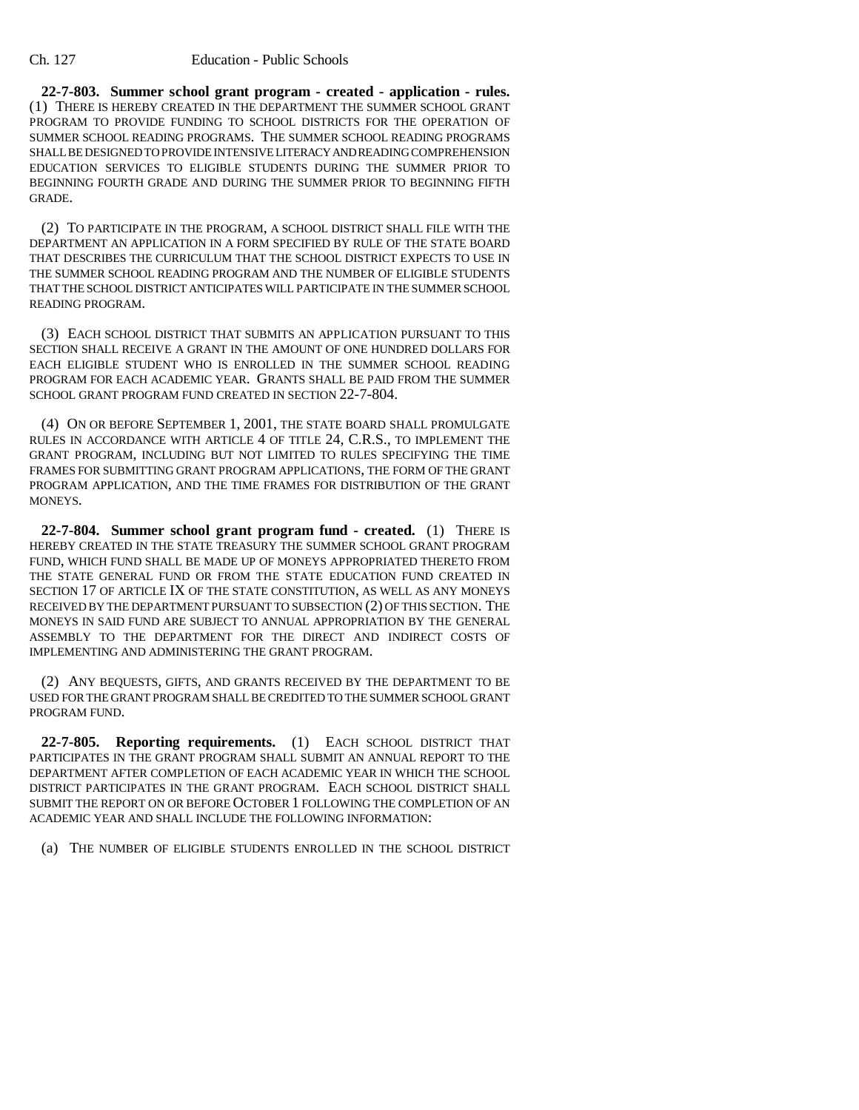**22-7-803. Summer school grant program - created - application - rules.** (1) THERE IS HEREBY CREATED IN THE DEPARTMENT THE SUMMER SCHOOL GRANT PROGRAM TO PROVIDE FUNDING TO SCHOOL DISTRICTS FOR THE OPERATION OF SUMMER SCHOOL READING PROGRAMS. THE SUMMER SCHOOL READING PROGRAMS SHALL BE DESIGNED TO PROVIDE INTENSIVE LITERACY AND READING COMPREHENSION EDUCATION SERVICES TO ELIGIBLE STUDENTS DURING THE SUMMER PRIOR TO BEGINNING FOURTH GRADE AND DURING THE SUMMER PRIOR TO BEGINNING FIFTH GRADE.

(2) TO PARTICIPATE IN THE PROGRAM, A SCHOOL DISTRICT SHALL FILE WITH THE DEPARTMENT AN APPLICATION IN A FORM SPECIFIED BY RULE OF THE STATE BOARD THAT DESCRIBES THE CURRICULUM THAT THE SCHOOL DISTRICT EXPECTS TO USE IN THE SUMMER SCHOOL READING PROGRAM AND THE NUMBER OF ELIGIBLE STUDENTS THAT THE SCHOOL DISTRICT ANTICIPATES WILL PARTICIPATE IN THE SUMMER SCHOOL READING PROGRAM.

(3) EACH SCHOOL DISTRICT THAT SUBMITS AN APPLICATION PURSUANT TO THIS SECTION SHALL RECEIVE A GRANT IN THE AMOUNT OF ONE HUNDRED DOLLARS FOR EACH ELIGIBLE STUDENT WHO IS ENROLLED IN THE SUMMER SCHOOL READING PROGRAM FOR EACH ACADEMIC YEAR. GRANTS SHALL BE PAID FROM THE SUMMER SCHOOL GRANT PROGRAM FUND CREATED IN SECTION 22-7-804.

(4) ON OR BEFORE SEPTEMBER 1, 2001, THE STATE BOARD SHALL PROMULGATE RULES IN ACCORDANCE WITH ARTICLE 4 OF TITLE 24, C.R.S., TO IMPLEMENT THE GRANT PROGRAM, INCLUDING BUT NOT LIMITED TO RULES SPECIFYING THE TIME FRAMES FOR SUBMITTING GRANT PROGRAM APPLICATIONS, THE FORM OF THE GRANT PROGRAM APPLICATION, AND THE TIME FRAMES FOR DISTRIBUTION OF THE GRANT MONEYS.

**22-7-804. Summer school grant program fund - created.** (1) THERE IS HEREBY CREATED IN THE STATE TREASURY THE SUMMER SCHOOL GRANT PROGRAM FUND, WHICH FUND SHALL BE MADE UP OF MONEYS APPROPRIATED THERETO FROM THE STATE GENERAL FUND OR FROM THE STATE EDUCATION FUND CREATED IN SECTION 17 OF ARTICLE IX OF THE STATE CONSTITUTION, AS WELL AS ANY MONEYS RECEIVED BY THE DEPARTMENT PURSUANT TO SUBSECTION (2) OF THIS SECTION. THE MONEYS IN SAID FUND ARE SUBJECT TO ANNUAL APPROPRIATION BY THE GENERAL ASSEMBLY TO THE DEPARTMENT FOR THE DIRECT AND INDIRECT COSTS OF IMPLEMENTING AND ADMINISTERING THE GRANT PROGRAM.

(2) ANY BEQUESTS, GIFTS, AND GRANTS RECEIVED BY THE DEPARTMENT TO BE USED FOR THE GRANT PROGRAM SHALL BE CREDITED TO THE SUMMER SCHOOL GRANT PROGRAM FUND.

**22-7-805. Reporting requirements.** (1) EACH SCHOOL DISTRICT THAT PARTICIPATES IN THE GRANT PROGRAM SHALL SUBMIT AN ANNUAL REPORT TO THE DEPARTMENT AFTER COMPLETION OF EACH ACADEMIC YEAR IN WHICH THE SCHOOL DISTRICT PARTICIPATES IN THE GRANT PROGRAM. EACH SCHOOL DISTRICT SHALL SUBMIT THE REPORT ON OR BEFORE OCTOBER 1 FOLLOWING THE COMPLETION OF AN ACADEMIC YEAR AND SHALL INCLUDE THE FOLLOWING INFORMATION:

(a) THE NUMBER OF ELIGIBLE STUDENTS ENROLLED IN THE SCHOOL DISTRICT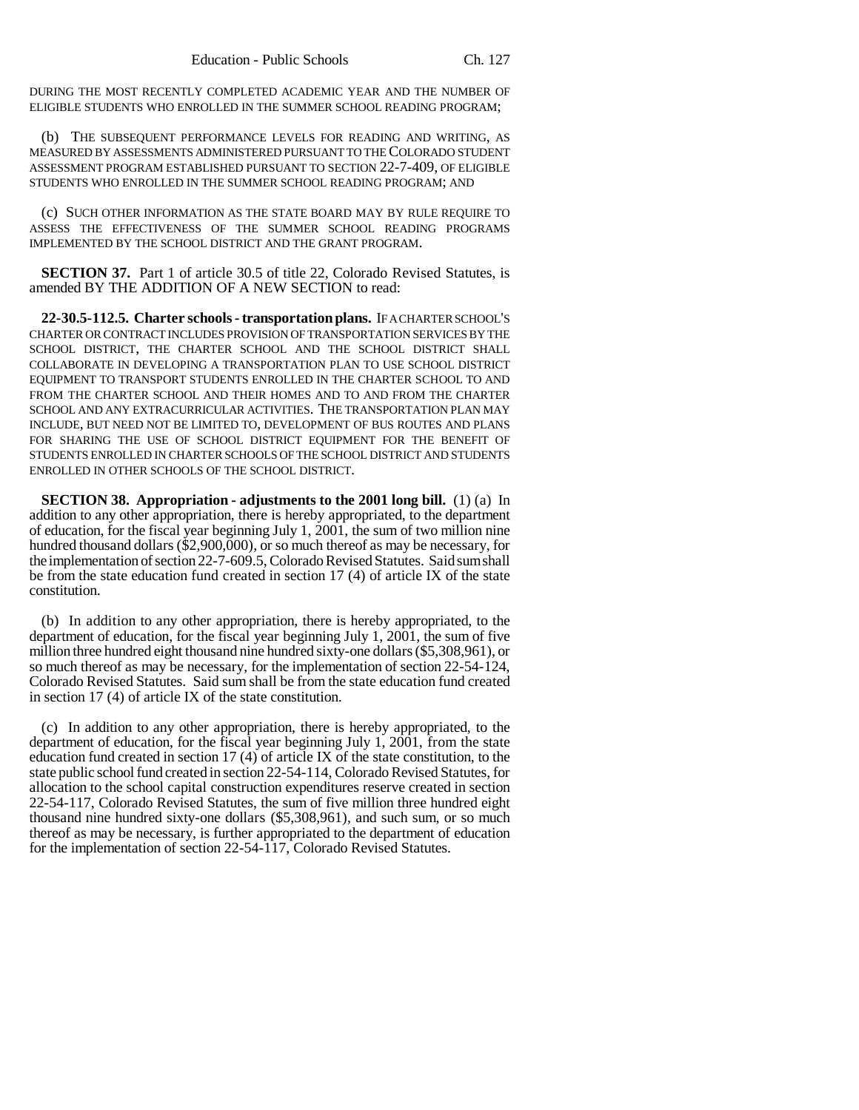DURING THE MOST RECENTLY COMPLETED ACADEMIC YEAR AND THE NUMBER OF ELIGIBLE STUDENTS WHO ENROLLED IN THE SUMMER SCHOOL READING PROGRAM;

(b) THE SUBSEQUENT PERFORMANCE LEVELS FOR READING AND WRITING, AS MEASURED BY ASSESSMENTS ADMINISTERED PURSUANT TO THE COLORADO STUDENT ASSESSMENT PROGRAM ESTABLISHED PURSUANT TO SECTION 22-7-409, OF ELIGIBLE STUDENTS WHO ENROLLED IN THE SUMMER SCHOOL READING PROGRAM; AND

(c) SUCH OTHER INFORMATION AS THE STATE BOARD MAY BY RULE REQUIRE TO ASSESS THE EFFECTIVENESS OF THE SUMMER SCHOOL READING PROGRAMS IMPLEMENTED BY THE SCHOOL DISTRICT AND THE GRANT PROGRAM.

**SECTION 37.** Part 1 of article 30.5 of title 22, Colorado Revised Statutes, is amended BY THE ADDITION OF A NEW SECTION to read:

**22-30.5-112.5. Charter schools - transportation plans.** IF A CHARTER SCHOOL'S CHARTER OR CONTRACT INCLUDES PROVISION OF TRANSPORTATION SERVICES BY THE SCHOOL DISTRICT, THE CHARTER SCHOOL AND THE SCHOOL DISTRICT SHALL COLLABORATE IN DEVELOPING A TRANSPORTATION PLAN TO USE SCHOOL DISTRICT EQUIPMENT TO TRANSPORT STUDENTS ENROLLED IN THE CHARTER SCHOOL TO AND FROM THE CHARTER SCHOOL AND THEIR HOMES AND TO AND FROM THE CHARTER SCHOOL AND ANY EXTRACURRICULAR ACTIVITIES. THE TRANSPORTATION PLAN MAY INCLUDE, BUT NEED NOT BE LIMITED TO, DEVELOPMENT OF BUS ROUTES AND PLANS FOR SHARING THE USE OF SCHOOL DISTRICT EQUIPMENT FOR THE BENEFIT OF STUDENTS ENROLLED IN CHARTER SCHOOLS OF THE SCHOOL DISTRICT AND STUDENTS ENROLLED IN OTHER SCHOOLS OF THE SCHOOL DISTRICT.

**SECTION 38. Appropriation - adjustments to the 2001 long bill.** (1) (a) In addition to any other appropriation, there is hereby appropriated, to the department of education, for the fiscal year beginning July 1, 2001, the sum of two million nine hundred thousand dollars (\$2,900,000), or so much thereof as may be necessary, for the implementation of section 22-7-609.5, Colorado Revised Statutes. Said sum shall be from the state education fund created in section 17 (4) of article IX of the state constitution.

(b) In addition to any other appropriation, there is hereby appropriated, to the department of education, for the fiscal year beginning July 1, 2001, the sum of five million three hundred eight thousand nine hundred sixty-one dollars (\$5,308,961), or so much thereof as may be necessary, for the implementation of section 22-54-124, Colorado Revised Statutes. Said sum shall be from the state education fund created in section 17 (4) of article IX of the state constitution.

(c) In addition to any other appropriation, there is hereby appropriated, to the department of education, for the fiscal year beginning July 1, 2001, from the state education fund created in section 17 (4) of article IX of the state constitution, to the state public school fund created in section 22-54-114, Colorado Revised Statutes, for allocation to the school capital construction expenditures reserve created in section 22-54-117, Colorado Revised Statutes, the sum of five million three hundred eight thousand nine hundred sixty-one dollars (\$5,308,961), and such sum, or so much thereof as may be necessary, is further appropriated to the department of education for the implementation of section 22-54-117, Colorado Revised Statutes.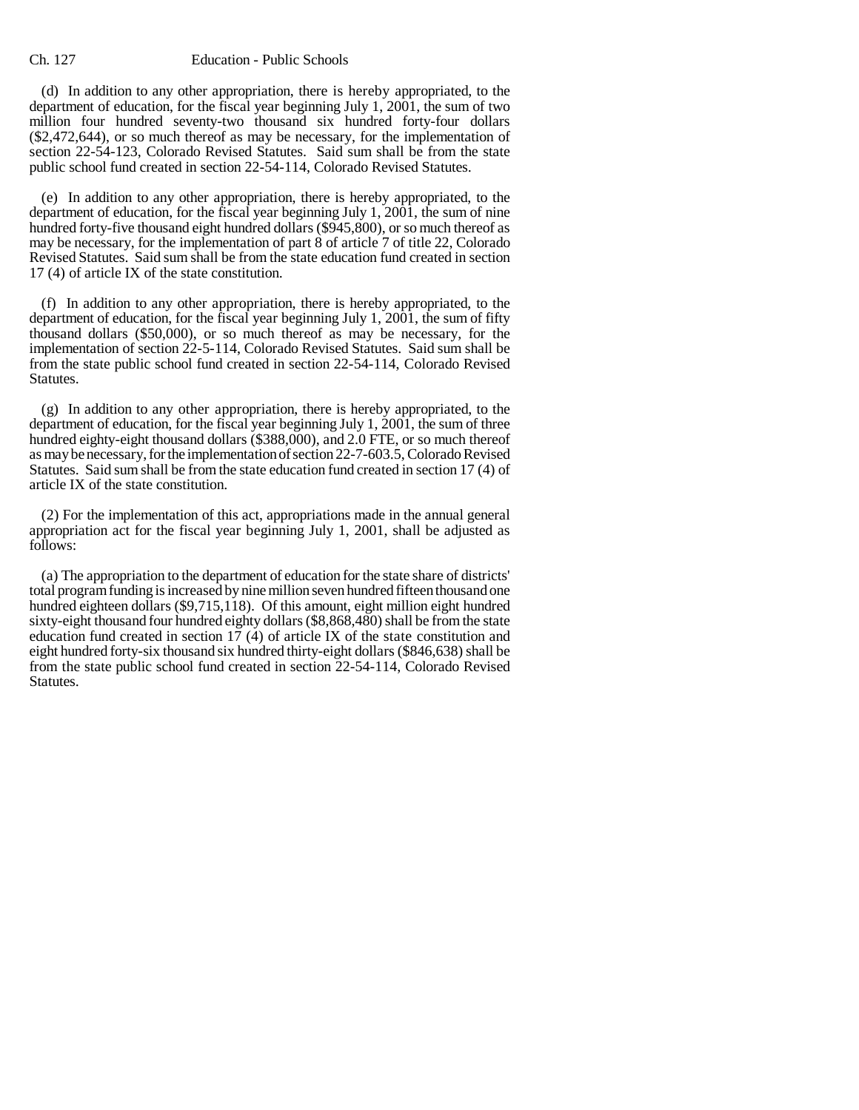(d) In addition to any other appropriation, there is hereby appropriated, to the department of education, for the fiscal year beginning July 1, 2001, the sum of two million four hundred seventy-two thousand six hundred forty-four dollars (\$2,472,644), or so much thereof as may be necessary, for the implementation of section 22-54-123, Colorado Revised Statutes. Said sum shall be from the state public school fund created in section 22-54-114, Colorado Revised Statutes.

(e) In addition to any other appropriation, there is hereby appropriated, to the department of education, for the fiscal year beginning July 1, 2001, the sum of nine hundred forty-five thousand eight hundred dollars (\$945,800), or so much thereof as may be necessary, for the implementation of part 8 of article 7 of title 22, Colorado Revised Statutes. Said sum shall be from the state education fund created in section 17 (4) of article IX of the state constitution.

(f) In addition to any other appropriation, there is hereby appropriated, to the department of education, for the fiscal year beginning July 1, 2001, the sum of fifty thousand dollars (\$50,000), or so much thereof as may be necessary, for the implementation of section 22-5-114, Colorado Revised Statutes. Said sum shall be from the state public school fund created in section 22-54-114, Colorado Revised Statutes.

(g) In addition to any other appropriation, there is hereby appropriated, to the department of education, for the fiscal year beginning July 1, 2001, the sum of three hundred eighty-eight thousand dollars (\$388,000), and 2.0 FTE, or so much thereof as may be necessary, for the implementation of section 22-7-603.5, Colorado Revised Statutes. Said sum shall be from the state education fund created in section 17 (4) of article IX of the state constitution.

(2) For the implementation of this act, appropriations made in the annual general appropriation act for the fiscal year beginning July 1, 2001, shall be adjusted as follows:

(a) The appropriation to the department of education for the state share of districts' total program funding is increased by nine million seven hundred fifteen thousand one hundred eighteen dollars (\$9,715,118). Of this amount, eight million eight hundred sixty-eight thousand four hundred eighty dollars (\$8,868,480) shall be from the state education fund created in section  $17$  (4) of article IX of the state constitution and eight hundred forty-six thousand six hundred thirty-eight dollars (\$846,638) shall be from the state public school fund created in section 22-54-114, Colorado Revised Statutes.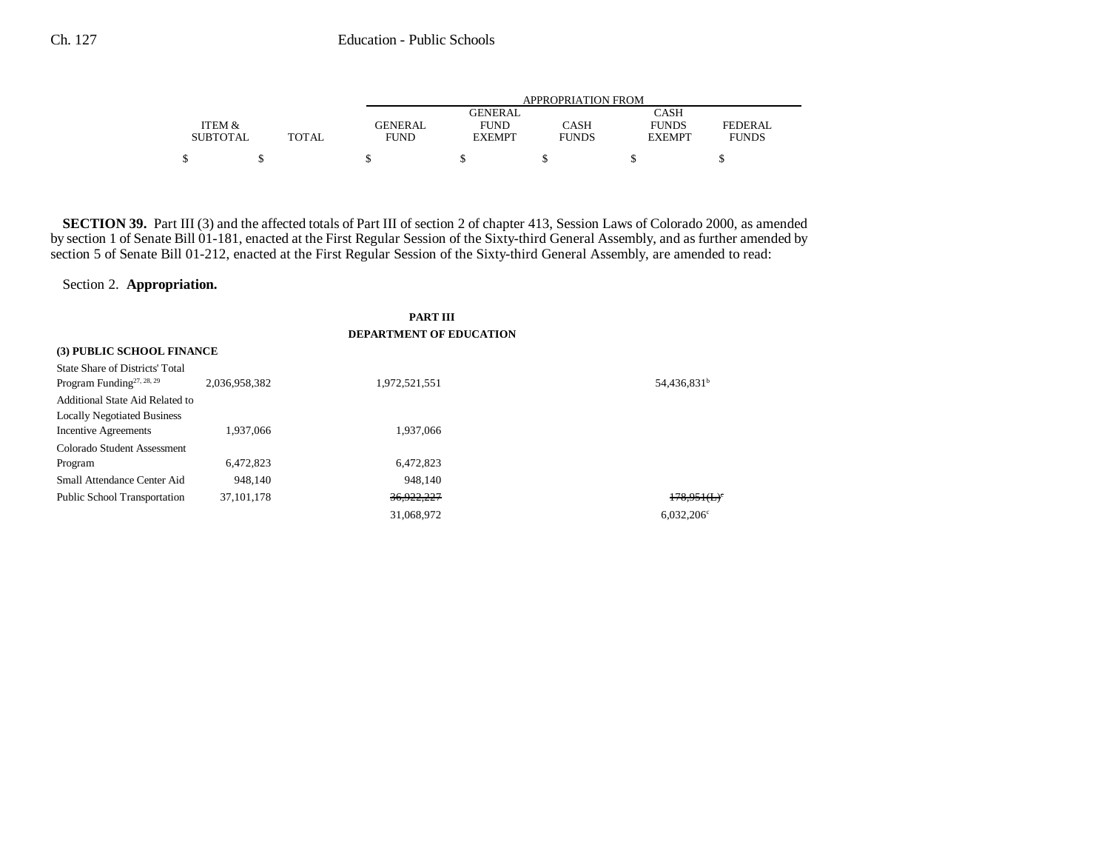|                 |              | APPROPRIATION FROM |               |              |               |              |
|-----------------|--------------|--------------------|---------------|--------------|---------------|--------------|
|                 |              |                    | GENERAL       |              | <b>CASH</b>   |              |
| ITEM &          |              | GENERAL            | <b>FUND</b>   | CASH         | <b>FUNDS</b>  | FEDERAL      |
| <b>SUBTOTAL</b> | <b>TOTAL</b> | <b>FUND</b>        | <b>EXEMPT</b> | <b>FUNDS</b> | <b>EXEMPT</b> | <b>FUNDS</b> |
|                 |              |                    |               |              |               |              |
| \$              |              |                    |               |              |               |              |

**SECTION 39.** Part III (3) and the affected totals of Part III of section 2 of chapter 413, Session Laws of Colorado 2000, as amended by section 1 of Senate Bill 01-181, enacted at the First Regular Session of the Sixty-third General Assembly, and as further amended by section 5 of Senate Bill 01-212, enacted at the First Regular Session of the Sixty-third General Assembly, are amended to read:

Section 2. **Appropriation.**

**PART III DEPARTMENT OF EDUCATION**

| (3) PUBLIC SCHOOL FINANCE              |               |               |                         |
|----------------------------------------|---------------|---------------|-------------------------|
| <b>State Share of Districts' Total</b> |               |               |                         |
| Program Funding <sup>27, 28, 29</sup>  | 2,036,958,382 | 1,972,521,551 | 54,436,831 <sup>b</sup> |
| Additional State Aid Related to        |               |               |                         |
| <b>Locally Negotiated Business</b>     |               |               |                         |
| Incentive Agreements                   | 1.937,066     | 1.937.066     |                         |
| Colorado Student Assessment            |               |               |                         |
| Program                                | 6,472,823     | 6,472,823     |                         |
| Small Attendance Center Aid            | 948.140       | 948.140       |                         |
| <b>Public School Transportation</b>    | 37, 101, 178  | 36,922,227    | 178.951(L)              |
|                                        |               | 31.068.972    | $6.032.206^{\circ}$     |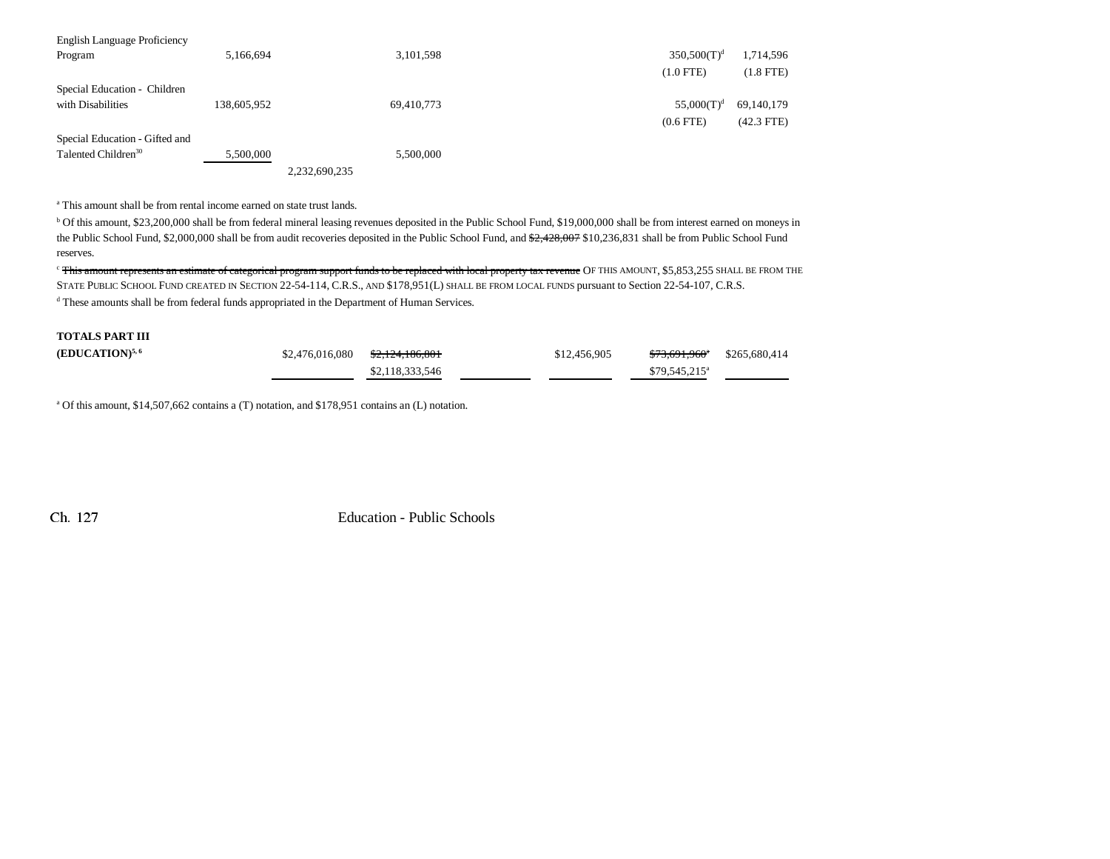| English Language Proficiency    |             |               |                |              |
|---------------------------------|-------------|---------------|----------------|--------------|
| Program                         | 5,166,694   | 3,101,598     | $350,500(T)^d$ | 1,714,596    |
|                                 |             |               | $(1.0$ FTE)    | $(1.8$ FTE)  |
| Special Education - Children    |             |               |                |              |
| with Disabilities               | 138,605,952 | 69,410,773    | $55,000(T)^d$  | 69,140,179   |
|                                 |             |               | $(0.6$ FTE)    | $(42.3$ FTE) |
| Special Education - Gifted and  |             |               |                |              |
| Talented Children <sup>30</sup> | 5,500,000   | 5.500,000     |                |              |
|                                 |             | 2.232.690.235 |                |              |

a This amount shall be from rental income earned on state trust lands.

<sup>b</sup> Of this amount, \$23,200,000 shall be from federal mineral leasing revenues deposited in the Public School Fund, \$19,000,000 shall be from interest earned on moneys in the Public School Fund, \$2,000,000 shall be from audit recoveries deposited in the Public School Fund, and  $\frac{2,428,007}{2,1428,007}$  \$10,236,831 shall be from Public School Fund reserves.

<sup>c</sup> This amount represents an estimate of categorical program support funds to be replaced with local property tax revenue OF THIS AMOUNT, \$5,853,255 SHALL BE FROM THE STATE PUBLIC SCHOOL FUND CREATED IN SECTION 22-54-114, C.R.S., AND \$178,951(L) SHALL BE FROM LOCAL FUNDS pursuant to Section 22-54-107, C.R.S. d These amounts shall be from federal funds appropriated in the Department of Human Services.

# **TOTALS PART III**

| <b>(EDUCATION)</b> <sup>5,6</sup> | $$2,476,016,080$ $$2,124,186,801$ |                 | \$12,456,905 | <del>\$73,691,960</del> \$265,680,414 |  |
|-----------------------------------|-----------------------------------|-----------------|--------------|---------------------------------------|--|
|                                   |                                   | \$2,118,333,546 |              | $$79.545.215^a$                       |  |

<sup>a</sup> Of this amount, \$14,507,662 contains a (T) notation, and \$178,951 contains an (L) notation.

Ch. 127

Education - Public Schools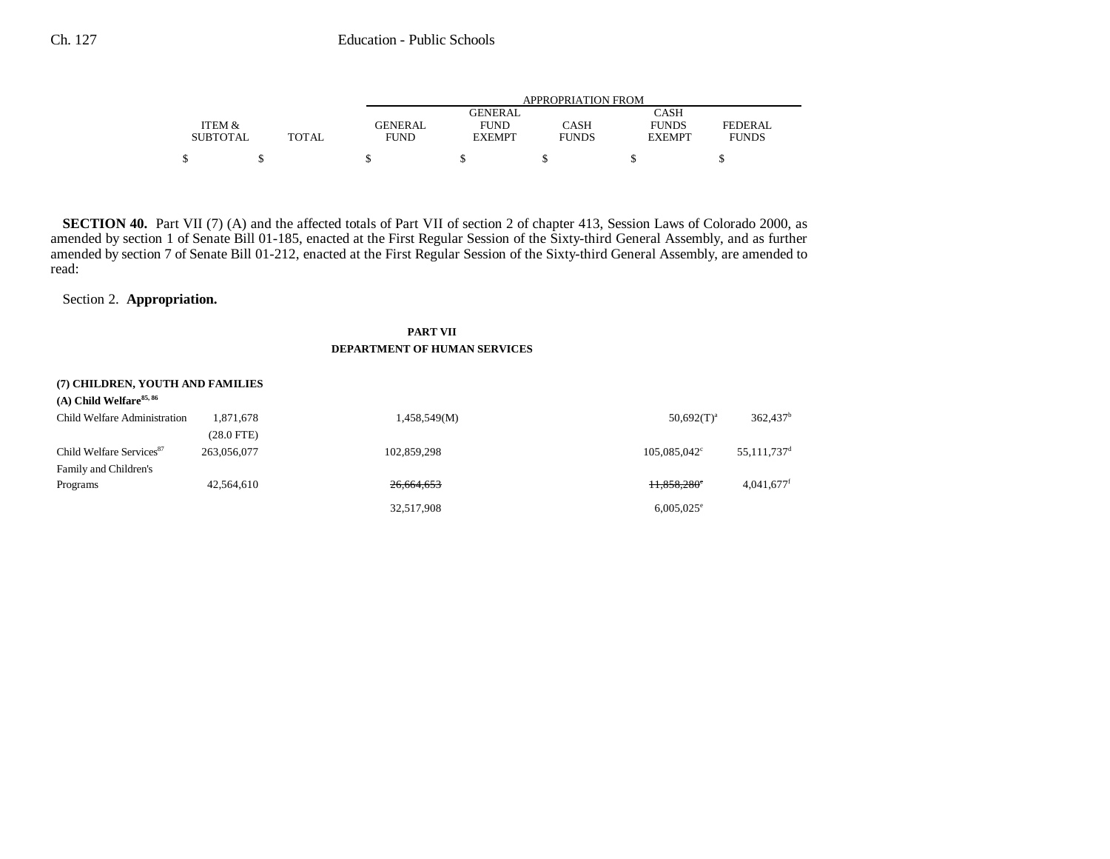|                 |       | APPROPRIATION FROM |               |              |               |              |
|-----------------|-------|--------------------|---------------|--------------|---------------|--------------|
|                 |       |                    | GENERAL       |              | CASH          |              |
| ITEM &          |       | GENERAL            | <b>FUND</b>   | CASH         | <b>FUNDS</b>  | FEDERAL      |
| <b>SUBTOTAL</b> | TOTAL | <b>FUND</b>        | <b>EXEMPT</b> | <b>FUNDS</b> | <b>EXEMPT</b> | <b>FUNDS</b> |
|                 |       |                    |               |              |               |              |
| \$              |       |                    |               |              |               |              |

**SECTION 40.** Part VII (7) (A) and the affected totals of Part VII of section 2 of chapter 413, Session Laws of Colorado 2000, as amended by section 1 of Senate Bill 01-185, enacted at the First Regular Session of the Sixty-third General Assembly, and as further amended by section 7 of Senate Bill 01-212, enacted at the First Regular Session of the Sixty-third General Assembly, are amended to read:

Section 2. **Appropriation.**

# **PART VII DEPARTMENT OF HUMAN SERVICES**

## **(7) CHILDREN, YOUTH AND FAMILIES**

| $(A)$ Child Welfare <sup>85, 86</sup> |             |              |                       |                           |
|---------------------------------------|-------------|--------------|-----------------------|---------------------------|
| Child Welfare Administration          | 1,871,678   | 1,458,549(M) | $50,692(T)^a$         | 362,437 <sup>b</sup>      |
|                                       | (28.0 FTE)  |              |                       |                           |
| Child Welfare Services <sup>87</sup>  | 263,056,077 | 102,859,298  | $105,085,042^{\circ}$ | $55,111,737$ <sup>d</sup> |
| Family and Children's                 |             |              |                       |                           |
| Programs                              | 42,564,610  | 26,664,653   | H,858,280°            | $4,041,677$ <sup>f</sup>  |
|                                       |             | 32,517,908   | $6,005,025^{\circ}$   |                           |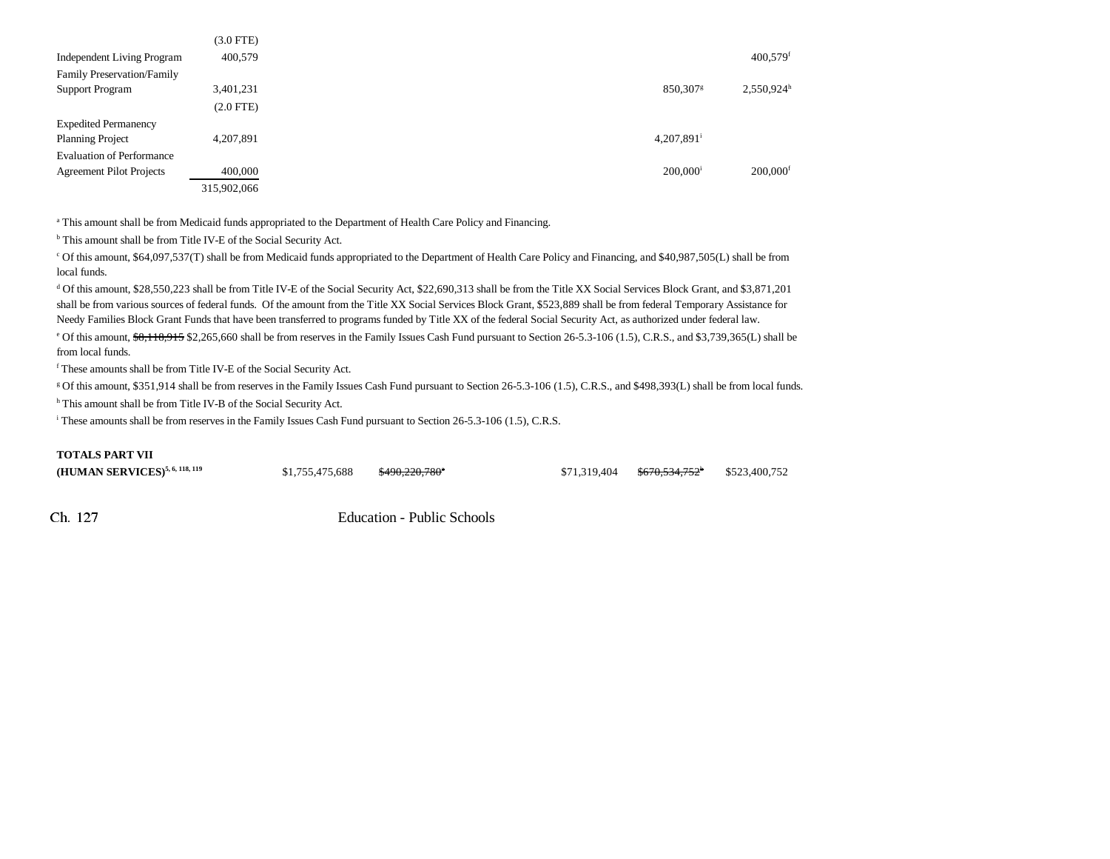|                                   | (3.0 FTE)   |                        |                          |
|-----------------------------------|-------------|------------------------|--------------------------|
| <b>Independent Living Program</b> | 400,579     |                        | $400,579$ <sup>f</sup>   |
| Family Preservation/Family        |             |                        |                          |
| <b>Support Program</b>            | 3,401,231   | 850,307 <sup>g</sup>   | $2,550,924$ <sup>h</sup> |
|                                   | $(2.0$ FTE) |                        |                          |
| <b>Expedited Permanency</b>       |             |                        |                          |
| <b>Planning Project</b>           | 4,207,891   | 4,207,891 <sup>i</sup> |                          |
| <b>Evaluation of Performance</b>  |             |                        |                          |
| <b>Agreement Pilot Projects</b>   | 400,000     | $200.000$ <sup>i</sup> | $200,000$ <sup>f</sup>   |
|                                   | 315,902,066 |                        |                          |

a This amount shall be from Medicaid funds appropriated to the Department of Health Care Policy and Financing.

b This amount shall be from Title IV-E of the Social Security Act.

c Of this amount, \$64,097,537(T) shall be from Medicaid funds appropriated to the Department of Health Care Policy and Financing, and \$40,987,505(L) shall be from local funds.

d Of this amount, \$28,550,223 shall be from Title IV-E of the Social Security Act, \$22,690,313 shall be from the Title XX Social Services Block Grant, and \$3,871,201 shall be from various sources of federal funds. Of the amount from the Title XX Social Services Block Grant, \$523,889 shall be from federal Temporary Assistance for Needy Families Block Grant Funds that have been transferred to programs funded by Title XX of the federal Social Security Act, as authorized under federal law. <sup>e</sup> Of this amount, \$8,118,915 \$2,265,660 shall be from reserves in the Family Issues Cash Fund pursuant to Section 26-5.3-106 (1.5), C.R.S., and \$3,739,365(L) shall be from local funds.

f These amounts shall be from Title IV-E of the Social Security Act.

g Of this amount, \$351,914 shall be from reserves in the Family Issues Cash Fund pursuant to Section 26-5.3-106 (1.5), C.R.S., and \$498,393(L) shall be from local funds. h This amount shall be from Title IV-B of the Social Security Act.

i These amounts shall be from reserves in the Family Issues Cash Fund pursuant to Section 26-5.3-106 (1.5), C.R.S.

#### **TOTALS PART VII**

| (HUMAN SERVICES) <sup>5, 6, 118, 119</sup> | \$1,755,475,688 | <del>\$490,220,780</del> * | $$71,319,404$ $$670,534,752$ $$523,400,752$ |  |
|--------------------------------------------|-----------------|----------------------------|---------------------------------------------|--|
|                                            |                 |                            |                                             |  |

Ch 127

Education - Public Schools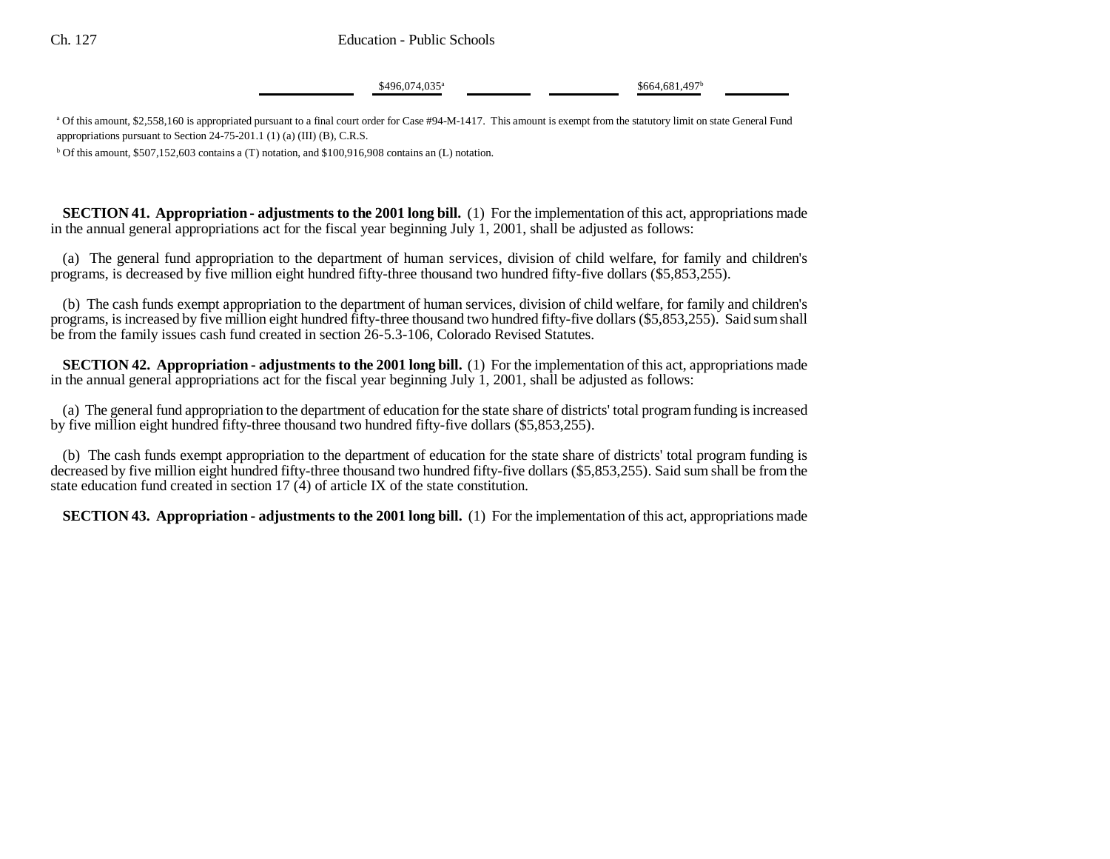Ch. 127 Education - Public Schools

 $$496,074,035^{\circ}$$  \$664,681,497<sup>b</sup>

<sup>a</sup> Of this amount, \$2,558,160 is appropriated pursuant to a final court order for Case #94-M-1417. This amount is exempt from the statutory limit on state General Fund appropriations pursuant to Section 24-75-201.1 (1) (a) (III) (B), C.R.S.

 $b$  Of this amount, \$507,152,603 contains a (T) notation, and \$100,916,908 contains an (L) notation.

**SECTION 41. Appropriation - adjustments to the 2001 long bill.** (1) For the implementation of this act, appropriations made in the annual general appropriations act for the fiscal year beginning July 1, 2001, shall be adjusted as follows:

(a) The general fund appropriation to the department of human services, division of child welfare, for family and children's programs, is decreased by five million eight hundred fifty-three thousand two hundred fifty-five dollars (\$5,853,255).

(b) The cash funds exempt appropriation to the department of human services, division of child welfare, for family and children's programs, is increased by five million eight hundred fifty-three thousand two hundred fifty-five dollars (\$5,853,255). Said sum shall be from the family issues cash fund created in section 26-5.3-106, Colorado Revised Statutes.

**SECTION 42. Appropriation - adjustments to the 2001 long bill.** (1) For the implementation of this act, appropriations made in the annual general appropriations act for the fiscal year beginning July 1, 2001, shall be adjusted as follows:

(a) The general fund appropriation to the department of education for the state share of districts' total program funding is increased by five million eight hundred fifty-three thousand two hundred fifty-five dollars (\$5,853,255).

(b) The cash funds exempt appropriation to the department of education for the state share of districts' total program funding is decreased by five million eight hundred fifty-three thousand two hundred fifty-five dollars (\$5,853,255). Said sum shall be from the state education fund created in section 17 (4) of article IX of the state constitution.

**SECTION 43. Appropriation - adjustments to the 2001 long bill.** (1) For the implementation of this act, appropriations made